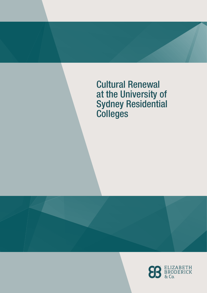Cultural Renewal at the University of Sydney Residential **Colleges** 

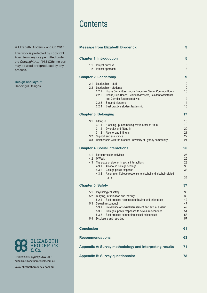## **Contents**

|                                | <b>Message from Elizabeth Broderick</b>                                                                                                                                                                                                                                                                                                                      | 3                                            |
|--------------------------------|--------------------------------------------------------------------------------------------------------------------------------------------------------------------------------------------------------------------------------------------------------------------------------------------------------------------------------------------------------------|----------------------------------------------|
|                                | <b>Chapter 1: Introduction</b>                                                                                                                                                                                                                                                                                                                               | 5                                            |
| 1.1<br>1.2                     | Project purpose<br>Project approach                                                                                                                                                                                                                                                                                                                          | 5<br>6                                       |
|                                | <b>Chapter 2: Leadership</b>                                                                                                                                                                                                                                                                                                                                 | 9                                            |
| 2.1                            | Leadership - staff<br>2.2 Leadership - students<br>2.2.1<br>House Committee, House Executive, Senior Common Room<br>2.2.2<br>Deans, Sub-Deans, Resident Advisers, Resident Assistants<br>and Corridor Representatives<br>Student hierarchy<br>2.2.3<br>2.2.4<br>Best practice student leadership                                                             | g<br>10<br>10<br>12<br>14<br>15              |
|                                | <b>Chapter 3: Belonging</b>                                                                                                                                                                                                                                                                                                                                  | 17                                           |
| 3.1<br>3.2<br>3.3 <sub>2</sub> | Fitting in<br>'Hooking up' and having sex in order to 'fit in'<br>3.1.1<br>Diversity and fitting in<br>3.1.2<br>Alcohol and fitting in<br>3.1.3<br>Support and assistance<br>Relationship with the broader University of Sydney community                                                                                                                    | 18<br>19<br>20<br>21<br>22<br>24             |
|                                | <b>Chapter 4: Social interactions</b>                                                                                                                                                                                                                                                                                                                        | 25                                           |
| 4.1<br>4.3                     | <b>Extracurricular activities</b><br>4.2 0 Week<br>The place of alcohol in social interactions<br>Alcohol in College settings<br>4.3.1<br>College policy response<br>4.3.2<br>A common College response to alcohol and alcohol-related<br>4.3.3<br>harm                                                                                                      | 25<br>26<br>28<br>30<br>33<br>34             |
| <b>Chapter 5: Safety</b>       |                                                                                                                                                                                                                                                                                                                                                              | 37                                           |
| 5.1<br>5.2<br>5.3<br>5.4       | Psychological safety<br>Bullying, intimidation and 'hazing'<br>5.2.1<br>Best practice responses to hazing and orientation<br>Sexual misconduct<br>5.3.1<br>Prevalence of sexual harassment and sexual assault<br>5.3.2<br>Colleges' policy responses to sexual misconduct<br>Best practice combatting sexual misconduct<br>5.3.3<br>Disclosure and reporting | 38<br>39<br>42<br>47<br>49<br>51<br>53<br>57 |
| <b>Conclusion</b>              |                                                                                                                                                                                                                                                                                                                                                              | 61                                           |
|                                | <b>Recommendations</b>                                                                                                                                                                                                                                                                                                                                       | 63                                           |
|                                | Appendix A: Survey methodology and interpreting results                                                                                                                                                                                                                                                                                                      | 71                                           |
|                                | <b>Appendix B: Survey questionnaire</b>                                                                                                                                                                                                                                                                                                                      | 73                                           |

#### © Elizabeth Broderick and Co 2017

This work is protected by copyright. Apart from any use permitted under the *Copyright Act 1968* (Cth), no part may be used or reproduced by any process.

#### Design and layout:

Dancingirl Designs



GPO Box 396, Sydney NSW 2001 admin@elizabethbroderick.com.au

[www.elizabethbroderick.com.au](http://www.elizabethbroderick.com.au)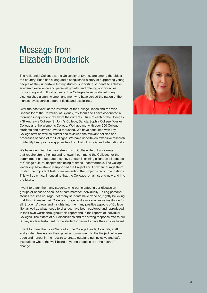# <span id="page-2-0"></span>Message from Elizabeth Broderick

The residential Colleges at the University of Sydney are among the oldest in the country. Each has a long and distinguished history of supporting young people as they undertake tertiary studies, supporting students to achieve academic excellence and personal growth, and offering opportunities for sporting and cultural pursuits. The Colleges have produced many distinguished alumni, women and men who have served the nation at the highest levels across different fields and disciplines.

Over the past year, at the invitation of the College Heads and the Vice-Chancellor of the University of Sydney, my team and I have conducted a thorough independent review of the current culture of each of the Colleges – St Andrew's College, St John's College, Sancta Sophia College, Wesley College and the Women's College. We have met with over 600 College students and surveyed over a thousand. We have consulted with key College staff as well as alumni and reviewed the relevant policies and processes of each of the Colleges. We have undertaken extensive research to identify best practice approaches from both Australia and internationally.

We have identified the great strengths of College life but also areas that require strengthening and renewal. I commend the Colleges for the commitment and courage they have shown in shining a light on all aspects of College culture, despite this being at times uncomfortable. The College leadership have strongly supported the Project and I now encourage them to start the important task of implementing the Project's recommendations. This will be critical in ensuring that the Colleges remain strong now and into the future.

I want to thank the many students who participated in our discussion groups or chose to speak to a team member individually. Telling personal stories requires courage. Yet many students have done so, rightly believing that this will make their College stronger and a more inclusive institution for all. Students' views and insights into the many positive aspects of College life, as well as what needs to change, have been captured and reproduced in their own words throughout this report and in the reports of individual Colleges. The extent of our discussions and the strong response rate to our Survey is clear testament to the students' desire to have their voices heard.

I want to thank the Vice-Chancellor, the College Heads, Councils, staff and student leaders for their genuine commitment to the Project. All were open and honest in their desire to create outstanding, inclusive and safe institutions where the well-being of young people sits at the heart of change.

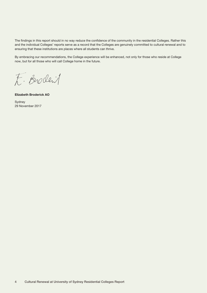The findings in this report should in no way reduce the confidence of the community in the residential Colleges. Rather this and the individual Colleges' reports serve as a record that the Colleges are genuinely committed to cultural renewal and to ensuring that these institutions are places where all students can thrive.

By embracing our recommendations, the College experience will be enhanced, not only for those who reside at College now, but for all those who will call College home in the future.

E. Broderil

Elizabeth Broderick AO

Sydney 29 November 2017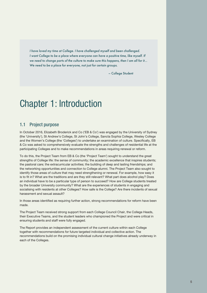<span id="page-4-0"></span>*I have loved my time at College. I have challenged myself and been challenged. I want College to be a place where everyone can have a positive time, like myself. If we need to change parts of the culture to make sure this happens, then I am all for it… We need to be a place for everyone, not just for certain groups.* 

– College Student

# Chapter 1: Introduction

## 1.1 Project purpose

In October 2016, Elizabeth Broderick and Co ('EB & Co') was engaged by the University of Sydney (the 'University'), St Andrew's College, St John's College, Sancta Sophia College, Wesley College and the Women's College (the 'Colleges') to undertake an examination of culture. Specifically, EB & Co was asked to comprehensively evaluate the strengths and challenges of residential life at the participating Colleges and to make recommendations in areas requiring renewal or reform.

To do this, the Project Team from EB & Co (the 'Project Team') sought to understand the great strengths of College life: the sense of community; the academic excellence that inspires students; the pastoral care; the extracurricular activities; the building of deep and lasting friendships; and the networking opportunities and connection to College alumni. The Project Team also sought to identify those areas of culture that may need strengthening or renewal. For example, how easy it is to fit in? What are the traditions and are they still relevant? What part does alcohol play? Does an individual have to be a particular type of person to succeed? How are College students treated by the broader University community? What are the experiences of students in engaging and socialising with residents at other Colleges? How safe is the College? Are there incidents of sexual harassment and sexual assault?

In those areas identified as requiring further action, strong recommendations for reform have been made.

The Project Team received strong support from each College Council Chair, the College Heads, their Executive Teams, and the student leaders who championed the Project and were critical in ensuring students and staff were fully engaged.

The Report provides an independent assessment of the current culture within each College together with recommendations for future targeted individual and collective action. The recommendations build on the promising individual cultural change initiatives already underway in each of the Colleges.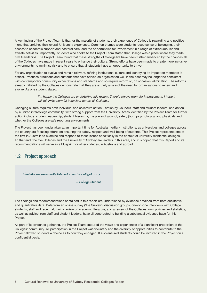<span id="page-5-0"></span>A key finding of the Project Team is that for the majority of students, their experience of College is rewarding and positive – one that enriches their overall University experience. Common themes were students' deep sense of belonging, their access to academic support and pastoral care, and the opportunities for involvement in a range of extracurricular and affiliate activities. Importantly, students who spoke to the Project Team stated that College was a place where they made firm friendships. The Project Team found that these strengths of College life have been further enhanced by the changes all of the Colleges have made in recent years to enhance their culture. Strong efforts have been made to create more inclusive environments, to minimise risk and to ensure that all students have an opportunity to thrive.

For any organisation to evolve and remain relevant, refining institutional culture and identifying its impact on members is critical. Practices, traditions and customs that have served an organisation well in the past may no longer be consistent with contemporary community expectations and standards and so require reform or, on occasion, elimination. The reforms already initiated by the Colleges demonstrate that they are acutely aware of the need for organisations to renew and evolve. As one student stated:

> *I'm happy the Colleges are undertaking this review. There's always room for improvement. I hope it will minimise harmful behaviour across all Colleges.*

Changing culture requires both individual and collective action – action by Councils, staff and student leaders, and action by a united intercollege community, with strong support from the University. Areas identified by the Project Team for further action include: student leadership, student hierarchy, the place of alcohol, safety (both psychological and physical), and whether the Colleges are safe reporting environments.

The Project has been undertaken at an important time for Australian tertiary institutions, as universities and colleges across the country are focusing efforts on ensuring the safety, respect and well-being of students. This Project represents one of the first in Australia to examine and respond to these issues specifically in the context of university residential colleges. To that end, the five Colleges and the University of Sydney are leaders in this area, and it is hoped that this Report and its recommendations will serve as a blueprint for other colleges, in Australia and abroad.

## 1.2 Project approach

*I feel like we were really listened to and we all got a say.*

– College Student

The findings and recommendations contained in this report are underpinned by evidence obtained from both qualitative and quantitative data. Data from an online survey ('the Survey'), discussion groups, one-on-one interviews with College students, staff and recent alumni, a review of academic literature, and a review of the Colleges' own policies and statistics, as well as advice from staff and student leaders, have all contributed to building a substantial evidence base for this Project.

As part of its evidence gathering, the Project Team captured the views and experiences of a significant proportion of the Colleges' community. All participation in the Project was voluntary and the diversity of opportunities to contribute to the Project allowed students a choice as to how they engaged. It also ensured students could be involved in the Project on a confidential basis.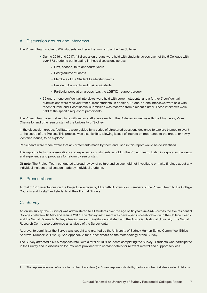## A. Discussion groups and interviews

The Project Team spoke to 632 students and recent alumni across the five Colleges:

- During 2016 and 2017, 43 discussion groups were held with students across each of the 5 Colleges with over 573 students participating in these discussions across:
	- » First, second, third and fourth years
	- » Postgraduate students
	- » Members of the Student Leadership teams
	- » Resident Assistants and their equivalents
	- » Particular population groups (e.g. the LGBTIQ+ support group).
- 35 one-on-one confidential interviews were held with current students, and a further 7 confidential submissions were received from current students. In addition, 16 one-on-one interviews were held with recent alumni, and 1 confidential submission was received from a recent alumni. These interviews were held at the specific request of participants.

The Project Team also met regularly with senior staff across each of the Colleges as well as with the Chancellor, Vice-Chancellor and other senior staff of the University of Sydney.

In the discussion groups, facilitators were guided by a series of structured questions designed to explore themes relevant to the scope of the Project. This process was also flexible, allowing issues of interest or importance to the group, or newly identified issues, to be explored.

Participants were made aware that any statements made by them and used in this report would be de-identified.

This report reflects the observations and experiences of students as told to the Project Team. It also incorporates the views and experience and proposals for reform by senior staff.

Of note: The Project Team conducted a broad review of culture and as such did not investigate or make findings about any individual incident or allegation made by individual students.

## B. Presentations

A total of 17 presentations on the Project were given by Elizabeth Broderick or members of the Project Team to the College Councils and to staff and students at their Formal Dinners.

## C. Survey

An online survey (the 'Survey') was administered to all students over the age of 18 years (n=1447) across the five residential Colleges between 18 May and 9 June 2017. The Survey instrument was developed in collaboration with the College Heads and the Social Research Centre, a leading research institution affiliated with the Australian National University. The Social Research Centre also performed all analysis of the Survey data.

Approval to administer the Survey was sought and granted by the University of Sydney Human Ethics Committee (Ethics Approval Number: 2017/234). See Appendix A for further details on the methodology of the Survey.

The Survey attracted a 69% response rate, with a total of 1001 students completing the Survey.<sup>1</sup> Students who participated in the Survey and in discussion forums were provided with contact details for relevant referral and support services.

<sup>1</sup> The response rate was defined as the number of interviews (i.e. Survey responses) divided by the total number of students invited to take part.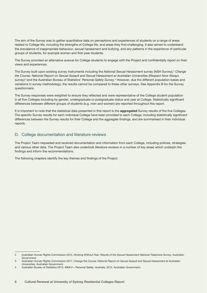The aim of the Survey was to gather quantitative data on perceptions and experiences of students on a range of areas related to College life, including the strengths of College life, and areas they find challenging. It also aimed to understand the prevalence of inappropriate behaviour, sexual harassment and bullying, and any patterns in the experience of particular groups of students, for example women and first-year students.

The Survey provided an alternative avenue for College students to engage with the Project and confidentially report on their views and experiences.

The Survey built upon existing survey instruments including the *National Sexual Harassment* survey (NSH Survey),<sup>2</sup> Change *the Course: National Report on Sexual Assault and Sexual Harassment at Australian Universities* (*Respect Now Always*  survey)<sup>3</sup> and the Australian Bureau of Statistics' Personal Safety Survey.<sup>4</sup> However, due the different population bases and variations in survey methodology, the results cannot be compared to these other surveys. See Appendix B for the Survey questionnaire.

The Survey responses were weighted to ensure they reflected and were representative of the College student population in all five Colleges including by gender, undergraduate or postgraduate status and year at College. Statistically significant differences between different groups of students (e.g. men and women) are reported throughout this report.

It is important to note that the statistical data presented in this report is the **aggregated** Survey results of the five Colleges. The specific Survey results for each individual College have been provided to each College, including statistically significant differences between the Survey results for their College and the aggregate findings, and are summarised in their individual reports.

## D. College documentation and literature reviews

The Project Team requested and received documentation and information from each College, including policies, strategies and various other data. The Project Team also undertook literature reviews in a number of key areas which underpin the findings and inform the recommendations.

The following chapters identify the key themes and findings of the Project.

<sup>2</sup> Australian Human Rights Commission 2012, *Working Without Fear: Results of the Sexual Harassment National Telephone Survey*, Australian Government.

<sup>3</sup> Australian Human Rights Commission 2017, *Change the Course: National Report on Sexual Assault and Sexual Harassment at Australian Universities,* Australian Government.

<sup>4</sup> Australian Bureau of Statistics 2012, *4906.0 – Personal Safety, Australia, 2012, Australian Government.*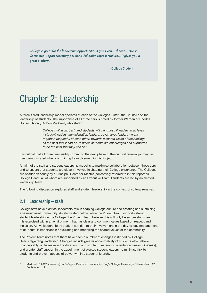<span id="page-8-0"></span>*College is great for the leadership opportunities it gives you… There's… House Committee… sport secretary positions, Palladian representatives… It gives you a great platform.*

– College Student

# Chapter 2: Leadership

A three-tiered leadership model operates at each of the Colleges – staff, the Council and the leadership of students. The importance of all three tiers is noted by former Warden of Rhodes House, Oxford, Dr Don Markwell, who stated:

> *Colleges will work best, and students will gain most, if leaders at all levels – student leaders, administration leaders, governance leaders – work together, respectful of each other, towards a shared vision of their college as the best that it can be, in which students are encouraged and supported to be the best that they can be.*<sup>5</sup>

It is critical that all three tiers visibly commit to the next phase of the cultural renewal journey, as they demonstrated when committing to involvement in this Project.

An aim of the staff and student leadership model is to maximise collaboration between these tiers and to ensure that students are closely involved in shaping their College experience. The Colleges are headed variously by a Principal, Rector or Master (collectively referred to in this report as College Head), all of whom are supported by an Executive Team. Students are led by an elected leadership team.

The following discussion explores staff and student leadership in the context of cultural renewal.

## 2.1 Leadership – staff

College staff have a critical leadership role in shaping College culture and creating and sustaining a values-based community. As elaborated below, while the Project Team supports strong student leadership in the College, the Project Team believes this will only be successful when it is exercised within an environment that has clear and common values based on respect and inclusion. Active leadership by staff, in addition to their involvement in the day-to-day management of students, is important in articulating and modelling the shared values of the community.

The Project Team notes that there have been a number of changes instituted by College Heads regarding leadership. Changes include greater accountability of students who behave unacceptably; a decrease in the duration of and stricter rules around orientation weeks (O Weeks); and greater staff support in the appointment of elected student leaders, to minimise risk to students and prevent abuses of power within a student hierarchy.

<sup>5</sup> Markwell, D 2012, *Leadership in Colleges.* Centre for Leadership, King's College, University of Queensland, 17 September, p. 2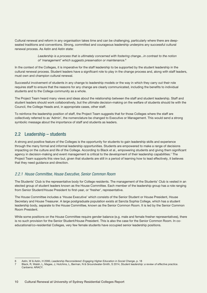<span id="page-9-0"></span>Cultural renewal and reform in any organisation takes time and can be challenging, particularly where there are deepseated traditions and conventions. Strong, committed and courageous leadership underpins any successful cultural renewal process. As Astin and Astin state:

> Leadership is a process that is ultimately concerned with fostering change...in contrast to the notion *of 'management' which suggests preservation or maintenance.*<sup>6</sup>

In the context of the Colleges, it is imperative for the staff leadership to be supported by the student leadership in the cultural renewal process. Student leaders have a significant role to play in the change process and, along with staff leaders, must own and champion cultural renewal.

Successful involvement of students in any change to leadership models or the way in which they carry out their role requires staff to ensure that the reasons for any change are clearly communicated, including the benefits to individual students and to the College community as a whole.

The Project Team heard many views and ideas about the relationship between the staff and student leadership. Staff and student leaders should work collaboratively, but the ultimate decision-making on the welfare of students should lie with the Council, the College Heads and, in appropriate cases, other staff.

To reinforce the leadership position of staff, the Project Team suggests that for those Colleges where the staff are collectively referred to as 'Admin', the nomenclature be changed to Executive or Management. This would send a strong symbolic message about the importance of staff and students as leaders.

## 2.2 Leadership – students

A strong and positive feature of the Colleges is the opportunity for students to gain leadership skills and experience through the many formal and informal leadership opportunities. Students are empowered to make a range of decisions impacting on the culture and life of the College. According to Black et al., empowering students and giving them significant agency in decision-making and event management is critical to the development of their leadership capabilities.7 The Project Team supports this view but, given that students are still in a period of learning how to lead effectively, it believes that they need guidance and direction.

## *2.2.1 House Committee, House Executive, Senior Common Room*

The Students' Club is the representative body for College residents. The management of the Students' Club is vested in an elected group of student leaders known as the House Committee. Each member of the leadership group has a role ranging from Senior Student/House President to first-year, or 'fresher', representative.

The House Committee includes a 'House Executive' which consists of the Senior Student or House President, House Secretary and House Treasurer. A large postgraduate population exists at Sancta Sophia College, which has a student leadership body, separate to the House Committee, known as the Senior Common Room. It is led by the Senior Common Room President.

While some positions on the House Committee require gender balance (e.g. male and female fresher representatives), there is no such provision for the Senior Student/House President. This is also the case for the Senior Common Room. In coeducational/co-residential Colleges, very few female students have occupied senior leadership positions.

<sup>6</sup> Astin, W & Astin, H 2000, *Leadership Reconsidered: Engaging Higher Education in Social Change*, p. 18

<sup>7</sup> Black, R, Walsh, L, Magee, J, Hutchins, L, Berman, N & Groundwater-Smith, S 2014, *Student leadership: a review of effective practice*. Canberra: ARACY.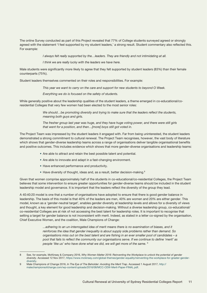The online Survey conducted as part of this Project revealed that 77% of College students surveyed agreed or strongly agreed with the statement 'I feel supported by my student leaders,' a strong result. Student commentary also reflected this. For example:

*I always felt really supported by the…leaders. They are friendly and not intimidating at all.*

*I think we are really lucky with the leaders we have here.*

Male students were significantly more likely to agree that they felt supported by student leaders (83%) than their female counterparts (75%).

Student leaders themselves commented on their roles and responsibilities. For example:

*This year we want to carry on the care and support for new students to beyond O Week.*

*Everything we do is focused on the safety of students.*

While generally positive about the leadership qualities of the student leaders, a theme emerged in co-educational/coresidential Colleges that very few women had been elected to the most senior roles:

> *We should…be promoting diversity and trying to make sure that the leaders reflect the students, meaning both guys and girls.*

> *The fresher group last year was huge, and they have huge voting power, and there were still girls that went for a position, and then…[more] boys still got voted in.*

The Project Team was impressed by the student leaders it engaged with. Far from being uninterested, the student leaders demonstrated a strong commitment to cultural renewal. The Project Team recognises, however, the vast body of literature which shows that gender-diverse leadership teams across a range of organisations deliver tangible organisational benefits and positive outcomes. This includes evidence which shows that more gender-diverse organisations and leadership teams:

- Are able to attract and retain the best possible talent and potential.
- Are able to innovate and adapt in a fast-changing environment.
- Have enhanced performance and productivity.
- Have diversity of thought, ideas and, as a result, better decision-making.<sup>8</sup>

Given that women comprise approximately half of the students in co-educational/co-residential Colleges, the Project Team believes that some intervention to ensure greater opportunities for gender-diverse teams should be included in the student leadership model and governance. It is important that the leaders reflect the diversity of the group they lead.

A 40:40:20 model is one that a number of organisations have adopted to ensure that there is good gender balance in leadership. The basis of this model is that 40% of the leaders are men, 40% are women and 20% are either gender. This model, known as a 'gender-neutral target', enables gender diversity at leadership levels and allows for a diversity of views and thought, a key element for good leadership and decision-making. Without a diverse leadership group, co-educational/ co-residential Colleges are at risk of not accessing the best talent for leadership roles. It is important to recognise that setting a target for gender balance is not inconsistent with merit. Indeed, as stated in a letter co-signed by the organisation, Chief Executive Women, and the coalition, Male Champions of Change:

> *...adhering to an un-interrogated idea of merit means there is no examination of biases, and it reinforces the idea that gender inequality is about supply side problems rather than demand. So organisations miss out on the best talent and are fishing in an ever smaller pool of candidates – a pool that fails to reflect the community our organisations serve. If we continue to define 'merit' as people 'like us' who have done what we did, we will get more of the same.* <sup>9</sup>

<sup>8</sup> See, for example, McKinsey & Company 2016, *Why Women Matter 2016: Reinventing the Workplace to unlock the potential of gender diversity.* Accessed 12 Nov 2017, [https://www.mckinsey.com/global-themes/gender-equality/reinventing-the-workplace-for-greater-gender](https://www.mckinsey.com/global-themes/gender-equality/reinventing-the-workplace-for-greater-gender-)[diversity](https://www.mckinsey.com/global-themes/gender-equality/reinventing-the-workplace-for-greater-gender-).

<sup>9</sup> Male Champions of Change 2016, *In The Eye of The Beholder*: *Avoiding the Merit Trap.* Accessed 1 August 2017, [http://](http://malechampionsofchange.com/wp-content/uploads/2016/08/MCC-CEW-Merit-Paper-FINAL.pdf) [malechampionsofchange.com/wp-content/uploads/2016/08/MCC-CEW-Merit-Paper-FINAL.pdf](http://malechampionsofchange.com/wp-content/uploads/2016/08/MCC-CEW-Merit-Paper-FINAL.pdf).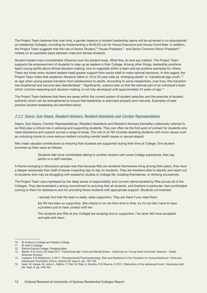<span id="page-11-0"></span>The Project Team believes that over time, a gender balance of student leadership teams will be achieved in co-educational/ co-residential Colleges, including by implementing a 40:40:20 rule for House Executive and House Committee. In addition, the Project Team suggests that the role of Senior Student,<sup>10</sup> House President,<sup>11</sup> and Senior Common Room President<sup>12</sup> rotates on an equitable basis between male and female students.

Student leaders have considerable influence over the student body. What they do and say matters. The Project Team supports the empowerment of students to step up as leaders in their College. Among other things, leadership positions teach young adults about ethical decision-making, how to negotiate within a team and set positive examples for others. There are times when student leaders need greater support from senior staff to make optimal decisions. In this regard, the Project Team notes that academic literature refers to 18 to 24-year-olds as 'emerging adults' or 'transitional age youth,'13 an age when young people transition from adolescence to adults. According to some researchers, over time, this transition has lengthened and become less standardised.<sup>14</sup> Significantly, science tells us that the rational part of an individual's brain, which controls reasoning and decision-making, is not fully developed until approximately 24 years of age.<sup>15</sup>

The Project Team believes that there are areas within the current system of student selection and the exercise of student authority which can be strengthened to ensure that leadership is exercised properly and maturely. Examples of best practice student leadership are identified below.

### *2.2.2 Deans, Sub-Deans, Resident Advisers, Resident Assistants and Corridor Representatives*

Deans, Sub-Deans, Corridor Representatives, Resident Assistants and Resident Advisers [hereafter collectively referred to as RAs] play a critical role in advising and supporting students. They can often be the first point of contact for students who need assistance and support across a range of areas. The role of an RA includes assisting students with minor issues such as unlocking rooms to more serious matters including mental health issues or sexual assault.

RAs make valuable contributions to ensuring that students are supported during their time at College. One student summed up their value as follows:

#### *Students feel more comfortable talking to another student with some College experience, than say admin or a staff member.*

A theme emerging in discussion groups was that because RAs are students themselves living among their peers, they have a deeper awareness than staff of issues impacting day to day on students. They are therefore able to identify and reach out to students who may be struggling with academic studies or College life, isolating themselves, or drinking excessively.

The Project Team was impressed by the deep sense of responsibility and concern demonstrated by RAs across all of the Colleges. They demonstrated a strong commitment to ensuring that all students, and freshers in particular, feel comfortable coming to them for assistance and for providing those students with appropriate support. Students commented:

*I actually find that the team is really, really supportive. They are there if you need them.*

*My RA has been so supportive. She checks in on me from time to time, so it's not like I have to have a problem just to have contact with her.*

*The students and RAs at [my College] are amazing and so supportive. I've never felt more accepted and safe with them.*

<sup>10</sup> St Andrew's College and Wesley College.<br>11 St John's College.

St John's College.

<sup>12</sup> Sancta Sophia College, Postgraduates.

<sup>13</sup> Martel, A & Fuchs, DC (eds) 2017, *Transitional Age Youth and Mental Illness – Influences on Young Adult Outcomes*, Elsevier – Health Sciences Division.

<sup>14</sup> Leebens, P & Williamson, E 2017, 'Developmental Psychopathology: Risk and Resilience in the Transition to Young Adulthood', *Child and Adolescent Psychiatric Clinics*, Volume 26, Issue 2, pp. 143–156.

<sup>15</sup> Arain, M, Haque, M, Johal, L, Mathur, P, Nel, W, Rais, A, Sandhu, R & Sharma, S 2013, 'Maturation of the adolescent brain', *Neuropsychiatr Dis Treat.* 9, pp. 449–461.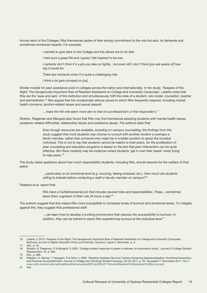Across each of the Colleges, RAs themselves spoke of their strong commitment to the role but also, its demands and sometimes emotional impacts. For example:

*I wanted to give back to the College and this allows me to do that.* 

*I had such a great RA and I guess I felt inspired to be one.* 

*I certainly don't think it's a job you take on lightly…but even still I don't think [you are aware of] how big it would be.* 

*There are moments when it is quite a challenging role.*

*I think a lot gets dumped on [us].*

Similar models for peer assistance exist in colleges across the nation and internationally. In her study, 'Keepers of the Night: The Dangerously Important Role of Resident Assistants on College and University Campuses'*,* Letarte notes that RAs are the 'eyes and ears' of the institution and simultaneously fulfil the roles of a student, role model, counsellor, teacher and administrator.<sup>16</sup> She argues that the occasionally serious issues to which RAs frequently respond, including mental health concerns, alcohol-related issues and sexual assault:

*…make the RA role seem more akin to that of a professional's or first responder's.*<sup>17</sup>

Sharkin, Plageman and Mangold also found that RAs may find themselves assisting students with mental health issues, academic-related difficulties, relationship issues and substance abuse. The authors state that:

> *Even though resources are available, including on-campus counselling, the findings from this study suggest that most students may choose to consult with another student or perhaps a family member, rather than someone who might be in a better position to assist the troubled*  individual. This is not to say that students cannot be helpful to their peers, for the proliferation of *peer counseling and education programs is based on the fact that peer intervention can be quite effective. But there certainly may be instances where students 'get in over their heads' when trying to help peers.*<sup>18</sup>

The study raises questions about how much responsibility students, including RAs, should assume for the welfare of their peers:

> *…particularly on an emotional level (e.g. worrying, feeling stressed, etc.). How much are students willing to tolerate before contacting a staff or faculty member on campus?*<sup>19</sup>

Paladino et al. report that:

*RAs have a multidimensional job that includes several roles and responsibilities. These…sometimes leave them cognizant of their role 24 hours a day.*<sup>20</sup>

The authors suggest that this makes RAs more susceptible to increased levels of burnout and emotional stress. To mitigate against this, they suggest that professional staff:

> *…can learn how to develop a working environment that reduces the susceptibility to burnout. In addition, they can be trained to assist RAs experiencing burnout at the individual level.*<sup>21</sup>

<sup>16</sup> Letarte, C 2013, 'Keepers of the Night: The Dangerously Important Role of Resident Assistants on College and University Campuses', *Kentucky Journal of Higher Education Policy and Practice*, Volume 2, Issue 2, December, p. 5.

<sup>17</sup> ibid., p. 24.

<sup>18</sup> Sharkin, B, Plageman, P & Mangold, S 2003, 'College student response to peers in distress: An exploratory study', *Journal of College Student Development*, 44, p. 695.

<sup>19</sup> ibid.*,* p. 696.

<sup>20</sup> Paladino, D, Murray, T, Newgent, R & Gohn, L 2005, 'Resident Assistant Burnout: Factors Impacting Depersonalization, Emotional Exhaustion, and Personal Accomplishment' *Journal of College and University Student Housing*, Vol 33, No 2, p. 25. Accessed 17 November 2017, [http://](http://www.units.miamioh.edu/saf/reslife/reslife/manuals/edl301old/EDL377/Articles/Resident%20Assist) [www.units.miamioh.edu/saf/reslife/reslife/manuals/edl301old/EDL377/Articles/Resident%20Assistant%20Burnout.pdf.](http://www.units.miamioh.edu/saf/reslife/reslife/manuals/edl301old/EDL377/Articles/Resident%20Assist)

<sup>21</sup> ibid.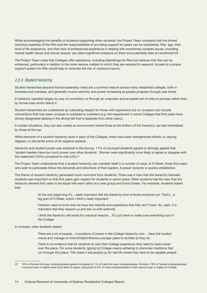<span id="page-13-0"></span>While acknowledging the benefits of students supporting other students, the Project Team considers that the limited technical expertise of the RAs and the responsibilities of providing support for peers can be substantial. RAs' age, their level of life experience, and their lack of professional experience in dealing with sometimes complex issues, including mental health issues and sexual assault, can place significant pressure on them and potentially take an emotional toll.

The Project Team notes that Colleges offer assistance, including debriefings for RAs but believes that this can be enhanced, particularly in relation to the more serious matters to which they are required to respond. Access to a proper support system for RAs would help to minimise the risk of vicarious trauma.

### *2.2.3 Student hierarchy*

Student hierarchies (beyond formal leadership roles) are a common feature across many residential colleges, both in Australia and overseas, and generally involve seniority and power increasing as people progress through year levels.

A hierarchy operates largely by way of convention or through an unspoken and accepted set of rules or process rather than by formal rules which define it.

Student hierarchies are understood as cultivating respect for those with experience but on occasion can include conventions that may seem unusual or outdated to outsiders (e.g. the requirement in some Colleges that first years have strictly designated seating in the dining hall that is separate from other years.)

In certain situations, they can also create an environment where those at the bottom of the hierarchy can feel intimidated by those at the top.

While elements of a student hierarchy exist in each of the Colleges, there have been strengthened efforts, to varying degrees, to dismantle some of its negative aspects.

Hierarchy and student power was explored in the Survey. 11% of surveyed students agreed or strongly agreed that 'student leaders have too much power over other students'. Women were significantly more likely to agree or disagree with this statement (15%) compared to men  $(4\%)$ .<sup>22</sup>

The Project Team understands that a student hierarchy can manifest itself in a number of ways. In O Week, those first years who wish to participate follow the demands and directions of their leaders. A power dynamic is quickly established.

The theme of student hierarchy generated much comment from students. There was a view that the hierarchy between students was important so that first years gain respect for students in senior years. Older students had the view that the hierarchy allowed first years to be equal with each other as a year group and bond closely. For example, students stated that:

> *At the very beginning it's…really important that the hierarchy kind of levels everyone out. That's…a big part of O Week, which I think's really important.*

> *Freshers need to know that we have the maturity and experience that they don't have. So, yeah, it is important that they respect us and see us with authority.*

*I think the hierarchy still exists for practical reasons... It's just there to make sure everything runs in the College.*

In contrast, other students stated:

*There are a lot of people…in positions of power in the College hierarchy who …have the loudest voices and manage to indoctrinate/influence younger years to act/talk as they do.* 

*There is no evidence that for students to own their College experience they need to have power over the place. For some students, [going to] College means adhering to draconian traditions that run through this place. This doesn't set people up for real life where they have to be capable people.*

<sup>22</sup> 10% of female first-year undergraduates agreed compared to 1% of male first-year undergraduates. Similarly, 19% of female undergraduates in second year or higher were more likely to agree, compared to 5% of male undergraduates in their second year or higher at College.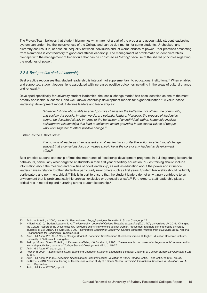<span id="page-14-0"></span>The Project Team believes that student hierarchies which are not a part of the proper and accountable student leadership system can undermine the inclusiveness of the College and can be detrimental for some students. Unchecked, any hierarchy can result in, at best, an inequality between individuals and, at worst, abuses of power. Poor practices emanating from hierarchies is contradictory to good and ethical leadership. The management of problematic student hierarchies overlaps with the management of behaviours that can be construed as 'hazing' because of the shared principles regarding the workings of power.

### *2.2.4 Best practice student leadership*

Best practice recognises that student leadership is integral, not supplementary, to educational institutions.<sup>23</sup> When enabled and supported, student leadership is associated with increased positive outcomes including in the areas of cultural change and renewal.<sup>24</sup>

Developed specifically for university student leadership, the 'social change model' has been identified as one of the most broadly applicable, successful, and well-known leadership development models for higher education.25 A value-based leadership development model, it defines leaders and leadership as:

> [A] leader [is] one who is able to effect positive change for the betterment of others, the community, *and society. All people, in other words, are potential leaders. Moreover, the process of leadership cannot be described simply in terms of the behaviour of an individual; rather, leadership involves collaborative relationships that lead to collective action grounded in the shared values of people who work together to effect positive change.*<sup>26</sup>

Further, as the authors state:

*The notions of leader as change agent and of leadership as collective action to effect social change suggest that a conscious focus on values should be at the core of any leadership development effort.*<sup>27</sup>

Best practice student leadership affirms the importance of 'leadership development programs' in building strong leadership behaviours, particularly when targeted at students in their first year of tertiary education.28 Such training should include information about the meaning and qualities of good leadership, as well as education about the power and influence leaders have in relation to other students – particularly newcomers such as first years. Student leadership should be highly participatory and non-hierarchical.<sup>29</sup> This is in part to ensure that the student leaders do not unwittingly contribute to an environment that is problematically hierarchical, exclusive or potentially unsafe.<sup>30</sup> Furthermore, staff leadership plays a critical role in modelling and nurturing strong student leadership.<sup>31</sup>

<sup>23</sup> Astin, W & Astin, H 2000, *Leadership Reconsidered: Engaging Higher Education in Social Change*, p. 27.

<sup>24</sup> Hilliard, A 2010, 'Student Leadership At The University.' *Journal of College Teaching & Learning (TLC), 7*(2); Universities UK 2016, 'Changing the Culture: Report of the Universities UK Taskforce examining violence against women, harassment and hate crime affecting university students' p. 32; Dugan, J & Komives, S 2007, *Developing Leadership Capacity in College Students: Findings from a National Study*, National Clearinghouse for Leadership Programs, p. 8.

<sup>25</sup> Astin, H & Astin, W 1996, *A Social Change Model of Leadership Development*: Guidebook version III, Higher Education Research Institute, University of California, Los Angeles.

<sup>26</sup> ibid., p. 16; also Cress, C, Astin, H, Zimmerman-Oster, K & Burkhardt, J 2001, 'Developmental outcomes of college students' involvement in leadership activities', *Journal of College Student Development,* 42:1, p. 15–27.

<sup>27</sup> Astin, H & Astin, W, op. cit., p. 16.

<sup>28</sup> Posner, B 2009, 'A Longitudinal Study Examining Change in Students' Leadership Behaviour', *Journal of College Student Development,* 50,5; p. 551.

<sup>29</sup> Astin, H & Astin, W 2000, *Leadership Reconsidered: Engaging Higher Education in Social Change*; Astin, H and Astin, W 1996, op. cit.

<sup>30</sup> de Klerk, V 2013, 'Initiation, Hazing or Orientation? A case study at a South African University', *International Research in Education*, [Vol. 1,](http://www.macrothink.org/journal/index.php/ire/issue/view/199)  [No. 1, September.](http://www.macrothink.org/journal/index.php/ire/issue/view/199)

<sup>31</sup> Astin, H & Astin, W 2000, op. cit.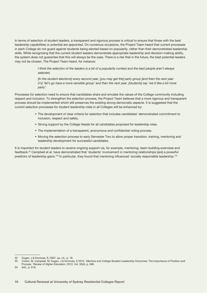In terms of selection of student leaders, a transparent and rigorous process is critical to ensure that those with the best leadership capabilities or potential are appointed. On numerous occasions, the Project Team heard that current processes in each College do not guard against students being elected based on popularity, rather than their demonstrated leadership skills. While recognising that the current student leaders demonstrate appropriate leadership and decision-making ability, the system does not guarantee that this will always be the case. There is a risk that in the future, the best potential leaders may not be chosen. The Project Team heard, for instance:

> *I think the selection of the leaders is a bit of a popularity contest and the best people aren't always selected.*

*[In the student elections] every second year, [you may get the] party group [and then the next year it's]* 'let's go have a more sensible group' and then the next year, [students] say 'we'd like a bit more *party'.*

Processes for selection need to ensure that candidates share and emulate the values of the College community including respect and inclusion. To strengthen the selection process, the Project Team believes that a more rigorous and transparent process should be implemented which still preserves the existing strong democratic aspects. It is suggested that the current selection processes for student leadership roles in all Colleges will be enhanced by:

- The development of clear criteria for selection that includes candidates' demonstrated commitment to inclusion, respect and safety.
- Strong support by the College Heads for all candidates proposed for leadership roles.
- The implementation of a transparent, anonymous and confidential voting process.
- Moving the selection process to early Semester Two to allow proper transition, training, mentoring and leadership development for successful candidates.

It is important for student leaders to receive ongoing support via, for example, mentoring, team-building exercises and feedback.32 Campbell et al. have demonstrated that 'students' involvement in mentoring relationships [are] a powerful predictor of leadership gains.<sup>'33</sup> In particular, they found that mentoring influenced 'socially responsible leadership.'<sup>34</sup>

<sup>32</sup> Dugan, J & Komives, S, 2007, op. cit., p. 18.

<sup>33</sup> Corbin, M, Campbell, M, Dugan, J & Komives, S 2012, 'Mentors and College Student Leadership Outcomes: The Importance of Position and Process.' *Review of Higher Education*, 2012, Vol. 35(4), p. 596.

<sup>34</sup> ibid., p. 618.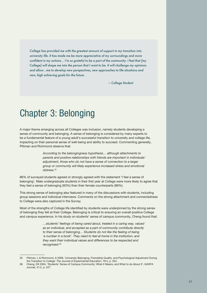<span id="page-16-0"></span>*College has provided me with the greatest amount of support in my transition into university life. It has made me be more appreciative of my surroundings and more confident in my actions… I'm so grateful to be a part of the community. I feel that [my College] will shape me into the person that I want to be. It will challenge my opinions and allow…me to develop new perspectives, new approaches to life situations and new, high achieving goals for the future.*

– College Student

# Chapter 3: Belonging

A major theme emerging across all Colleges was inclusion, namely students developing a sense of community and belonging. A sense of belonging is considered by many experts to be a fundamental feature of a young adult's successful transition to university and college life, impacting on their personal sense of well-being and ability to succeed. Commenting generally, Pittman and Richmond observe that:

> *According to the belongingness hypothesis… although attachments to parents and positive relationships with friends are important in individuals' adjustment, those who do not have a sense of connection to a larger group or community will likely experience increased stress and emotional distress.*<sup>35</sup>

86% of surveyed students agreed or strongly agreed with the statement 'I feel a sense of belonging'. Male undergraduate students in their first year at College were more likely to agree that they feel a sense of belonging (93%) than their female counterparts (86%).

This strong sense of belonging also featured in many of the discussions with students, including group sessions and individual interviews. Comments on the strong attachment and connectedness to College were also captured in the Survey.

Most of the strengths of College life identified by students were underpinned by the strong sense of belonging they felt at their College. Belonging is critical to ensuring an overall positive College and campus experience. In his study on students' sense of campus community, Cheng found that:

> *…students' feelings of being cared about, treated in a caring way, valued as an individual, and accepted as a part of community contribute directly to their sense of belonging… Students do not like the feeling of being 'a number in a book'. They need to feel at home in the institution, and they want their individual values and differences to be respected and recognised.*<sup>36</sup>

<sup>35</sup> Pittman, L & Richmond, A 2008, 'University Belonging, Friendship Quality, and Psychological Adjustment During the Transition to College' *The Journal of Experimental Education*, 76:4, p. 354.

<sup>36</sup> Cheng, DX 2004, 'Students' Sense of Campus Community: What it Means, and What to do About It', *NASPA Journal*, 41:2, p. 227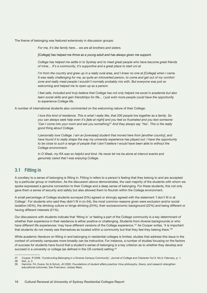<span id="page-17-0"></span>The theme of belonging was featured extensively in discussion groups:

*For me, it's like family here… we are all brothers and sisters.*

[College] has helped me thrive as a young adult and has always given me support.

*College has helped me settle in to Sydney and to meet great people who have become great friends of mine… It's a community, it's supportive and a great place to start uni at.* 

*I'm from the country and grew up in a really rural area, and I knew no one at [College] when I came. It was really challenging for me, as quite an introverted person, to come and get out of my comfort zone and really meet people I wouldn't normally probably mix with. But everyone was just so welcoming and helped me to open up as a person.* 

*I feel safe, included and truly believe that College has not only helped me excel in academia but also*  learn social skills and gain friendships for life... I just wish more people could have the opportunity *to experience College life.*

A number of international students also commented on the welcoming nature of their College:

*I love this kind of residence. This is what I really like, that 200 people live together as a family. So you can always seek help even it's [late at night] and you feel so frustrated and you text someone: 'Can I come into your room and ask you something?' And they always say 'Yes'. This is the really good thing about College.*

*I* personally love College. I am an [overseas] student that moved here from [another country], and *have found it to really shape the way my university experience has played out. I have the opportunity*  to be close to such a range of people that I don't believe I would have been able to without the *College environment.*

*In O Week, my RA was so helpful and kind. He never let me be alone at intercol events and genuinely cared that I was enjoying College.*

## 3.1 Fitting in

A corollary to a sense of belonging is fitting in. Fitting in refers to a person's feeling that they belong to and are accepted by a particular group or institution. As the discussion above demonstrates, the vast majority of the students with whom we spoke expressed a genuine connection to their College and a deep sense of belonging. For these students, this not only gave them a sense of security and safety but also allowed them to flourish within the College environment.

A small percentage of College students surveyed (5%) agreed or strongly agreed with the statement 'I don't fit in at College'. For students who said they didn't fit in (n=54), the most common reasons given were exclusion and/or social isolation (45%), the drinking culture or binge drinking (24%), their socioeconomic background (22%) and being different or having different interests (21%).

Our discussions with students indicate that 'fitting in' or feeling a part of the College community is a key determinant of whether their experience in their residence is either positive or challenging. Students from diverse backgrounds or who have different life experiences 'may have different versions of the College experience.'<sup>37</sup> As Cooper writes, 'it is important that students do not merely see themselves as located within a community but that they feel they belong there.'38

While academic literature on fitting in and belonging in residential colleges is limited, studies that address this issue in the context of university campuses more broadly can be instructive. For instance, a number of studies focusing on the factors of success for students have found that a student's sense of belonging is a key criterion as to whether they develop and succeed in a university or college (as defined in the US context) setting.<sup>39</sup>

<sup>37</sup> Cooper, R 2009, 'Constructing Belonging in a Diverse Campus Community', *Journal of College and Character* Vol X, No.3, February, p. 1.

ibid., p. 2. 39 Hamrick, FA, Evans, NJ & Schuh, JH 2002, *Foundations of student affairs practice: How philosophy, theory, and research strengthen educational outcomes*. San Francisco: Jossey-Bass.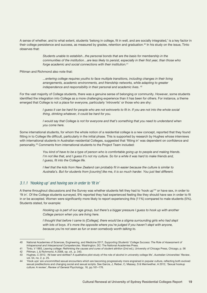<span id="page-18-0"></span>A sense of whether, and to what extent, students 'belong in college, fit in well, and are socially integrated,' is a key factor in their college persistence and success, as measured by grades, retention and graduation.<sup>40</sup> In his study on the issue, Tinto observes that:

> *Students unable to establish...the personal bonds that are the basis for membership in the communities of the institution…are less likely to persist, especially in their first year, than those who forge academic and social connections with their institution.*<sup>41</sup>

Pittman and Richmond also note that:

*...entering college requires youths to face multiple transitions, including changes in their living arrangements, academic environments, and friendship networks, while adapting to greater independence and responsibility in their personal and academic lives*. 42

For the vast majority of College students, there was a genuine sense of belonging or community. However, some students identified the integration into College as a more challenging experience than it has been for others. For instance, a theme emerged that College is not a place for everyone, particularly 'introverts' or those who are shy:

> *I guess it can be hard for people who are not extroverts to fit in. If you are not into the whole social thing, drinking whatever, it could be hard for you.*

*I* would say that College is not for everyone and that's something that you need to understand when *you come here.*

Some international students, for whom the whole notion of a residential college is a new concept, reported that they found fitting in to College life difficult, particularly in the initial phase. This is supported by research by Hughes whose interviews with international students in Australian residential Colleges, suggested that 'fitting in' was dependent on confidence and personality.43 Comments from international students to the Project Team included:

> *You kind of have to be a type of person who is comfortable going up to people and making friends. I'm not like that, and I guess it's not my culture. So for a while it was hard to make friends and, I guess, fit into the College life.*

*I feel that the kids from New Zealand can probably fit in easier because the culture is similar to Australia's. But for students from [country] like me, it is so much harder. You just feel different.* 

## *3.1.1 'Hooking up' and having sex in order to 'fit in'*

A theme throughout discussions and the Survey was whether students felt they had to 'hook up'44 or have sex, in order to 'fit in'. Of the College students surveyed, 9% reported they had experienced feeling like they should have sex in order to fit in or be accepted. Women were significantly more likely to report experiencing this (11%) compared to male students (5%). Students stated, for example:

> *Hooking up is part of our age group, but there's a bigger pressure I guess to hook up with another College person when you are living here.*

> *I thought that before I came to [College], there would be a stigma surrounding girls who had slept with lots of boys. It's more the opposite where you're judged if you haven't slept with anyone, because you're not seen as fun or even somebody worth talking to.*

<sup>40</sup> National Academies of Sciences, Engineering, and Medicine 2017, *Supporting Students' College Success: The Role of Assessment of Intrapersonal and Interpersonal Competencies*. Washington, DC: The National Academies Press.

<sup>41</sup> Tinto, V 1993, *Leaving college: Rethinking the causes and cures of student attrition* (2nd ed.), University of Chicago Press, Chicago, p. 56 42 Pittman, L & Richmond, A 2008, op. cit., p. 343.

<sup>43</sup> Hughes, C 2012, 'All beer and skittles? A qualitative pilot study of the role of alcohol in university college life', *Australian Universities' Review*, vol. 54, no. 2, p. 25.

<sup>44</sup> 'Hook ups' are uncommitted sexual encounters which are becoming progressively more engrained in popular culture, reflecting both evolved sexual predilections and changing social and sexual scripts. See Garcia, J, Reiber, C, Massey, S & Merriwether, A 2012, 'Sexual hookup culture: A review', *Review of General Psychology*, 16, pp.161–176.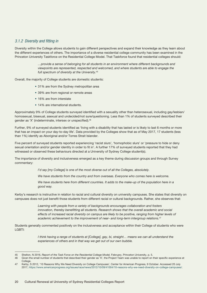## <span id="page-19-0"></span>*3.1.2 Diversity and fitting in*

Diversity within the College allows students to gain different perspectives and expand their knowledge as they learn about the different experiences of others. The importance of a diverse residential college community has been examined in the Princeton University Taskforce on the Residential College Model. That Taskforce found that residential colleges should:

> *…provide a sense of belonging for all students in an environment where different backgrounds and viewpoints are represented, respected and welcomed, and where students are able to engage the full spectrum of diversity at the University.*<sup>45</sup>

Overall, the majority of College students are domestic students:

- 31% are from the Sydney metropolitan area
- 39% are from regional or remote areas
- 16% are from interstate
- 14% are international students.

Approximately 9% of College students surveyed identified with a sexuality other than heterosexual, including gay/lesbian/ homosexual, bisexual, asexual and undecided/not sure/questioning. Less than 1% of students surveyed described their gender as 'X' (indeterminate, intersex or unspecified).46

Further, 9% of surveyed students identified as 'living with a disability that has lasted or is likely to last 6 months or more that has an impact on your day-to-day life'. Data provided by the Colleges show that as of May 2017, 17 students (less than 1%) identify as Aboriginal and/or Torres Strait Islander.

Five percent of surveyed students reported experiencing 'racist slurs', 'homophobic slurs' or 'pressure to hide or deny sexual orientation and/or gender identity in order to fit in'. A further 17% of surveyed students reported that they had witnessed or observed these behaviours directed at a University of Sydney College student(s).

The importance of diversity and inclusiveness emerged as a key theme during discussion groups and through Survey commentary:

*I'd say [my College] is one of the most diverse out of all the Colleges, absolutely.*

*We have students from the country and from overseas. Everyone who comes here is welcome.* 

*We have students here from different countries. It adds to the make-up of the population here in a good way.*

Kerby's research is instructive in relation to racial and cultural diversity on university campuses. She states that diversity on campuses does not just benefit those students from different racial or cultural backgrounds. Rather, she observes that:

> *Learning with people from a variety of backgrounds encourages collaboration and fosters innovation, thereby benefitting all students. [Research](http://www.naeducation.org/Meredith_Report.pdf) shows that the overall academic and social effects of increased racial diversity on campus are likely to be positive, ranging from higher levels of academic achievement to the improvement of near- and long-term intergroup relations.*<sup>47</sup>

Students generally commented positively on the inclusiveness and acceptance within their College of students who were LGBTI:

> *I think having a range of students at [College], gay, bi, straight... means we can all understand the experiences of others and in that way we get out of our own bubble.*

<sup>45</sup> Shelton, N 2016, *Report of the Task Force on the Residential College Model*, February, Princeton University, p. 5.<br>46 Given the small number of students that described their gender as 'X', the Project Team was unable t

Given the small number of students that described their gender as 'X', the Project Team was unable to report on their specific experience at College.

<sup>47</sup> Kerby, S 2012, '10 Reasons Why We Need Diversity on College Campuses', Center for American Progress, 9 October. Accessed 20 July 2017,<https://www.americanprogress.org/issues/race/news/2012/10/09/41004/10-reasons-why-we-need-diversity-on-college-campuses/>.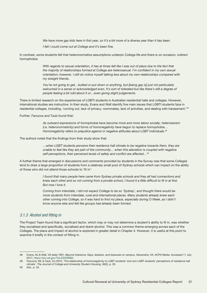*We have more gay kids here in first year, so it's a bit more of a diverse year than it has been.*

*I felt I could come out at College and it's been fine.*

<span id="page-20-0"></span>In contrast, some students felt that heteronormative assumptions underpin College life and there is on occasion, indirect homophobia:

> *With regards to sexual orientation, it has at times felt like I was out of place due to the fact that the majority of relationships formed at College are heterosexual. I'm confident in my own sexual orientation; however, I still do notice myself talking less about my own relationships compared with my straight friends.*

*You're not going to get…bullied or put down or anything, but [being gay is] just not particularly welcomed in a sense or acknowledged even. It's sort of tolerated but like there's still a degree of people feeling a bit odd about it or…even giving slight judgements.*

There is limited research on the experiences of LGBTI students in Australian residential halls and colleges. However, international studies are instructive. In their study, Evans and Wall identify five main issues that LGBTI students face in residential colleges, including, 'coming out, lack of privacy, roommates, lack of activities, and dealing with harassment.'48

Further, Fanucce and Taub found that:

*As outward expressions of homophobia have become more and more taboo socially, heterosexism (i.e. heteronormativity) and forms of homonegativity have begun to replace homophobia… Homonegativity refers to prejudice against or negative attitudes about LGBT individuals.*<sup>49</sup>

The authors noted that the findings from their study show that:

*…when LGBT students perceive their residence hall climate to be negative towards them, they are unable to feel like they are part of the community… when this alienation is coupled with negative self-perceptions, their perceived levels of safety and conflict are affected…*<sup>50</sup>

A further theme that emerged in discussions and comments provided by students in the Survey was that some Colleges tend to draw a large proportion of students from a relatively small pool of Sydney schools which can impact on the ability of those who did not attend those schools to 'fit in':

> *I found that many people here came from Sydney private schools and they all had connections and knew each other and so not coming from a private school, I found it a little difficult to fit in at first. But now I love it.*

*Coming from interstate, I did not expect College to be so 'Sydney', and thought there would be more students from interstate, rural and international places. Many students already knew each other coming into College, so it was hard to find my place, especially during O Week, as I didn't know anyone else and felt like groups had already been formed.*

## *3.1.3 Alcohol and fitting in*

The Project Team found that a significant factor, which may or may not determine a student's ability to fit in, was whether they socialised and specifically, socialised and drank alcohol. This was a common theme emerging across each of the Colleges. The place and impact of alcohol is explored in greater detail in Chapter 4. However, it is useful at this point to examine it briefly in the context of fitting in.

<sup>48</sup> Evans, NJ & Wall, VA (eds) 1991*, Beyond tolerance: Gays, lesbians, and bisexuals on campus*. Alexandria, VA: ACPA Media. Accessed 11 July 2017, [https://eric.ed.gov/?id=ED336682.](https://eric.ed.gov/?id=ED336682)

<sup>49</sup> Fanucce, ML & Taub, DJ 2010, 'The relationship of homonegativity to LGBT students' and non-LGBT students' perceptions of residence hall climate'. *The Journal of College and University Student Housing*, 36(2), p. 26.

<sup>50</sup> ibid., p. 34.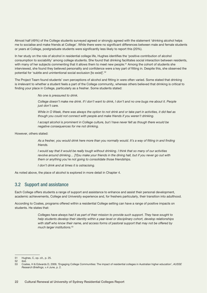<span id="page-21-0"></span>Almost half (49%) of the College students surveyed agreed or strongly agreed with the statement 'drinking alcohol helps me to socialise and make friends at College'. While there were no significant differences between male and female students or years at College, postgraduate students were significantly less likely to report this (20%).

In her study on the role of alcohol in residential college life, Hughes identifies the 'positive contribution of alcohol consumption to sociability' among college students. She found that drinking facilitates social interaction between residents, with many of her subjects commenting that it allows them to meet new people.<sup>51</sup> Among the cohort of students she interviewed, she found they believed personality and confidence were a key part of fitting in. Despite this, she observed the potential for 'subtle and unintentional social exclusion [to exist]'*.* 52

The Project Team found students' own perceptions of alcohol and fitting in were often varied. Some stated that drinking is irrelevant to whether a student feels a part of the College community, whereas others believed that drinking is critical to finding your place in College, particularly as a fresher. Some students stated:

*No one is pressured to drink.* 

*College doesn't make me drink. If I don't want to drink, I don't and no one bugs me about it. People just don't care.* 

*While in O Week, there was always the option to not drink and or take part in activities, it did feel as though you could not connect with people and make friends if you weren't drinking.*

*I accept alcohol is prominent in College culture, but I have never felt as though there would be negative consequences for me not drinking.* 

However, others stated:

*As a fresher, you would drink here more than you normally would. It's a way of fitting in and finding friends.*

*I would say that it would be really tough without drinking. I think that so many of our activities revolve around drinking… [Y]ou make your friends in the dining hall, but if you never go out with them or anything you're not going to consolidate those friendships.*

*I don't drink and at times it is ostracising.*

As noted above, the place of alcohol is explored in more detail in Chapter 4.

## 3.2 Support and assistance

Each College offers students a range of support and assistance to enhance and assist their personal development, academic achievements, College and University experience and, for freshers particularly, their transition into adulthood.

According to Coates, programs offered within a residential College setting can have a range of positive impacts on students. He states that:

> *Colleges have always had it as part of their mission to provide such support. They have sought to help students develop their identity within a year-level or disciplinary cohort, develop relationships*  with staff who know their name, and access forms of pastoral support that may not be offered by *much larger institutions.*<sup>53</sup>

<sup>51</sup> Hughes, C, op. cit., p. 25.<br>52 ibid

ibid.

<sup>53</sup> Coates, H & Edwards D, 2009, 'Engaging College Communities: The impact of residential colleges in Australian higher education', *AUSSE Research Briefings*, v.4 June, p. 2.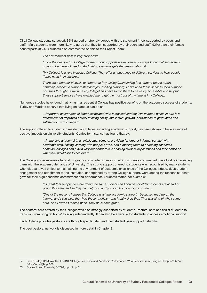Of all College students surveyed, 89% agreed or strongly agreed with the statement 'I feel supported by peers and staff'. Male students were more likely to agree that they felt supported by their peers and staff (92%) than their female counterparts (88%). Students also commented on this to the Project Team:

*The environment here is very supportive.* 

*I think the best part of College for me is how supportive everyone is. I always know that someone's going to be there if I need it. And I think everyone gets that feeling about it.* 

*[My College] is a very inclusive College. They offer a huge range of different services to help people if they need it, in any area.*

*There are a number of levels of support at [my College]…including [the student peer support network], academic support staff and [counselling support]. I have used these services for a number of issues throughout my time at [College] and have found them to be easily accessible and helpful. These support services have enabled me to get the most out of my time at [my College].* 

Numerous studies have found that living in a residential College has positive benefits on the academic success of students. Turley and Wodtke observe that living on campus can be an:

> *…important environmental factor associated with increased student involvement, which in turn is a determinant of improved critical thinking ability, intellectual growth, persistence to graduation and satisfaction with college.*<sup>54</sup>

The support offered to students in residential Colleges, including academic support, has been shown to have a range of positive impacts on University students. Coates for instance has found that by:

> *…immersing [students] in an intellectual climate, providing for greater informal contact with academic staff, linking learning with people's lives, and exposing them to enriching academic contexts, colleges can play a very important role in shaping student expectations and their sense of what they would like to achieve.*<sup>55</sup>

The Colleges offer extensive tutorial programs and academic support, which students commented was of value in assisting them with the academic demands of University. The strong support offered to students was recognised by many students who felt that it was critical to maintaining the environment of academic excellence of the Colleges. Indeed, deep student engagement and attachment to the institution, underpinned by strong College support, were among the reasons students gave for their high academic commitment and performance. Students stated, for example:

> *It's great that people here are doing the same subjects and courses or older students are ahead of you in this area, and so they can help you and you can bounce things off them.*

> [One of the reasons I chose this College was] the academic support...because I read up on the *internet and I saw how they had those tutorials…and I really liked that. That was kind of why I came here. And I haven't looked back. They have been great.*

The pastoral care offered by the Colleges was also strongly supported by students. Pastoral care can assist students to transition from living 'at home' to living independently. It can also be a vehicle for students to access emotional support.

Each College provides pastoral care through specific staff and their student peer support networks.

The peer pastoral network is discussed in more detail in Chapter 2.

<sup>54</sup> Lopez Turley, RN & Wodtke, G 2010, 'College Residence and Academic Performance: Who Benefits From Living on Campus?', *Urban Education* 45(4), p. 508.

<sup>55</sup> Coates, H and Edwards, D 2009, op. cit., p. 3.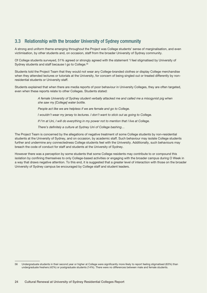## <span id="page-23-0"></span>3.3 Relationship with the broader University of Sydney community

A strong and uniform theme emerging throughout the Project was College students' sense of marginalisation, and even victimisation, by other students and, on occasion, staff from the broader University of Sydney community.

Of College students surveyed, 51% agreed or strongly agreed with the statement 'I feel stigmatised by University of Sydney students and staff because I go to College.<sup>56</sup>

Students told the Project Team that they would not wear any College-branded clothes or display College merchandise when they attended lectures or tutorials at the University, for concern of being singled out or treated differently by nonresidential students or University staff.

Students explained that when there are media reports of poor behaviour in University Colleges, they are often targeted, even when these reports relate to other Colleges. Students stated:

> *A female University of Sydney student verbally attacked me and called me a misogynist pig when she saw my [College] water bottle.*

*People act like we are helpless if we are female and go to College.*

*I wouldn't wear my jersey to lectures. I don't want to stick out as going to College.*

*If I'm at Uni, I will do everything in my power not to mention that I live at College.*

*There's definitely a culture at Sydney Uni of College bashing…*

The Project Team is concerned by the allegations of negative treatment of some College students by non-residential students at the University of Sydney, and on occasion, by academic staff. Such behaviour may isolate College students further and undermine any connectedness College students feel with the University. Additionally, such behaviours may breach the code of conduct for staff and students at the University of Sydney.

However there was a perception by some students that some College residents may contribute to or compound this isolation by confining themselves to only College-based activities or engaging with the broader campus during O Week in a way that draws negative attention. To this end, it is suggested that a greater level of interaction with those on the broader University of Sydney campus be encouraged by College staff and student leaders.

<sup>56</sup> Undergraduate students in their second year or higher at College were significantly more likely to report feeling stigmatised (63%) than undergraduate freshers (42%) or postgraduate students (14%). There were no differences between male and female students.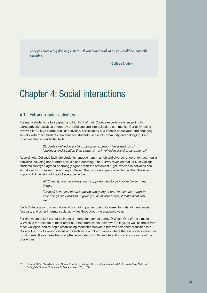<span id="page-24-0"></span>*Colleges have a big drinking culture… If you didn't drink at all you could be indirectly excluded.* 

– College Student

# Chapter 4: Social interactions

## 4.1 Extracurricular activities

For many students, a key aspect and highlight of their College experience is engaging in extracurricular activities offered by the College and intercollegiate community. Certainly, being involved in College extracurricular activities, participating in a chosen endeavour, and engaging socially with other students can enhance students' sense of community and belonging. Rinn observes that in residential halls:

> *Students involved in social organizations…report fewer feelings of loneliness and isolation than students not involved in social organizations.*<sup>57</sup>

Accordingly, Colleges facilitate students' engagement in a rich and diverse range of extracurricular activities including sport, drama, music and debating. The Survey revealed that 91% of College students surveyed agreed or strongly agreed with the statement 'I get involved in activities and social events organised through my College'. The discussion groups reinforced that this is an important dimension of the College experience:

> *At [College], you have many, many opportunities to be involved in so many things.*

> *[College] is not just about studying and going to uni. You can play sport or be in things like Palladian. It gives you an all round time, if that's what you want.*

Each College also runs social events including parties during O Week, formals, dinners, music festivals, and other informal social activities throughout the academic year.

For first years, a key part of their social interaction comes during O Week. One of the aims of O Week is for freshers to meet other students from within their own College, as well as those from other Colleges, and to begin establishing friendship networks that will help them transition into College life. The following discussion identifies a number of areas where there is social interaction for students. It examines the strengths associated with those interactions and also some of the challenges.

<sup>57</sup> Rinn, A 2004, 'Academic and Social Effects of Living in Honors Residence Halls', *Journal of the National Collegiate Honors Council – Online Archive.* 173*,* p. 68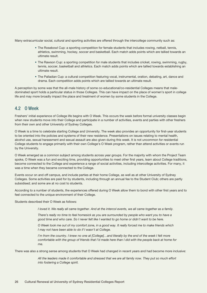<span id="page-25-0"></span>Many extracurricular social, cultural and sporting activities are offered through the intercollege community such as:

- The Rosebowl Cup: a sporting competition for female students that includes rowing, netball, tennis, athletics, swimming, hockey, soccer and basketball. Each match adds points which are tallied towards an ultimate result.
- The Rawson Cup: a sporting competition for male students that includes cricket, rowing, swimming, rugby, tennis, soccer, basketball and athletics. Each match adds points which are tallied towards establishing an ultimate result.
- The Palladian Cup: a cultural competition featuring vocal, instrumental, oration, debating, art, dance and drama. Each competition adds points which are tallied towards an ultimate result.

A perception by some was that the all-male history of some co-educational/co-residential Colleges means that maledominated sport holds a particular status in those Colleges. This can have impact on the place of women's sport in college life and may more broadly impact the place and treatment of women by some students in the College.

## 4.2 O Week

Freshers' initial experience of College life begins with O Week. This occurs the week before formal university classes begin when new students move into their College and participate in a number of activities, events and parties with other freshers from their own and other University of Sydney Colleges.

O Week is a time to celebrate starting College and University. The week also provides an opportunity for first-year students to be oriented into the policies and systems of their new residence. Presentations on issues relating to mental health, alcohol use, sexual harassment and sexual assault are also given during this week. It is not uncommon for residential College students to engage primarily with their own College's O Week program, rather than attend activities or events run by the University.

O Week emerged as a common subject among students across year groups. For the majority with whom the Project Team spoke, O Week was a fun and exciting time, providing opportunities to meet other first years, learn about College traditions, become connected to the College and experience a range of social activities, including intercollege activities. For many, it was a time when they became connected to the College.

Events occur on and off campus, and include parties at their home College, as well as at other University of Sydney Colleges. Some activities are paid for by students, including through an annual fee to the Student Club; others are partly subsidised; and some are at no cost to students.

According to a number of students, the experiences offered during O Week allow them to bond with other first years and to feel connected to the unique environment of their College.

Students described their O Week as follows:

*I loved it. We really all came together. And at the intercol events, we all came together as a family.* 

*There's really no time to feel homesick as you are surrounded by people who want you to have a good time and who care. So I never felt like I wanted to go home or didn't want to be here.* 

*O Week took me out of my comfort zone, in a good way. It really forced me to make friends which I may not have been able to do if I wasn't at College.*

*I'm from the country. I knew no one at [College]...and literally by the end of the week I felt more comfortable with the group of friends that I'd made here than I did with the people back at home for me.*

There was also a strong sense among students that O Week had changed in recent years and had become more inclusive:

*All the leaders made it comfortable and stressed that we are all family now. They put so much effort into fostering a College spirit.*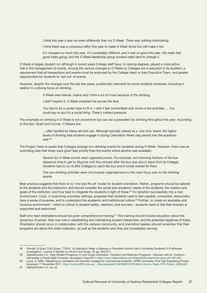*I think this year it was run even differently than my O Week. There was nothing intimidating.*

*I think there was a conscious effort this year to make O Week tamer but still make it fun.*

It's changed so much this year. It's completely different, and it was so good this year. We really had *good vibes going, and the O Week leadership group worked really hard to change it.*

O Week is largely student run although in recent years College staff have, to varying degrees, played a more active role in the management of events. Among the various changes to O Week by Colleges are a reduction in its duration, a requirement that all transactions and events must be endorsed by the College Head or their Executive Team, and greater opportunities for students to 'opt out' of events.

However, despite the changes over the last few years, problematic elements for some students remained, including in relation to a strong focus on drinking:

*O Week was intense, insane and I think a lot of it was because of the drinking.* 

*I didn't expect it. O Week smacked me across the face.* 

*You had to be a certain type to fit in. I didn't feel comfortable with some of the activities … You could say no but it's a social thing. There's indirect pressure.*

The emphasis on drinking in O Week is not uncommon but can set a precedent for drinking throughout the year. According to Riordan, Scarf and Conner, O Weeks are:

> *…often typified by heavy alcohol use. Although typically viewed as a 'one time' event, the higher levels of drinking that students engage in during Orientation Week may persist into the academic year.*<sup>58</sup>

The Project Team is aware that Colleges arrange non-drinking events for students during O Week. However, there was an overriding view that these were given less priority than the events where alcohol was available:

> *Several dry O Week events were organised poorly. For example, not informing freshers of the bus departure time to get to Skyzone until five minutes after the bus was due to leave from [a College]. Students had to run to [the College] to catch the bus which luckily waited for them.*

> The non-drinking activities were not properly organised and so the main focus was on the drinking *events.*

Best practice suggests that there is no 'one size fits all' model for student orientation. Rather, programs should be tailored to the students and the institution, and should consider the social and academic needs of the students; the mission and goals of the institution; and how best to integrate the students in light of these.<sup>59</sup> To transition successfully into a new environment, Lizzio, in examining university settings, proposes that students need to feel capable, connected, resourceful, have a sense of purpose, and to understand the academic and institutional culture.<sup>60</sup> Further, to create an equitable and inclusive environment – which is critical to student safety, retention, and success – students need to feel that diversity is supported and welcomed.

Staff who lead orientations should be given comprehensive training.<sup>61</sup> This training should include education about the dynamics of power; their own role in establishing and maintaining student hierarchies; and the potential negatives of these. Orientation should occur in collaboration with the campus community, and orientation leaders should remember that their programs are about the wider institution, as well as the students who they are immediately serving.

<sup>58</sup> Riordan, B Scarf, D & Conner, T 2015, 'Is Orientation Week a Gateway to Persistent Alcohol Use in University Students? A Preliminary Investigation', *Journal of Studies on Alcohol and Drugs*, 76, pp. 204–211.

<sup>59</sup> HigherEdJobs n.d., 'New Student Programs: A Look Inside Orientation, Transition and Retention Programs', Interview with Dr. Cynthia L. Hernandez of Texas A&M University. Accessed 3 Aug 2017, <https://www.higheredjobs.com/HigherEdCareers/interviews.cfm?ID=402>.

<sup>60</sup> Lizzio, A, 2006, 'Designing an orientation and transition strategy for commencing students', Griffith University: First Year Experience Project. Accessed 17 November 2017, [https://www.griffith.edu.au/\\_\\_data/assets/pdf\\_file/0008/51875/Alfs-5-Senors-Paper-FYE-Project,-2006.pdf](https://www.griffith.edu.au/__data/assets/pdf_file/0008/51875/Alfs-5-Senors-Paper-FYE-Project,-2006.).

<sup>61</sup> HigherEdJobs n.d., op. cit.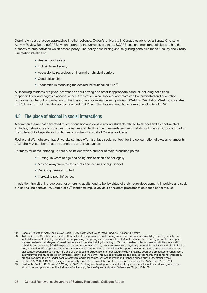<span id="page-27-0"></span>Drawing on best practice approaches in other colleges, Queen's University in Canada established a Senate Orientation Activity Review Board (SOARB) which reports to the university's senate. SOARB sets and monitors policies and has the authority to stop activities which breach policy. The policy bans hazing and its guiding principles for its 'Faculty and Group Orientation Week' are:

- Respect and safety.
- Inclusivity and equity.
- Accessibility regardless of financial or physical barriers.
- Good citizenship.
- Leadership in modelling the desired institutional culture.<sup>62</sup>

All incoming students are given information about hazing and other inappropriate conduct including definitions, responsibilities, and negative consequences. Orientation Week leaders' contracts can be terminated and orientation programs can be put on probation on the basis of non-compliance with policies. SOARB's Orientation Week policy states that 'all events must have risk assessment and that Orientation leaders must have comprehensive training.'<sup>63</sup>

## 4.3 The place of alcohol in social interactions

A common theme that generated much discussion and debate among students related to alcohol and alcohol-related attitudes, behaviours and activities. The nature and depth of the comments suggest that alcohol plays an important part in the culture of College life and underpins a number of so-called College traditions.

Roche and Watt observe that University settings offer 'a unique social context' for the consumption of excessive amounts of alcohol.64 A number of factors contribute to this uniqueness.

For many students, entering university coincides with a number of major transition points:

- Turning 18 years of age and being able to drink alcohol legally.
- Moving away from the structures and routines of high school.
- Declining parental control.
- Increasing peer influence.

In addition, transitioning-age youth or emerging adults tend to be, by virtue of their neuro-development, impulsive and seek out risk-taking behaviours. Loxton et al.<sup>65</sup> identified impulsivity as a consistent predictor of student alcohol misuse.

<sup>62</sup> Senate Orientation Activities Review Board, 2016, *Orientation Week Policy Manual*, Queens University.

ibid., p. 25. For Orientation Committee Heads, this training includes: 'risk management, accessibility, sustainability, diversity, equity, and inclusivity in event planning, academic event planning, budgeting and sponsorship, interfaculty relationships, hazing prevention and peerto-peer leadership strategies.' O Week leaders are to receive training including on 'Student leaders' roles and responsibilities, orientation schedule and activities, SOARB expectations and recommendations, how to make events physically accessible, inclusive and discrimination free, how to identify, approach and refer a student in distress or need of mental health support, how to talk about, raise awareness of and discourage alcohol misuse, student Code of Conduct and expectations for behaviour including hazing, goals and objectives of Orientation, interfaculty relations, accessibility, diversity, equity, and inclusivity, resources available on campus, sexual health and consent, emergency procedures, how to be a leader post-Orientation, and local community engagement and responsibilities during Orientation Week.'

<sup>64</sup> Roche, A & Watt, K 1999, 'Drinking and university students: From celebration to inebriation', *Drug and Alcohol Review*, 18, p. 389.

<sup>65</sup> Loxton, N, Bunker, R, Dingle, G & Wong, V, 2015, 'Drinking not thinking: A prospective study of personality traits and drinking motives on alcohol consumption across the first year of university', *Personality and Individual Differences* 79, pp. 134–139.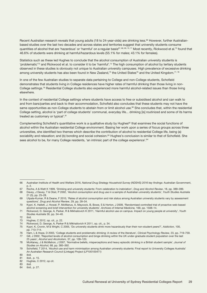Recent Australian research reveals that young adults (18 to 24-year-olds) are drinking less.<sup>66</sup> However, further Australianbased studies over the last two decades and across states and territories suggest that university students consume quantities of alcohol that are 'hazardous' or 'harmful' on a regular basis<sup>67, 68, 69, 70, 71</sup> Most recently, Rickwood et al.<sup>72</sup> found that 46.6% of students were drinking at harmful/hazardous levels (55.1% for males; 43.1% for females).

Statistics such as these led Hughes to conclude that the alcohol consumption of Australian university students is 'problematic'73 and Rickwood et al. to consider it to be 'harmful'.74 The high consumption of alcohol by tertiary students observed in these studies is obviously not unique to Australian university campuses. High prevalence of excessive drinking among university students has also been found in New Zealand,<sup>75</sup> the United States<sup>76</sup> and the United Kingdom.<sup>77, 78</sup>

In one of the few Australian studies to separate data pertaining to College and non-College students, Schofield demonstrates that students living in College residences have higher rates of harmful drinking than those living in non-College settings.79 Residential College students also experienced more harmful alcohol-related issues than those living elsewhere.

In the context of residential College settings where students have access to free or subsidised alcohol and can walk to and from bars/parties and back to their accommodation, Schofield also concludes that these students may not have the same opportunities as non-College students to abstain from or limit alcohol use.<sup>80</sup> She concludes that, within the residential College setting, alcohol is 'part of college students' communal, everyday life... drinking [is] routinized and some of its harms treated as customary or typical'.<sup>81</sup>

Complementing Schofield's quantitative work is a qualitative study by Hughes<sup>82</sup> that examines the social functions of alcohol within the Australian residential College environment. Basing her work upon a series of focus groups across three universities, she identified two themes which describe the contribution of alcohol to residential College life, being (a) sociability and relaxation; and (b) bonding and social cohesion.<sup>83</sup> Hughes's conclusion is similar to that of Schofield. She sees alcohol to be, for many College residents, 'an intrinsic part of the college experience'.<sup>84</sup>

77 Gill, J 2002, 'Reported levels of alcohol consumption and binge drinking within the UK under-graduate student population over the last 25 years', *Alcohol and Alcoholism,* 37, pp. 109–120.

78 McAlaney, J & McMahon, J 2007, 'Normative beliefs, misperceptions and heavy episodic drinking in a British student sample', *Journal of Studies on Alcohol,* 68, pp. 385–392.

<sup>66</sup> Australian Institute of Health and Welfare 2016, *National Drug Strategy Household Survey (NDSHS) 2016 key findings:* Australian Government, p. 2.

<sup>67</sup> Roche, A & Watt K 1999, 'Drinking and university students: From celebration to inebriation', *Drug and Alcohol Review*, 18, pp. 389–399.

<sup>68</sup> Davey, J Davey, T & Obst, P 2002, 'Alcohol consumption and drug use in a sample of Australian university students', *Youth Studies Australia* 21 (3), pp. 25–28.

<sup>69</sup> Utpala-Kumar, R & Deane, F 2010, 'Rates of alcohol consumption and risk status among Australian university students vary by assessment questions', *Drug and Alcohol Review*, 29, pp. 28–34.

<sup>70</sup> Kypri, K, Hallett, J, Howat, P, McManus, A, Maycock, B, Bowe, S & Horton, J 2009, 'Randomised controlled trial of proactive web-based alcohol screening and brief intervention for university students', *Archives of Internal Medicine,* 169, pp. 1508–14.

<sup>71</sup> Rickwood, D, George, A, Parker, R & Mikhailovich K 2011, 'Harmful alcohol use on campus. Impact on young people at university', *Youth Studies Australia* 30, pp. 34–40.

<sup>72</sup> ibid.

<sup>73</sup> Hughes, C 2012, op. cit., p. 22.

<sup>74</sup> Rickwood, D, George, A, Parker R & Mikhailovich K 2011, op. cit.*,* p. 34.

<sup>75</sup> Kypri, K, Cronin, M & Wright, C 2005, 'Do university students drink more hazardously than their non-student peers?', *Addiction,* 100, pp. 713–714.

<sup>76</sup> Ham, L & Hope, D 2003, 'College students and problematic drinking: A review of the literature', *Clinical Psychology Review,* 23, pp. 719–759.

<sup>79</sup> Schofield, T 2014, 'Alcohol use and harm minimisation among Australian university students: Final report to University Colleges Australia' *An Australian Research Council (Linkage) Project (LP100100471)* 

<sup>80</sup> ibid.

<sup>81</sup> ibid., p. 15.<br>82 Hughes, C.

<sup>82</sup> Hughes, C 2012, op cit.<br>83 ibid ibid.

<sup>84</sup> ibid., p. 27.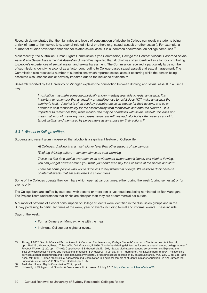<span id="page-29-0"></span>Research demonstrates that the high rates and levels of consumption of alcohol in College can result in students being at risk of harm to themselves (e.g. alcohol-related injury) or others (e.g. sexual assault or other assault). For example, a number of studies have found that alcohol-related sexual assault is a 'common occurrence' on college campuses.<sup>85</sup>

Most recently, the Australian Human Rights Commission's (the Commission) *Change the Course: National Report on Sexual Assault and Sexual Harassment at Australian Universities* reported that alcohol was often identified as a factor contributing to people's experiences of sexual assault and sexual harassment. The Commission received a particularly large number of submissions identifying alcohol as a factor contributing to College-based sexual assault and sexual harassment. The Commission also received a number of submissions which reported sexual assault occurring while the person being assaulted was unconscious or severely impaired due to the influence of alcohol.<sup>86</sup>

Research reported by the University of Michigan explains the connection between drinking and sexual assault in a useful way:

> *Intoxication may make someone physically and/or mentally less able to resist an assault. It is important to remember that an inability or unwillingness to resist does NOT make an assault the survivor's fault... Alcohol is often used by perpetrators as an excuse for their actions, and as an attempt to shift responsibility for the assault away from themselves and onto the survivor... It is important to remember that, while alcohol use may be correlated with sexual assault, this does not mean that alcohol use in any way causes sexual assault. Instead, alcohol is often used as a tool to target victims, and then used by perpetrators as an excuse for their actions.*<sup>87</sup>

### *4.3.1 Alcohol in College settings*

Students and recent alumni observed that alcohol is a significant feature of College life:

*At Colleges, drinking is at a much higher level than other aspects of the campus.* 

*[The] big drinking culture – can sometimes be a bit worrying.*

*This is the first time you've ever been in an environment where there's literally just alcohol flowing, you can just get however much you want, you don't even pay for it at some of the parties and stuff.* 

*There are some people who would drink less if they weren't in College. It's easier to drink because of internal events that are subsidised in student fees.* 

Some of the Colleges operate their own bars which open at various times, either during the week (during semester) or for events only.

The College bars are staffed by students, with second or more senior-year students being nominated as Bar Managers. The Project Team understands that drinks are cheaper than they are at commercial bar outlets.

A number of patterns of alcohol consumption of College students were identified in the discussion groups and in the Survey pertaining to particular times of the week, year or events including formal and informal events. These include:

Days of the week:

- Formal Dinners on Monday: wine with the meal
- Individual College bar nights or events

<sup>85</sup> Abbey, A 2002, 'Alcohol-Related Sexual Assault: A Common Problem among College Students' *Journal of Studies on Alcohol*, No. 14, pp. 118–128.; Abbey, A, Ross, LT, Mcduffie, D & Mcauslan, P 1996, 'Alcohol and dating risk factors for sexual assault among college women.' *Psychol. Women Q.* 20, pp. 147–169; Copenhaver, S & Grauerholz, E, 1991, 'Sexual victimization among sorority women: Exploring the links between sexual violence and institutional practices.' *Sex Roles* 24 (1–2), pp. 31–41; Harrington, NT & Leitenberg, H 1994, 'Relationship between alcohol consumption and victim behaviors immediately preceding sexual aggression by an acquaintance.' *Viol. Vict.* 9, pp. 315–324; Koss, MP 1988, 'Hidden rape: Sexual aggression and victimization in a national sample of students in higher education', in AW Burgess (ed) *Rape and Sexual Assault II,* New York: Garland, pp. 3–25.

<sup>86</sup> Australian Human Rights Commission 2017, op. cit.

<sup>87</sup> University of Michigan, n.d. 'Alcohol & Sexual Assault'. Accessed 21 July 2017,<https://sapac.umich.edu/article/50>.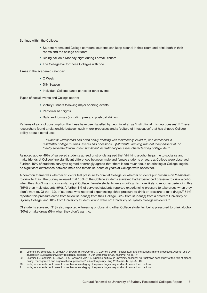Settings within the College:

- Student rooms and College corridors: students can keep alcohol in their room and drink both in their rooms and the college corridors.
- Dining hall on a Monday night during Formal Dinners.
- The College bar for those Colleges with one.

Times in the academic calendar:

- O Week
- Silly Season
- Individual College dance parties or other events.

Types of social events and College sports:

- Victory Dinners following major sporting events
- Particular bar nights
- Balls and formals (including pre- and post-ball drinks).

Patterns of alcohol consumption like these have been labelled by Leontini et al. as 'institutional micro-processes'.<sup>88</sup> These researchers found a relationship between such micro-processes and a 'culture of intoxication' that has shaped College policy about alcohol use:

> *…students' widespread and often heavy drinking was inextricably linked to, and enmeshed in residential college routines, events and occasions... [S]tudents' drinking was not independent of, or 'neatly separated' from, other significant institutional processes characterizing college life.*<sup>89</sup>

As noted above, 49% of surveyed students agreed or strongly agreed that 'drinking alcohol helps me to socialise and make friends at College' (no significant differences between male and female students or years at College were observed). Further, 15% of students surveyed agreed or strongly agreed that 'there is too much focus on drinking at College' (again, no significant differences between male and female students or years at College were observed).

A common theme was whether students feel pressure to drink at College, or whether students put pressure on *themselves* to drink to fit in. The Survey revealed that 13% of the College students surveyed had experienced pressure to drink alcohol when they didn't want to since starting at College. Female students were significantly more likely to report experiencing this (15%) than male students (9%). A further 1% of surveyed students reported experiencing pressure to take drugs when they didn't want to. Of the 13% of students who reported experiencing either pressure to drink or pressure to take drugs,<sup>90</sup> 84% reported this pressure came from fellow student(s) from their College, 28% from student(s) from a different University of Sydney College, and 10% from University student(s) who were not University of Sydney College residents.<sup>91</sup>

Of students surveyed, 31% also reported witnessing or observing other College student(s) being pressured to drink alcohol (30%) or take drugs (5%) when they didn't want to.

<sup>88</sup> Leontini, R, Schofield, T, Lindsay, J, Brown, R, Hepworth, J & Germov J 2015, 'Social stuff' and institutional micro-processes. Alcohol use by students in Australian university residential colleges' in *Contemporary Drug Problems*, 42, p. 171.

<sup>89</sup> Leontini, R, Schofield, T, Brown, R, & Hepworth, J 2017, 'Drinking culture' in university colleges: An Australian case study of the role of alcohol policy, management and organisational processes' in *Contemporary Drug Problems*, 44, pp. 32–48.

<sup>90</sup> Note, as students could select more than one category, the percentages may add up to more than the total.

<sup>91</sup> Note, as students could select more than one category, the percentages may add up to more than the total.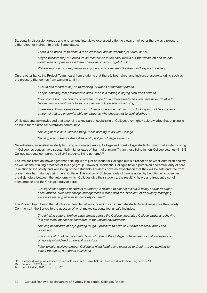Students in discussion groups and one-on-one interviews expressed differing views on whether there was a pressure, either direct or indirect, to drink. Some stated:

*There is no pressure to drink. It is an individual choice whether you drink or not.* 

*Maybe freshers may put pressure on themselves in the early weeks but that wears off and no one would ever put pressure on them or anyone to drink or get drunk.*

*We are adults so no one pressures anyone and no one feels like they can't say no to drinking.* 

On the other hand, the Project Team heard from students that there is both direct and indirect pressure to drink, such as the pressure that comes from wanting to fit in:

*I would find it hard to say no to drinking if I wasn't a confident person.*

*People definitely feel pressured to drink, even if [a leader] is saying 'you don't have to.'* 

*If you come from the country or you are not part of a group already and you have never drunk a lot before, you wouldn't want to stick out as the only person not drinking.* 

*There are still many small events at…College where the main focus is drinking alcohol (in excessive amounts) that are uncomfortable for students who choose not to drink alcohol.*

While students acknowledged that alcohol is a key part of socialising at College, they rightly acknowledge that drinking is an issue for the broader Australian community:

*Drinking here is an Australian thing. It has nothing to do with College.* 

*Drinking is an issue for Australian youth, not just College students.* 

Nevertheless, an Australian study focusing on drinking among College and non-College students found that students living in College residences have substantially higher rates of 'harmful drinking'<sup>92</sup> than those living in non-College settings (41.3% College students compared to 26.2% students living at home).<sup>93</sup>

The Project Team acknowledges that drinking is not just an issue for Colleges but is a reflection of wider Australian society, as well as the drinking practices of this age group. However, residential Colleges have a perceived and actual duty of care in relation to the safety and well-being of their students. Students have an expectation that they will be safe and free from preventable harm during their time at College. This notion of Colleges' duty of care is noted by Leontini, who observes the disjuncture between the autonomy which Colleges give their students, the resulting heavy and frequent alcohol consumption and the College's duty of care:

> *…a significant degree of student autonomy in relation to alcohol results in heavy and/or frequent consumption, such that college management is faced with the 'problem' of frequently managing excessive drinking alongside their duty of care.*<sup>94</sup>

The Project Team heard that alcohol can lead to behaviours which can intimidate students and jeopardise their safety. Comments in the Survey to the question of what makes students feel unsafe included:

> *The drinking culture, broken glass strewn across the College, inebriated College students behaving in a disorderly manner all contribute to the unsafe environment.*

*Drinking behaviours of boys getting rough – pressure to have sex if boys are really drunk and pressuring.*

*The antics of drunk, large athletic boys who live in the College... I have been verbally abused and physically intimidated on several occasions.*

*[I feel unsafe] walking through College at night [and] being exposed to drunk …boys wanting to cause trouble on numerous occasions.*

<sup>92</sup> 'Harmful drinking' was defined by Schofield as an AUDIT (Alcohol Use Disorders Identification Test) score of 10+.

<sup>93</sup> Schofield, T 2014, op. cit.

<sup>94</sup> Leontini et al., 2015, op. cit., p. 182.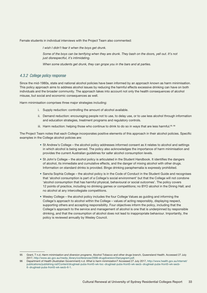<span id="page-32-0"></span>Female students in individual interviews with the Project Team also commented:

*I wish I didn't fear it when the boys get drunk.* 

Some of the boys can be terrifying when they are drunk. They bash on the doors, yell out. It's not *just disrespectful, it's intimidating.* 

*When some students get drunk, they can grope you in the bars and at parties.*

### *4.3.2 College policy response*

Since the mid-1980s, state and national alcohol policies have been informed by an approach known as harm minimisation. This policy approach aims to address alcohol issues by reducing the harmful effects excessive drinking can have on both individuals and the broader community. The approach takes into account not only the health consequences of alcohol misuse, but social and economic consequences as well.

Harm minimisation comprises three major strategies including:

- i. Supply reduction: controlling the amount of alcohol available.
- ii. Demand reduction: encouraging people not to use, to delay use, or to use less alcohol through information and education strategies, treatment programs and regulatory controls.
- iii. Harm reduction: helping those who continue to drink to do so in ways that are less harmful.<sup>95, 96</sup>

The Project Team notes that each College incorporates positive elements of this approach in their alcohol policies. Specific examples in the College alcohol policies are:

- St Andrew's College the alcohol policy addresses informed consent as it relates to alcohol and settings in which alcohol is being served. The policy also acknowledges the importance of harm minimisation and provides the current Australian guidelines for safer alcohol consumption levels.
- St John's College the alcohol policy is articulated in the Student Handbook. It identifies the dangers of alcohol, its immediate and cumulative effects, and the danger of mixing alcohol with other drugs. Information on standard drinks is provided. Binge drinking paraphernalia is expressly prohibited.
- Sancta Sophia College the alcohol policy is in the Code of Conduct in the Student Guide and recognises that 'alcohol consumption is part of a College's social environment' but that the College will not condone 'alcohol consumption that has harmful physical, behavioural or social outcomes'. The policy covers 12 points of practice, including no drinking games or competitions; no BYO alcohol in the Dining Hall; and no alcohol at any intercollegiate competitions.
- Wesley College the alcohol policy includes the four College Values as guiding and informing the College's approach to alcohol within the College – values of acting responsibly, displaying respect, supporting others and accepting responsibility. Four objectives inform the policy, including that the College's approach to the service and management of alcohol is one that is underpinned by responsible drinking, and that the consumption of alcohol does not lead to inappropriate behaviour. Importantly, the policy is reviewed annually by Wesley Council.

<sup>95</sup> Grant, T n.d. *Harm minimisation and diversion programs*. Alcohol Tobacco and other drugs branch, Queensland Health. Accessed 27 July 2017, [http://www.aic.gov.au/media\\_library/conferences/2006-drugdiversion/2tanyagrant.pdf.](http://www.aic.gov.au/media_library/conferences/2006-drugdiversion/2tanyagrant.pdf)

<sup>96</sup> Department of Health (Australian Government) n.d. *What is harm minimization?* Accessed 27 July 2017, [http://www.health.gov.au/internet/](http://www.health.gov.au/internet/publications/publishing.nsf/Content/drugtreat-pubs-front5-wk-toc~drugtreat-pubs-front5-wk-secb~drugtreat-pubs-front5-wk-secb-6~drugtreat-pubs-front5-wk-secb-6-1) [publications/publishing.nsf/Content/drugtreat-pubs-front5-wk-toc~drugtreat-pubs-front5-wk-secb~drugtreat-pubs-front5-wk-secb-](http://www.health.gov.au/internet/publications/publishing.nsf/Content/drugtreat-pubs-front5-wk-toc~drugtreat-pubs-front5-wk-secb~drugtreat-pubs-front5-wk-secb-6~drugtreat-pubs-front5-wk-secb-6-1)[6~drugtreat-pubs-front5-wk-secb-6-1](http://www.health.gov.au/internet/publications/publishing.nsf/Content/drugtreat-pubs-front5-wk-toc~drugtreat-pubs-front5-wk-secb~drugtreat-pubs-front5-wk-secb-6~drugtreat-pubs-front5-wk-secb-6-1).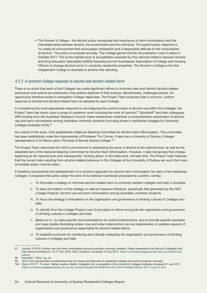<span id="page-33-0"></span>• The Women's College – the alcohol policy recognises the importance of harm minimisation and the interrelationship between alcohol, the environment and the individual. The explicit policy objective is 'to create an environment that encourages moderation and a responsible attitude to the consumption of alcohol'. The policy is reviewed annually. The College gained UniCan Accreditation Level 3 status in October 2017. This is the highest level of accreditation awarded by this national initiative between Alcohol and Drug Education Specialists (ADES) Australia and the Australasian Association of College and Housing Officers to change alcohol norms in university residential properties. The Women's College is the first independent College in Australia to achieve this standing.

### *4.3.3 A common College response to alcohol and alcohol-related harm*

There is no doubt that each of the Colleges has made significant efforts to minimise risks and harmful alcohol-related behaviours and actions as evidenced in the positive features of their policies. Nevertheless, challenges persist. An opportunity therefore exists to strengthen College responses. The Project Team proposes that a common, uniform response to alcohol and alcohol-related harm be adopted by each College.

In considering the most appropriate response to reconfiguring the current culture of alcohol use within the Colleges, the Project Team has drawn upon a range of academic work including the work of Leontini,<sup>97</sup> Schofield<sup>98</sup> and their colleagues. With funding from the Australian Research Council, these researchers undertook a comprehensive examination of alcohol use and harm minimisation among Australian university students (including those in residential colleges) for University Colleges Australia (UCA).99

As a result of this work, UCA established a National Steering Committee for Alcohol Harm Minimisation. This committee has been established under the chairmanship of Professor Tim Corney. It also has a University of Sydney Colleges' representative in Dr Marie Leech, Principal of Sancta Sophia College.100

The Project Team welcomes the UCA's commitment to addressing the issue of alcohol at the national level, as well as the establishment of the National Steering Committee for Alcohol Harm Minimisation. However, it also recognises that change, beginning at the national level and subsequently 'trickling down' to the state level, will take time. The Project Team believes that the current risks resulting from alcohol-related behaviour in the Colleges at the University of Sydney are such that more immediate action must be taken.

It therefore recommends the establishment of a common approach for alcohol harm minimisation for each of the residential Colleges. It proposes that policy adopt the aims of its national counterpart proposed by Leontini, namely:

- i. *To formulate a strategy to minimise alcohol-related harm in university resident colleges and halls in Australia.*
- ii. *To base formulation of the strategy on relevant research literature, specifically that generated by the ARC Linkage Projects: Alcohol use and harm minimisation among Australian university students.*
- iii. To focus the strategy's formulation on the organisation and governance of drinking cultures in Colleges and *halls.*
- iv. *To identify from the Linkage Project a set of principles to inform and guide the organisation and governance of drinking cultures in Colleges and halls.*
- v. *Based on iv., to make specific recommendations for actions/interventions, and to provide specific examples and case studies illustrating where, how and when interventions can be implemented, to address aspects of organisations and governance responsible for alcohol-related harms.*
- vi. *To establish protocols for monitoring and critically evaluating the organisation and governance of drinking cultures in Colleges and halls.*

<sup>97</sup> Leontini, R 2016, Alcohol use and harm minimisation among Australian university students. Paper presented at the Second Collegiate Way International Conference, 13–17 Nov 2016, ANU, Canberra. Accessed 19 July 2017, [https://universitycollegeaustralia.edu.au/conferences/](https://universitycollegeaustralia.edu.au/conferences/papers) [papers.](https://universitycollegeaustralia.edu.au/conferences/papers)

<sup>98</sup> Schofield, T 2014, op. cit.<br>99 UCA is the representative

UCA is the representative professional body for Heads and Deputies of residential colleges and halls throughout Australia.

<sup>100</sup> Alwyn, R 2017, 'E-news', *Better Leaders, Better Collegiate Life*, e-newsletter of the University Colleges Australia. Accessed 21 July 2017, [https://universitycollegesaustralia.edu.au/wp-content/uploads/2016/06/From-the-UCA-President-March-2017-copy-01.html.](https://universitycollegesaustralia.edu.au/wp-content/uploads/2016/06/From-the-UCA-President-March-2017-copy-01.html)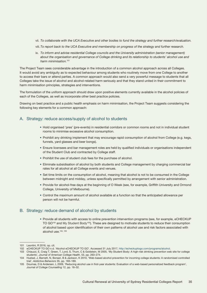- vii. *To collaborate with the UCA Executive and other bodies to fund the strategy and further research/evaluation.*
- viii.*To report back to the UCA Executive and membership on progress of the strategy and further research.*
- ix. *To inform and advise residential College councils and the University administration (senior management) about the organisation and governance of College drinking and its relationship to students' alcohol use and harm minimisation.*<sup>101</sup>

The Project Team sees considerable advantage in the introduction of a common alcohol approach across all Colleges. It would avoid any ambiguity as to expected behaviour among students who routinely move from one College to another to access their bars or attend parties. A common approach would also send a very powerful message to students that all Colleges take the issue of alcohol and alcohol-related harm seriously and that they stand united in their commitment to harm minimisation principles, strategies and interventions.

The formulation of the uniform approach should draw upon positive elements currently available in the alcohol policies of each of the Colleges, as well as incorporate other best practice policies.

Drawing on best practice and a public health emphasis on harm minimisation, the Project Team suggests considering the following key elements for a common approach:

## A. Strategy: reduce access/supply of alcohol to students

- Hold organised 'pres' (pre-events) in residential corridors or common rooms and not in individual student rooms to minimise excessive alcohol consumption.
- Prohibit any drinking implement that may encourage rapid consumption of alcohol from College (e.g. kegs, funnels, yard glasses and beer bongs).
- Ensure licensees and bar management roles are held by qualified individuals or organisations independent of the Student Club and contracted by College staff.
- Prohibit the use of student club fees for the purchase of alcohol.
- Eliminate subsidisation of alcohol by both students and College management by charging commercial bar rates for all alcohol at all College events and venues.
- Set time limits on the consumption of alcohol, meaning that alcohol is not to be consumed in the College between midnight and midday, unless specifically permitted by arrangement with senior administration.
- Provide for alcohol-free days at the beginning of O Week (see, for example, Griffith University and Ormond College, University of Melbourne).
- Control the maximum amount of alcohol available at a function so that the anticipated allowance per person will not be harmful.

## B. Strategy: reduce demand of alcohol by students

• Provide all students with access to online prevention intervention programs (see, for example, eCHECKUP TO GO102 and My Student Body103). These are designed to motivate students to reduce their consumption of alcohol based upon identification of their own patterns of alcohol use and risk factors associated with alcohol use.104, 105

<sup>101</sup> Leontini, R 2016, op. cit.

<sup>102</sup> eCHECKUP TO GO n.d. 'Alcohol eCHECKUP TO GO'. Accessed 31 July 2017, [http://echeckuptogo.com/programs/alcohol.](http://echeckuptogo.com/programs/alcohol)

<sup>103</sup> Chiauzzi, E, Craig T, Green, T, Lord, S, Thum, C & Goldstein, M 2005, 'My Student Body: A high-risk drinking prevention web site for college students', *Journal of American College Health*, 53, pp. 263–274.

<sup>104</sup> Hustad, J, Barnett, N, Borsari, B & Jackson, K 2010, 'Web-based alcohol prevention for incoming college students: A randomised controlled trial', *Addictive Behaviors* 35, pp. 183–189.

<sup>105</sup> Doumas, D & Andersen, L 2009, 'Reducing alcohol use in first-year students: Evaluation of a web-based personalized feedback program', *Journal of College Counselling* 12, pp. 18–32.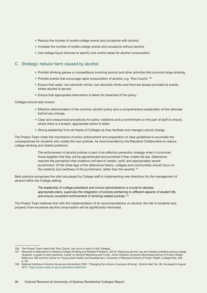- Reduce the number of onsite college events and occasions with alcohol.
- Increase the number of onsite college events and occasions *without* alcohol.
- Use college liquor licences to specify and control areas for alcohol consumption.

## C. Strategy: reduce harm caused by alcohol

- Prohibit drinking games or competitions involving alcohol and other activities that promote binge drinking.
- Prohibit events that encourage rapid consumption of alcohol, e.g. 'Roo Courts'.106
- Ensure that water, non-alcoholic drinks, low-alcoholic drinks and food are always provided at events where alcohol is served.
- Ensure that appropriate intervention is taken for breaches of the policy.

Colleges should also ensure:

- Effective dissemination of the common alcohol policy and a comprehensive explanation of the rationale behind any change.
- Clear and unequivocal procedures for policy violations and a commitment on the part of staff to ensure, where there is a breach, appropriate action is taken
- Strong leadership from all Heads of Colleges as they facilitate and manage cultural change.

The Project Team notes the importance of policy enforcement and preparation of clear guidelines to enunciate the consequences for students who violate the new policies. As recommended by the Maryland Collaborative to reduce college drinking and related problems:

> *The enforcement of alcohol policies is part of an effective prevention strategy when it convinces those targeted that they will be apprehended and punished if they violate the law. Deterrence requires the perception that violations will lead to certain, swift, and appropriately severe punishment. Of the three legs of the deterrence theory, colleges and communities should focus on the certainty and swiftness of the punishment, rather than the severity.*<sup>107</sup>

Best practice recognises the vital role played by College staff in implementing new directions for the management of alcohol within the College setting:

> *The leadership of college presidents and school administrators is crucial to develop appropriate plans, supervise the integration of policies pertaining to different aspects of student life, and ensure consistent enforcement of drinking-related policies.*<sup>108</sup>

The Project Team believes that with the implementation of its recommendations on alcohol, the risk to students and property from excessive alcohol consumption will be significantly minimised.

<sup>106</sup> The Project Team heard that 'Roo Courts' can occur in each of the Colleges.

<sup>107</sup> Maryland Collaborative to Reduce College Drinking and Related Problems. (2013). Reducing alcohol use and related problems among college students: A guide to best practices. Center on Alcohol Marketing and Youth, Johns Hopkins University Bloomberg School of Public Health, Baltimore, MD and the Center on Young Adult Health and Development, University of Maryland School of Public Health, College Park, MD, p. 28.

<sup>108</sup> National Institute of Alcohol Abuse and Alcoholism 2002. 'Changing the culture of campus drinking', Alcohol Alert No. 58. Accessed 6 August 2017, [https://pubs.niaaa.nih.gov/publications/aa58.htm.](https://pubs.niaaa.nih.gov/publications/aa58.htm)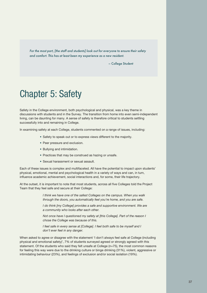*For the most part, [the staff and students] look out for everyone to ensure their safety and comfort. This has at least been my experience as a new resident.*

– College Student

# Chapter 5: Safety

Safety in the College environment, both psychological and physical, was a key theme in discussions with students and in the Survey. The transition from home into even semi-independent living, can be daunting for many. A sense of safety is therefore critical to students settling successfully into and remaining in College.

In examining safety at each College, students commented on a range of issues, including:

- Safety to speak out or to express views different to the majority.
- Peer pressure and exclusion.
- Bullying and intimidation.
- Practices that may be construed as hazing or unsafe.
- Sexual harassment or sexual assault.

Each of these issues is complex and multifaceted. All have the potential to impact upon students' physical, emotional, mental and psychological health in a variety of ways and can, in turn, influence academic achievement, social interactions and, for some, their life trajectory.

At the outset, it is important to note that most students, across all five Colleges told the Project Team that they feel safe and secure at their College:

> *I think we have one of the safest Colleges on the campus. When you walk through the doors, you automatically feel you're home, and you are safe.*

*I do think [my College] provides a safe and supportive environment. We are a community who looks after each other.*

*Not once have I questioned my safety at [this College]. Part of the reason I chose the College was because of this.*

*I feel safe in every sense at [College]. I feel both safe to be myself and I don't ever feel in any danger.* 

When asked to agree or disagree with the statement 'I don't always feel safe at College (including physical and emotional safety)', 7% of students surveyed agreed or strongly agreed with this statement. Of the students who said they felt unsafe at College (n=75), the most common reasons for feeling this way were due to the drinking culture or binge drinking (31%), violent, aggressive or intimidating behaviour (23%), and feelings of exclusion and/or social isolation (19%).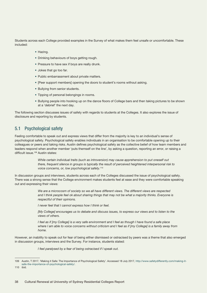Students across each College provided examples in the Survey of what makes them feel unsafe or uncomfortable. These included:

- Hazing.
- Drinking behaviours of boys getting rough.
- Pressure to have sex if boys are really drunk.
- Jokes that go too far.
- Public embarrassment about private matters.
- [Peer support members] opening the doors to student's rooms without asking.
- Bullying from senior students.
- Tipping of personal belongings in rooms.
- Bullying people into hooking up on the dance floors of College bars and then taking pictures to be shown at a 'debrief' the next day.

The following section discusses issues of safety with regards to students at the Colleges. It also explores the issue of disclosure and reporting by students.

# 5.1 Psychological safety

Feeling comfortable to speak out and express views that differ from the majority is key to an individual's sense of psychological safety. Psychological safety enables individuals in an organisation to be comfortable opening up to their colleagues or peers and taking risks. Austin defines psychological safety as the collective belief of how team members and leaders respond when another member 'puts themself on the line', by asking a question, reporting an error, or raising a difficult issue.<sup>109</sup> Austin states:

> *While certain individual traits (such as introversion) may cause apprehension to put oneself out there, frequent silence in groups is typically the result of perceived heightened interpersonal risk to voice concerns, or, low psychological safety.*<sup>110</sup>

In discussion groups and interviews, students across each of the Colleges discussed the issue of psychological safety. There was a strong sense that the College environment makes students feel at ease and they were comfortable speaking out and expressing their views:

> *We are a microcosm of society so we all have different views. The different views are respected and I think people feel ok about sharing things that may not be what a majority thinks. Everyone is respectful of their opinions.*

*I never feel that I cannot express how I think or feel.* 

*[My College] encourages us to debate and discuss issues, to express our views and to listen to the views of others.* 

*I feel as if [my College] is a very safe environment and I feel as though I have found a safe place where I am able to voice concerns without criticism and I feel as if [my College] is a family away from home.*

However, an inability to speak out for fear of being either dismissed or ostracised by peers was a theme that also emerged in discussion groups, interviews and the Survey. For instance, students stated:

*I feel paralysed by a fear of being ostracised if I speak out.* 

<sup>109</sup> Austin, T 2017, 'Making it Safe: The Importance of Psychological Safety'. Accessed 18 July 2017, [http://www.safetydifferently.com/making-it](http://www.safetydifferently.com/making-it-safe-the-importance-of-psychological-safety/)[safe-the-importance-of-psychological-safety/.](http://www.safetydifferently.com/making-it-safe-the-importance-of-psychological-safety/)

<sup>110</sup> ibid.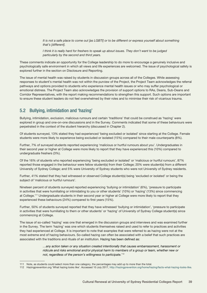*It is not a safe place to come out [as LGBTI] or to be different or express yourself about something that's [different].* 

*I think it is really hard for freshers to speak up about issues. They don't want to be judged particularly by the second and third years.*

These comments indicate an opportunity for the College leadership to do more to encourage a genuinely inclusive and psychologically safe environment in which all views and life experiences are welcomed. The issue of psychological safety is explored further in the section on Disclosure and Reporting.

The issue of mental health was raised by students in discussion groups across all of the Colleges. While assessing responses to student's mental health was not within the purview of the Project, the Project Team acknowledges the referral pathways and options provided to students who experience mental health issues or who may suffer psychological or emotional distress. The Project Team also acknowledges the provision of support options to RAs, Deans, Sub-Deans and Corridor Representatives, with the report making recommendations to strengthen this support. Such options are important to ensure these student leaders do not feel overwhelmed by their roles and to minimise their risk of vicarious trauma.

# 5.2 Bullying, intimidation and 'hazing'

Bullying, intimidation, exclusion, malicious rumours and certain 'traditions' that could be construed as 'hazing' were explored in group and one-on-one discussions and in the Survey. Comments indicated that some of these behaviours were perpetrated in the context of the student hierarchy (discussed in Chapter 2).

Of students surveyed, 13% stated they had experienced 'being excluded or isolated' since starting at the College. Female students were more likely to experience being excluded or isolated (15%) compared to their male counterparts (8%).

Further, 7% of surveyed students reported experiencing 'malicious or hurtful rumours about you'. Undergraduates in their second year or higher at College were more likely to report that they have experienced this (10%) compared to undergraduate freshers (3%).

Of the 16% of students who reported experiencing 'being excluded or isolated' or 'malicious or hurtful rumours', 87% reported those engaged in the behaviour were fellow student(s) from their College; 20% were student(s) from a different University of Sydney College; and 5% were University of Sydney students who were not University of Sydney residents.

Further, 41% stated that they had witnessed or observed College student(s) being 'excluded or isolated' or being the subject of 'malicious or hurtful rumours'.

Nineteen percent of students surveyed reported experiencing 'bullying or intimidation' (6%), 'pressure to participate in activities that were humiliating or intimidating to you or other students' (10%) or 'hazing' (13%) since commencing at College.111 Undergraduate students in their second year or higher at College were more likely to report that they experienced these behaviours (24%) compared to first years (15%).

Further, 50% of students surveyed reported that they have witnessed 'bullying or intimidation', 'pressure to participate in activities that were humiliating to them or other students' or 'hazing' of University of Sydney College student(s) since commencing at College.

The issue of so-called 'hazing' was one that emerged in the discussion groups and interviews and was examined further in the Survey. The term 'hazing' was one which students themselves raised and used to refer to practices and activities they had experienced at College. It is important to note that examples that were referred to as hazing were not at the most extreme end of hazing behaviours. So-called hazing can often be associated with a belief that such practices are associated with the traditions and rituals of an institution. Hazing has been defined as:

> *…any action taken or any situation created intentionally that causes embarrassment, harassment or ridicule and risks emotional and/or physical harm to members of a group or team, whether new or not, regardless of the person's willingness to participate.*<sup>112</sup>

<sup>111</sup> Note, as students could select more than one category, the percentages may add up to more than the total.

<sup>112</sup> Hazingprevention.org 'What hazing looks like'. Accessed 10 July 2017,<http://hazingprevention.org/home/hazing/facts-what-hazing-looks-like>.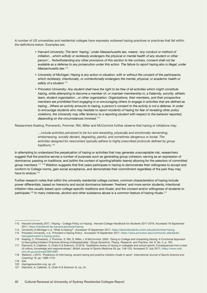A number of US universities and residential colleges have expressly outlawed hazing practices or practices that fall within the definitions below. Examples are:

- Harvard University: *The term 'hazing,' under Massachusetts law, means: 'any conduct or method of*  initiation...which wilfully or recklessly endangers the physical or mental health of any student or other *person'... Notwithstanding any other provisions of this section to the contrary, consent shall not be available as a defense to any prosecution under this action. The failure to report hazing also is illegal, under Massachusetts law.*<sup>113</sup>
- University of Michigan: *Hazing is any action or situation, with or without the consent of the participants, which recklessly, intentionally, or unintentionally endangers the mental, physical, or academic health or safety of a student.*<sup>114</sup>
- Princeton University: *Any student shall have the right to be free of all activities which might constitute hazing, while attempting to become a member of, or maintain membership in, a fraternity, sorority, athletic team, student organization…or other organization. Organizations, their members, and their prospective members are prohibited from engaging in or encouraging others to engage in activities that are defined as hazing…Where an activity amounts to hazing, a person's consent to the activity is not a defense. In order to encourage students who may hesitate to report incidents of hazing for fear of revealing other policy violations, the University may offer leniency to a reporting student with respect to the behavior reported, depending on the circumstances involved.*<sup>115</sup>

Researchers Keating, Pomerantz, Pommer, Ritt, Miller and McCormick further observe that hazing or initiations may:

*…include activities perceived to be fun and rewarding, physically and emotionally demanding, embarrassing, socially deviant, degrading, painful, and sometimes dangerous or brutal. The activities designed for newcomers typically adhere to highly prescribed protocols defined by group traditions.*<sup>116</sup>

In attempting to understand the perpetuation of hazing or activities that may generate unacceptable risk, researchers suggest that the practice serves a number of purposes such as generating group cohesion; serving as an expression of dominance; passing on traditions; and (within the context of sporting/athletic teams) allowing for the selection of committed group members.<sup>117, 118</sup> Waldron suggests that first years participate in hazing to demonstrate their willingness to accept and conform to College norms, gain social acceptance, and demonstrate their commitment regardless of the pain they may have to endure.<sup>119</sup>

Further research notes that within the university residential college context, common characteristics of hazing include power differentials, based on hierarchy and social dominance between 'freshers' and more senior students; intentional initiation rites usually based upon college-specific traditions and rituals; and the consent and/or willingness of students to participate.<sup>120</sup> In many instances, alcohol and other substance abuse is a common feature of hazing rituals.<sup>121</sup>

<sup>113</sup> Harvard University 2017, 'Hazing – College Policy on Hazing', Harvard College Handbook for Students 2017–2018. Accessed 19 September 2017,<https://handbook.fas.harvard.edu/book/hazing>.

<sup>114</sup> University of Michigan n.d. 'What is Hazing?'. Accessed 19 September 2017, [https://deanofstudents.umich.edu/article/what-hazing.](https://deanofstudents.umich.edu/article/what-hazing)

<sup>115</sup> Princeton University, n.d. 'Princeton's Hazing Policy'. Accessed 19 September 2017, [https://odus.princeton.edu/community-standards/](https://odus.princeton.edu/community-standards/hazing/princeton) [hazing/princeton's-hazing-policy.](https://odus.princeton.edu/community-standards/hazing/princeton)

<sup>116</sup> Keating, C, Pomerantz, J, Pommer, S, Ritt, S, Miller, L & McCormick, 2005, 'Going to College and Unpacking Hazing: A Functional Approach to Decrypting Initiation Practices Among Undergraduates', *Group Dynamics: Theory, Research, and Practice*, Vol. 9, No. 2, p. 105.

<sup>117</sup> Diamond, A, Callahan, S, Chain K & Solomon, G 2016, 'Qualitative review of hazing in collegiate and school sports: Consequences from a lack of culture, knowledge and responsiveness', *British Journal of Sports Medicine* 50: pp. 149–153. Accessed 21 July 2017, [https://www.ncbi.](https://www.ncbi.nlm.nih.gov/pubmed/26675087) [nlm.nih.gov/pubmed/26675087](https://www.ncbi.nlm.nih.gov/pubmed/26675087).

<sup>118</sup> Waldron, J 2015, 'Predictors of mild hazing, severe hazing and positive initiation rituals in sport', *International Journal of Sports Science and Coaching* 10, pp. 1089–1101.

<sup>119</sup> ibid.

<sup>120</sup> Hazingprevention.org, op. cit.

<sup>121</sup> Diamond, A, Callahan, S, Chain K & Solomon G, op. cit.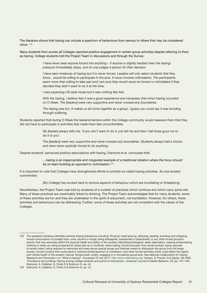The literature shows that hazing can include a spectrum of behaviours from serious to others that may be considered minor.<sup>122</sup>

Many students from across all Colleges reported positive engagement in certain group activities despite referring to them as hazing. College students told the Project Team in discussions and through the Survey:

> *I have never seen anyone forced into anything – if anyone is slightly hesitant then the hazing/ pressure immediately stops, and no one judges a person for their decision.*

*I have seen instances of hazing but it is never forced. Leaders will only select students that they know…would be willing to participate in the acts. It never involves intimidation. The participants seem more than willing to take part and I am sure they would never be forced or intimidated if they decided they didn't want to do it at the time.*

*I was expecting US-style rituals but it was nothing like that.* 

*With the hazing, I believe that it was a good experience and necessary that minor hazing occurred on O Week. The [leaders] were very supportive and never crossed any boundaries.*

*The hazing was fun. It makes us all come together as a group. I guess you could say it was bonding through suffering.*

Students reported that during O Week the leaders/mentors within the College community would reassure them that they did not have to participate in activities that made them feel uncomfortable:

> *My [leader] always tells me, 'if you don't want to do it, just tell me and then I tell those guys not to do it to you'.*

*The [leaders] were very supportive and never crossed any boundaries. Students always had a choice and were never explicitly forced to do anything.* 

Despite students' perceived positive associations with hazing, Diamond et al. concluded that:

*…hazing is an inappropriate and misguided example of a traditional initiation where the focus should be on team building as opposed to victimisation.*<sup>123</sup>

It is important to note that Colleges have strengthened efforts to prohibit so-called hazing activities. As one student commented:

*[My College] has worked hard to remove aspects of behaviour which are humiliating or threatening.*

Nevertheless, the Project Team was told by students of a number of practices which continue and which carry some risk. Many of these practices are inextricably linked to drinking. The Project Team acknowledges that for many students, some of these activities are fun and they are undertaken in the spirit of enjoyment, not humiliation. However, for others, these activities and behaviours can be distressing. Further, some of these activities are not consistent with the values of the Colleges.

<sup>122</sup> The academic literature identifies extreme hazing behaviours including: Physical: head shaving, tattooing, beating, branding and whipping; forced consumption of (unsafe) food, urine, alcohol or drugs; being kidnapped, transported or abandoned; or any other forced physical activity that may adversely affect the physical health and safety of the student; Mental/psychological: sleep deprivation; wearing embarrassing clothing or make up; being screamed at; being tied up or confined; name-calling; forced exclusion from social contact; being required to remain silent; being required to memorise and keep secret special songs and histories meant to distinguish the group from the larger society; forced conduct that could result in extreme embarrassment or humiliation; and other forced activities which could affect the dignity and mental health of the student; Sexual: forced public nudity, engaging in or simulating sexual acts. See *National Collaborative for Hazing Research and Prevention n.d.* 'What is hazing?'. Accessed 10 July 2017, <http://www.stophazing.org>; Campo, S, Poulos, G & Sipple, JW 2005, 'Prevalence and profiling: Hazing among college students and points of intervention', *American Journal of Health Behavior*, 29, pp. 137–149; Diamond, A, Callahan, S, Chain K & Solomon G, op. cit.

<sup>123</sup> Diamond, A, Callahan, S, Chain K & Solomon G, op. cit.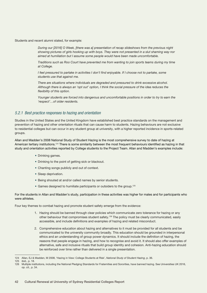Students and recent alumni stated, for example:

*During our [2016] O Week, [there was a] presentation of recap slideshows from the previous night showing pictures of girls hooking up with boys. They were not presented in a slut shaming way nor aimed at humiliation but I assume some people would have been made uncomfortable.*

*Traditions such as Roo Court have prevented me from wanting to join sports teams during my time at College.*

*I feel pressured to partake in activities I don't find enjoyable. If I choose not to partake, some students use that against me.*

*There are situations where individuals are degraded and pressured to drink excessive alcohol. Although there is always an 'opt out' option, I think the social pressure of the idea reduces the flexibility of this option.*

*Younger students are forced into dangerous and uncomfortable positions in order to try to earn the 'respect'…of older residents.*

#### *5.2.1 Best practice responses to hazing and orientation*

Studies in the United States and the United Kingdom have established best practice standards on the management and prevention of hazing and other orientation rituals that can cause harm to students. Hazing behaviours are not exclusive to residential colleges but can occur in any student group at university, with a higher reported incidence in sports-related groups.

Allan and Madden's 2008 National Study of Student Hazing is the most comprehensive survey to date of hazing at American tertiary institutions.<sup>124</sup> There is some similarity between the most frequent behaviours identified as hazing in that study and orientation activities reported by College students to the Project Team. Allan and Madden's examples include:

- Drinking games.
- Drinking to the point of getting sick or blackout.
- Chanting songs publicly and out of context.
- Sleep deprivation.
- Being shouted at and/or called names by senior students.
- Games designed to humiliate participants or outsiders to the group.<sup>125</sup>

For the students in Allan and Madden's study, participation in these activities was higher for males and for participants who were athletes.

Four key themes to combat hazing and promote student safety emerge from the evidence:

- 1. Hazing should be banned through clear policies which communicate zero tolerance for hazing or any other behaviour that compromises student safety.126 The policy must be clearly communicated, easily accessible, and include definitions and examples of hazing and related misconduct.
- 2. Comprehensive education about hazing and alternatives to it must be provided for all students and be communicated to the university community broadly. This education should be grounded in interpersonal ethics and an understanding of group power dynamics. It should include the definition of hazing, the reasons that people engage in hazing, and how to recognise and avoid it. It should also offer examples of alternative, safe and inclusive rituals that build group identity and cohesion. Anti-hazing education should be reinforced over time rather than delivered in a single presentation.

<sup>124</sup> Allan, EJ & Madden, M 2008, 'Hazing in View: College Students at Risk', *National Study of Student Hazing*, p. 36.

<sup>125</sup> ibid., p. 18.

<sup>126</sup> Multiple institutions, including the National Pledging Standards for Fraternities and Sororities, have banned hazing. See Universities UK 2016, op. cit., p. 34.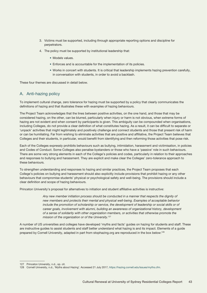- 3. Victims must be supported, including through appropriate reporting options and discipline for perpetrators.
- 4. The policy must be supported by institutional leadership that:
	- Models values.
	- Enforces and is accountable for the implementation of its policies.
	- Works in concert with students. It is critical that leadership implements hazing prevention carefully, in conversation with students, in order to avoid a backlash.

These four themes are discussed in detail below.

## A. Anti-hazing policy

To implement cultural change, zero tolerance for hazing must be supported by a policy that clearly communicates the definitions of hazing and that illustrates these with examples of hazing behaviours.

The Project Team acknowledges that the lines between positive activities, on the one hand, and those that may be considered hazing, on the other, can be blurred, particularly when injury or harm is not obvious, when extreme forms of hazing are not evident and when consent by participants is given. This ambiguity can be compounded when organisations, including Colleges, do not provide a clear definition of what constitutes hazing. As a result, it can be difficult to separate or 'unpack' activities that might legitimately and positively challenge and connect students and those that present risk of harm or can be humiliating. Far from wishing to eliminate activities that are positive and affiliative, the Project Team believes that Colleges and their students, in particular, would benefit from identifying and then reforming those activities that pose risk.

Each of the Colleges expressly prohibits behaviours such as bullying, intimidation, harassment and victimisation, in policies and Codes of Conduct. Some Colleges also penalise bystanders or those who have a 'passive' role in such behaviours. There are some very strong elements in each of the College's policies and codes, particularly in relation to their approaches and responses to bullying and harassment. They are explicit and make clear the Colleges' zero-tolerance approach to these behaviours.

To strengthen understanding and responses to hazing and similar practices, the Project Team proposes that each College's policies on bullying and harassment should also explicitly include provisions that prohibit hazing or any other behaviours that compromise students' physical or psychological safety and well-being. The provisions should include a clear definition and scope of hazing behaviours.

Princeton University's proposal for alternatives to initiation and student affiliative activities is instructive:

*Any new member initiation process should be conducted in a manner that respects the dignity of new members and protects their mental and physical well-being. Examples of acceptable behavior*  include the promotion of scholarship or service, the development of leadership or social skills or of *career goals, involvement with alumni, building an awareness of organizational history, development of a sense of solidarity with other organization members, or activities that otherwise promote the mission of the organization or of the University.*<sup>127</sup>

A number of US universities and colleges have developed 'myths and facts' guides on hazing for students and staff. These are instructive guides to assist students and staff better understand what hazing is and its impact. Elements of a guide prepared by Cornell University, adapted in part from stophazing.org are reproduced in the box below:128

<sup>127</sup> Princeton University, n.d., op. cit.

<sup>128</sup> Cornell University, n.d., 'Myths about Hazing'. Accessed 21 July 2017, <https://hazing.cornell.edu/issues/myths.cfm>.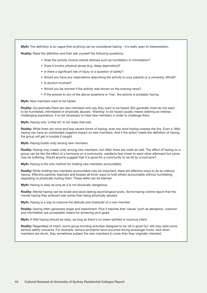Myth: The definition is so vague that anything can be considered hazing – it's really open to interpretation.

Reality: Read the definition and then ask yourself the following questions:

- Does the activity involve mental distress such as humiliation or intimidation?
- Does it involve physical abuse (e.g. sleep deprivation)?
- Is there a significant risk of injury or a question of safety?
- Would you have any reservations describing the activity to your parents or a university official?
- Is alcohol involved?
- Would you be worried if the activity was shown on the evening news?
- If the answer to any of the above questions is 'Yes', the activity is probably hazing.

Myth: New members want to be hazed.

Reality: Occasionally there are new members who say they want to be hazed. But generally most do not want to be humiliated, intimidated or physically abused. 'Wanting' to be hazed usually means desiring an intense, challenging experience. It is not necessary to haze new members in order to challenge them.

Myth: Hazing only 'a little bit' is not really that bad.

Reality: While there are more and less severe forms of hazing, even low-level hazing crosses the line. Even a 'little' hazing can have an unintended negative impact on new members. And if the action meets the definition of hazing, the group will get in trouble if caught.

Myth: Hazing builds unity among new members.

Reality: Hazing may create unity among new members, but often there are costs as well. The effect of hazing on a group can be like the effect of a hurricane on a community: residents feel closer to each other afterward but some may be suffering. Would anyone suggest that it is good for a community to be hit by a hurricane?

Myth: Hazing is the only method for holding new members accountable.

Reality: While holding new members accountable may be important, there are effective ways to do so without hazing. Effective parents, teachers and bosses all know ways to hold others accountable without humiliating, degrading or physically hurting them. These skills can be learned.

**Myth:** Hazing is okay as long as it is not physically dangerous.

**Reality:** Mental hazing can be brutal and leave lasting psychological scars. Some hazing victims report that the mental hazing they endured was worse than being physically abused.

**Myth:** Hazing is a way to improve the attitude and character of a new member.

**Reality:** Hazing often generates anger and resentment. Plus it teaches that 'values' such as deception, coercion and intimidation are acceptable means for achieving your goals.

**Myth:** A little hazing should be okay, as long as there's no mean-spirited or injurious intent.

**Reality:** Regardless of intent, some group bonding activities designed to be 'all in good fun' still may raise some serious safety concerns. For example, serious accidents have occurred during scavenger hunts. And when members are drunk, they sometimes subject the new members to more than they originally intended.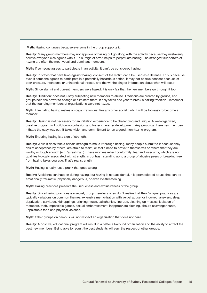**Myth:** Hazing continues because everyone in the group supports it.

**Reality:** Many group members may not approve of hazing but go along with the activity because they mistakenly believe everyone else agrees with it. This 'reign of error' helps to perpetuate hazing. The strongest supporters of hazing are often the most vocal and dominant members.

**Myth:** If someone agrees to participate in an activity, it can't be considered hazing.

**Reality:** In states that have laws against hazing, consent of the victim can't be used as a defense. This is because even if someone agrees to participate in a potentially hazardous action, it may not be true consent because of peer pressure, intentional or unintentional threats, and the withholding of information about what will occur.

**Myth:** Since alumni and current members were hazed, it is only fair that the new members go through it too.

**Reality:** 'Tradition' does not justify subjecting new members to abuse. Traditions are created by groups, and groups hold the power to change or eliminate them. It only takes one year to break a hazing tradition. Remember that the founding members of organizations were not hazed.

**Myth:** Eliminating hazing makes an organization just like any other social club. It will be too easy to become a member.

**Reality:** Hazing is not necessary for an initiation experience to be challenging and unique. A well-organized, creative program will build group cohesion and foster character development. Any group can haze new members – that's the easy way out. It takes vision and commitment to run a good, non-hazing program.

**Myth:** Enduring hazing is a sign of strength.

**Reality:** While it does take a certain strength to make it through hazing, many people submit to it because they desire acceptance by others, are afraid to resist, or feel a need to prove to themselves or others that they are worthy or tough enough (e.g. 'a real man'). These motives reflect conformity, fear and insecurity, which are not qualities typically associated with strength. In contrast, standing up to a group of abusive peers or breaking free from hazing takes courage. That's real strength.

**Myth:** Hazing is really just a prank that goes wrong.

**Reality:** Accidents can happen during hazing, but hazing is not accidental. It is premeditated abuse that can be emotionally traumatic, physically dangerous, or even life-threatening.

**Myth:** Hazing practices preserve the uniqueness and exclusiveness of the group.

**Reality:** Since hazing practices are secret, group members often don't realize that their 'unique' practices are typically variations on common themes: extensive memorization with verbal abuse for incorrect answers, sleep deprivation, servitude, kidnappings, drinking rituals, calisthenics, line-ups, cleaning up messes, isolation of members, theft, impossible games, sexual embarrassment, inappropriate clothing, absurd scavenger hunts, unpalatable food and physical violence.

**Myth:** Other groups on campus will not respect an organization that does not haze.

**Reality:** A positive, educational program will result in a better all-around organization and the ability to attract the best new members. Being able to recruit the best students will earn the respect of other groups.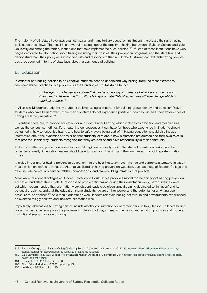The majority of US states have laws against hazing, and many tertiary education institutions there base their anti-hazing policies on those laws. The result is a powerful message about the gravity of hazing behaviours. Babson College and Yale University are among the tertiary institutions that have implemented such policies.<sup>129,130</sup> Both of these institutions have web pages dedicated to information about hazing including their policies, their prevention programs, and the state law, and demonstrate how their policy acts in concert with and responds to that law. In the Australian context, anti-hazing policies could be couched in terms of state laws about harassment and bullying.

### B. Education

In order for anti-hazing policies to be effective, students need to understand why hazing, from the most extreme to perceived milder practices, is a problem. As the Universities UK Taskforce found:

> *...to be agents of change in a culture that can be accepting of…negative behaviours, students and others need to believe that this culture is inappropriate. This often requires attitude change which is a gradual process*. 131

In Allan and Madden's study, many students believe hazing is important for building group identity and cohesion. Yet, of students who have been 'hazed', more than two-thirds do not experience positive outcomes. Instead, their experiences of hazing are largely negative.<sup>132</sup>

It is critical, therefore, to provide education for all students about hazing which includes its definition and meanings as well as the serious, sometimes life-threatening consequences it can have for those who experience it. Students should be trained in how to recognise hazing and how to safely avoid being part of it. Hazing education should also include information about the dynamics of power so that students learn about how hierarchies are created and their own roles in that process. In this way, students recognise that they are part of and have responsibility in their community.

To be most effective, prevention education should begin early, ideally during the student orientation period, and be refreshed annually. Orientation leaders should be educated about hazing and their own roles in providing safe initiation rituals.

It is also important for hazing prevention education that the host institution recommends and supports alternative initiation rituals which are safe and inclusive. Alternatives listed on hazing prevention websites, such as those of Babson College and Yale, include community service, athletic competitions, and team-building infrastructure projects.

Meanwhile, residential colleges at Rhodes University in South Africa provide a model for the efficacy of hazing prevention education and alternative rituals. In response to problematic hazing during their orientation week, new guidelines were set which recommended that orientation week student leaders be given annual training dedicated to 'initiation' and its potential problems, and that the education make students 'aware of their power and the potential for unwitting peer pressure to be applied'.133 As a result, orientation week leaders removed hazing behaviours and new students experienced an overwhelmingly positive and inclusive orientation week.

Importantly, alternatives to hazing cannot include alcohol consumption for new members. In this, Babson College's hazing prevention initiative recognises the problematic role alcohol plays in many orientation and initiation practices and models institutional support for safe drinking.

<sup>129</sup> Babson College, n.d. 'Babson College's Hazing Policy'. Accessed 13 November 2017, [http://www.babson.edu/student-life/community](http://www.babson.edu/student-life/community-standards/hazing/Pages/babson-college%27s-hazing-policy)[standards/hazing/Pages/babson-college%27s-hazing-policy.aspx.](http://www.babson.edu/student-life/community-standards/hazing/Pages/babson-college%27s-hazing-policy)

<sup>130</sup> Yale University, n.d. Yale College 'Policy against hazing'. Accessed 13 November 2017, [https://yalecollege.yale.edu/deans-office/policies/](https://yalecollege.yale.edu/deans-office/policies/policy-against-hazing) [policy-against-hazing](https://yalecollege.yale.edu/deans-office/policies/policy-against-hazing).

<sup>131</sup> Universities UK 2016, op. cit., p. 33.

<sup>132</sup> Allan, EJ and Madden, M 2008, op. cit., p. 27.

<sup>133</sup> de Klerk, V 2013, op. cit., p. 99.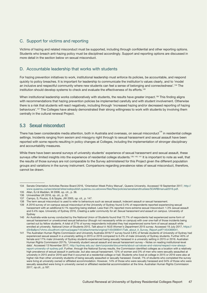# C. Support for victims and reporting

Victims of hazing and related misconduct must be supported, including through confidential and other reporting options. Students who breach anti-hazing policy must be disciplined accordingly. Support and reporting options are discussed in more detail in the section below on sexual misconduct.

## D. Accountable leadership that works with students

For hazing prevention initiatives to work, institutional leadership must enforce its policies, be accountable, and respond quickly to policy breaches. It is important for leadership to communicate the institution's values clearly, and to 'model an inclusive and respectful community where new students can feel a sense of belonging and connectedness'.<sup>134</sup> The institution should develop systems to check and evaluate the effectiveness of its efforts.135

When institutional leadership works collaboratively with students, the results have greater impact.<sup>136</sup> This finding aligns with recommendations that hazing prevention policies be implemented carefully and with student involvement. Otherwise there is a risk that students will react negatively, including through 'increased hazing and/or decreased reporting of hazing behaviours'.137 The Colleges have already demonstrated their strong willingness to work with students by involving them centrally in the cultural renewal Project.

# 5.3 Sexual misconduct

There has been considerable media attention, both in Australia and overseas, on sexual misconduct<sup>138</sup> in residential college settings. Incidents ranging from sexism and misogyny right through to sexual harassment and sexual assault have been reported with some reports resulting in policy changes at Colleges, including the implementation of stronger disciplinary and accountability measures.

While there have been several surveys of university students' experience of sexual harassment and sexual assault, these surveys offer limited insights into the experience of residential college students.<sup>139, 140, 141</sup> It is important to note as well, that the results of those surveys are not comparable to the Survey administered for this Project given the different population groups and variations in the survey instrument. Comparisons regarding prevalence rates of sexual misconduct, therefore, cannot be drawn.

<sup>134</sup> Senate Orientation Activities Review Board 2016, 'Orientation Week Policy Manual', Queens University. Accessed 19 September 2017, [http://](http://www.queensu.ca/secretariat/sites/webpublish.queensu.ca.uslcwww/files/files/policies/senateandtrustees/SOARBmanual2016.pdf) [www.queensu.ca/secretariat/sites/webpublish.queensu.ca.uslcwww/files/files/policies/senateandtrustees/SOARBmanual2016.pdf.](http://www.queensu.ca/secretariat/sites/webpublish.queensu.ca.uslcwww/files/files/policies/senateandtrustees/SOARBmanual2016.pdf) 135 Allan, EJ & Madden, M 2008, op. cit., p. 36.

<sup>136</sup> Universities UK 2016, op. cit., p. 32.

<sup>137</sup> Campo, S, Poulos, G & Sipple, JW 2005, op. cit., p. 147.

<sup>138</sup> The term sexual misconduct is used to refer to behaviours such as sexual assault, indecent assault or sexual harassment.

<sup>139</sup> A 2016 survey of on-campus sexual misconduct at the University of Sydney found 3.4% of respondents reported experiencing sexual harassment with an additional 6.1% reporting being stalked. Less than 2% reported more extreme sexual misconduct: 1.3% sexual assault and 0.4% rape. University of Sydney 2016, *Creating a safer community for all: Sexual harassment and assault on campus*. University of **Sydney** 

<sup>140</sup> An Australia-wide survey conducted by the National Union of Students found that 72.7% of respondents had experienced some form of sexual harassment or unwelcomed sexual behaviour (though not necessarily while on campus) with over one-half of those incidents being carried out by fellow students. A total of 27% of survey respondents indicated they had experienced some form of sexual assault while enrolled at university. National Union of Students 2015, *Talk about it: NUS Women's Department 2015 survey.* Accessed 19 July 2017, [https://](https://d3n8a8pro7vhmx.cloudfront.net/nus/pages/144/attachments/original/1454369041/Talk_about_it_Su) [d3n8a8pro7vhmx.cloudfront.net/nus/pages/144/attachments/original/1454369041/Talk\\_about\\_it\\_Survey\\_Report.pdf?1454369041.](https://d3n8a8pro7vhmx.cloudfront.net/nus/pages/144/attachments/original/1454369041/Talk_about_it_Su)

<sup>141</sup> The Australian Human Rights Commission and University Australia 2016/17 survey found 3.8% of female students of University of Sydney had experienced sexual assault in a university setting in 2015 or 2016 compared to 0.4% of male University of Sydney students. Further 40% of female and 17% male University of Sydney students experienced being sexually harassed in a university setting in 2015 or 2016. Australian Human Rights Commission 2017b, 'University student sexual assault and sexual harassment survey – Notes on reading institutional-level data'. Accessed 13 November 2017, [http://sydney.edu.au/ dam/corporate/documents/about-us/values-and-visions/respect-now-always](http://sydney.edu.au/ dam/corporate/documents/about-us/values-and-visions/respect-now-always-report-)[report-university-of-sydney.pdf.](http://sydney.edu.au/ dam/corporate/documents/about-us/values-and-visions/respect-now-always-report-) Further, through the National Survey results, the Commission identified colleges as a location with a relatively high prevalence of sexual assault in particular, but also sexual harassment. 12% of women and 3% of men who were sexually assaulted at university in 2015 and/or 2016 said that it occurred at a residential college or hall. Students who lived at college in 2015 or 2016 were also at higher risk than other university students of being sexually assaulted or sexually harassed. Overall, 7% of students who completed the survey were living at university owned or affiliated accommodation. However, 14% of those who were sexually harassed and 34% of those who were sexually assaulted were living in university owned or affiliated residential accommodation at the time. Australian Human Rights Commission 2017, op.cit., p.187.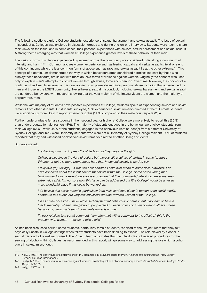The following sections explore College students' experience of sexual harassment and sexual assault. The issue of sexual misconduct at Colleges was explored in discussion groups and during one-on-one interviews. Students were keen to share their views on the issue, and in some cases, their personal experiences with sexism, sexual harassment and sexual assault. A strong theme emerging was that women at College experience greater levels of these behaviours than men.

The various forms of violence experienced by women across the community are considered to lie along a continuum of intensity and harm.142, 143 Common abuses women experience such as leering, catcalls and verbal assaults, lie at one end of this continuum, while the less common forms of abuse such as rape and sexual assault lie at the other extreme.144 This concept of a continuum demonstrates the way in which behaviours often considered harmless (at least by those who display these behaviours) are linked with more abusive forms of violence against women. Originally the concept was used only to explain men's attempts to control women through abuse, force and coercion. Over time, however, the concept of a continuum has been broadened and is now applied to all power-based, interpersonal abuse including that experienced by men and those in the LGBTI community. Nevertheless, sexual misconduct, including sexual harassment and sexual assault, are gendered behaviours with research showing that the vast majority of victims/survivors are women and the majority of perpetrators, men.

While the vast majority of students have positive experiences at College, students spoke of experiencing sexism and sexist remarks from other students. Of students surveyed, 10% experienced sexist remarks directed at them. Female students were significantly more likely to report experiencing this (14%) compared to their male counterparts (2%).

Further, undergraduate female students in their second year or higher at College were more likely to report this (20%) than undergraduate female freshers (8%). The majority of students engaged in the behaviour were fellow students from their College (66%), while 44% of the student(s) engaged in the behaviour were student(s) from a different University of Sydney College, and 15% were University students who were not a University of Sydney College resident. 29% of students reported that they had witnessed or observed sexist remarks directed at other College students.

#### Students stated:

*Fresher boys want to impress the older boys so they degrade the girls.*

*College is heading in the right direction, but there is still a culture of sexism in some 'groups'. Whether or not it is more pronounced here than in general society is hard to say.*

*I truly love [my College] – it was the best decision I have ever made to come here. However, I do*  have concerns about the latent sexism that exists within the College. Some of the young men *(and women to some extent) here appear unaware that their comments/behaviours are sometimes extremely sexist. I'm not sure how this issue can be addressed but [the College] would be an even more wonderful place if this could be worked on.*

*I do believe that sexist remarks, particularly from male students, either in person or on social media, contribute to a subtle but very real chauvinist attitude towards women at the College.* 

*On all of the occasions I have witnessed any harmful behaviour or harassment it appears to have a*  'pack' mentality, wherein the group of people feed off each other and influence each other in these *behaviours, particularly sexist comments towards women.*

*If I ever retaliate to a sexist comment, I am often met with a comment to the effect of 'this is the problem with women – they can't take a joke'.* 

As has been discussed earlier, some students, particularly female students, reported to the Project Team that they felt physically unsafe in College settings when fellow students have been drinking to excess. The role played by alcohol in sexual misconduct is well recognised. The Project Team anticipates that the introduction of revised procedures for the serving of alcohol within Colleges, as recommended in this report, will go some way to addressing the role which alcohol plays in sexual misconduct.

<sup>142</sup> Kelly, L 1987 'The continuum of sexual violence', in J Hammer & M Maynard (eds), *Women, violence and social control*. New Jersey: Humanities Press International.

<sup>143</sup> Leidig, M 1995, 'The continuum of violence against women: Psychological and physical consequences', *Journal of American College Health*, 40, pp. 149–155.

<sup>144</sup> Kelly, L 1987, op cit*.*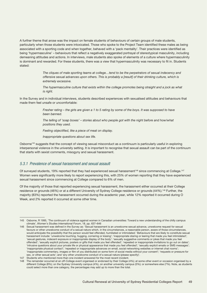A further theme that arose was the impact on female students of behaviours of certain groups of male students, particularly when those students were intoxicated. Those who spoke to the Project Team identified these males as being associated with a sporting code and when together, behaved with a 'pack mentality'. Their practices were identified as being 'hypermasculine' – behaviours that reflect a negatively exaggerated portrayal of stereotypical masculinity, including demeaning attitudes and actions. In interviews, male students also spoke of elements of a culture where hypermasculinity is dominant and rewarded. For these students, there was a view that hypermasculinity was necessary to fit in. Students stated:

> *The cliques of male sporting teams at college…tend to be the perpetrators of sexual indecency and offensive sexual advances upon others. This is probably a [result] of their drinking culture, which is extremely excessive.*

> *The hypermasculine culture that exists within the college promotes being straight and a jock as what is right.*

In the Survey and in individual interviews, students described experiences with sexualised attitudes and behaviours that made them feel unsafe or uncomfortable:

> *Fresher rating – the girls are given a 1 to 5 rating by some of the boys. It was supposed to have been banned.*

> *The telling of 'soap boxes' – stories about who people got with the night before and how/what positions they used.*

*Feeling objectified, like a piece of meat on display.*

*Inappropriate questions about sex life.*

Osborne<sup>145</sup> suggests that the concept of viewing sexual misconduct as a continuum is particularly useful in exploring interpersonal violence in the university setting. It is important to recognise that sexual assault can be part of the continuum that starts with sexist comments, misogyny and sexual harassment.

#### *5.3.1 Prevalence of sexual harassment and sexual assault*

Of surveyed students, 19% reported that they had experienced sexual harassment<sup>146</sup> since commencing at College.<sup>147</sup> Women were significantly more likely to report experiencing this, with 25% of women reporting that they have experienced sexual harassment since commencing at College compared to 6% of men.

Of the majority of those that reported experiencing sexual harassment, the harassment either occurred at their College residence or grounds (46%) or at a different University of Sydney College residence or grounds (44%).148 Further, the majority (83%) reported the harassment occurred during the academic year, while 12% reported it occurred during O Week, and 2% reported it occurred at some other time.

<sup>145</sup> Osborne, R 1995, 'The continuum of violence against women in Canadian universities: Toward a new understanding of the chilly campus climate', *Women's Studies International Forum*, 18, pp. 637–646

<sup>146</sup> Sexual harassment was defined in the Survey as: 'Sexual harassment is an unwelcome sexual advance, unwelcome request for sexual favours or other unwelcome conduct of a sexual nature which, in the circumstances, a reasonable person, aware of those circumstances, would anticipate the possibility that the person would feel offended, humiliated or intimidated.' Behaviours that are likely to constitute sexual harassment include: 'unwelcome touching, hugging, cornering or kissing'; 'inappropriate staring or leering that made you feel intimidated'; 'sexual gestures, indecent exposure or inappropriate display of the body'; 'sexually suggestive comments or jokes that made you feel offended'; 'sexually explicit pictures, posters or gifts that made you feel offended'; 'repeated or inappropriate invitations to go out on dates'; 'intrusive questions about your private life or physical appearance that made you feel offended'; 'sexually explicit emails or SMS messages'; 'inappropriate physical contact'; 'repeated or inappropriate advances on email, social networking websites or internet chat rooms'; 'inappropriate commentary, images or film of you distributed on some form of social media without your consent'; 'requests or pressure for sex, or other sexual acts'; and 'any other unwelcome conduct of a sexual nature (please specify)'.

<sup>147</sup> Students who mentioned more than one incident answered for the most recent incident.

<sup>148</sup> The remainder occurred at an off-College event organised or endorsed by their College (4%); at some other event or occasion organised by a different College (8%); on the Sydney University campus (4%), on another university campus (3%); or somewhere else (7%). Note, as students could select more than one category, the percentages may add up to more than the total.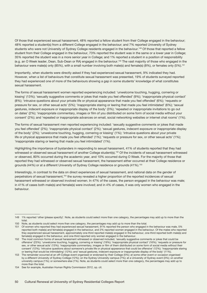Of those that experienced sexual harassment, 48% reported a fellow student from their College engaged in the behaviour; 48% reported a student(s) from a different College engaged in the behaviour; and 7% reported University of Sydney students who were not University of Sydney College residents engaged in the behaviour.<sup>149</sup> Of those that reported a fellow student from their College engaged in the behaviour, 73% reported the student was in the same or a lower year in College; 35% reported the student was in a more senior year in College; and 1% reported a student in a position of responsibility (e.g. an O Week leader, Dean, Sub-Dean or RA) engaged in the behaviour.150 The vast majority of those who engaged in the behaviour were male(s) only (85%), with a small number involving both male(s) and female(s) (8%), or females only (5%).<sup>151</sup>

Importantly, when students were directly asked if they had experienced sexual harassment, 9% indicated they had. However, when a list of behaviours that constitute sexual harassment was presented, 19% of students surveyed reported they had experienced one of more of the behaviours showing a gap in some students' knowledge of what constitutes sexual harassment.

The forms of sexual harassment women reported experiencing included: 'unwelcome touching, hugging, cornering or kissing' (13%); 'sexually suggestive comments or jokes that made you feel offended' (9%); 'inappropriate physical contact' (8%); 'intrusive questions about your private life or physical appearance that made you feel offended' (6%); 'requests or pressure for sex, or other sexual acts' (5%); 'inappropriate staring or leering that made you feel intimidated' (6%); 'sexual gestures, indecent exposure or inappropriate display of the body' (3%); 'repeated or inappropriate invitations to go out on dates' (2%); 'inappropriate commentary, images or film of you distributed on some form of social media without your consent' (2%); and 'repeated or inappropriate advances on email, social networking websites or internet chat rooms' (1%).

The forms of sexual harassment men reported experiencing included: 'sexually suggestive comments or jokes that made you feel offended' (2%); 'inappropriate physical contact' (2%); 'sexual gestures, indecent exposure or inappropriate display of the body' (2%); 'unwelcome touching, hugging, cornering or kissing' (1%); 'intrusive questions about your private life or physical appearance that made you feel offended' (1%); 'requests or pressure for sex, or other sexual acts' (1%); 'inappropriate staring or leering that made you feel intimidated' (1%).

Highlighting the importance of bystanders in responding to sexual harassment, 41% of students reported that they had witnessed or observed sexual harassment of another College student(s).152 Of the incidents of sexual harassment witnessed or observed, 80% occurred during the academic year, and 10% occurred during O Week. For the majority of those that reported they had witnessed or observed sexual harassment, the harassment either occurred at their College residence or grounds (44%) or at a different University of Sydney College residence or grounds (41%).<sup>153</sup>

Interestingly, in contrast to the data on direct experiences of sexual harassment, and national data on the gender of perpetrators of sexual harassment,154 the survey revealed a higher proportion of the reported incidences of sexual harassment witnessed or observed involved women. In 47% of the cases, the person engaged in the behaviour was male; in 41% of cases both male(s) and female(s) were involved; and in 4% of cases, it was only women who engaged in the behaviour.

<sup>149</sup> 1% reported 'other (please specify)'. Note, as students could select more than one category, the percentages may add up to more than the total.

<sup>150</sup> Note, as students could select more than one category, the percentages may add up to more than the total.

<sup>151</sup> Of women who reported they had experienced sexual harassment, 91% reported the person who engaged in the behaviour was male, 5% reported both male(s) and female(s) engaged in the behaviour, and 2% reported women engaged in the behaviour. Of the males who reported they experienced sexual harassment, approximately one-third reported male(s) engaged in the behaviour, one-third reported both male(s) and female(s) engaged in the behaviour, and one-third reported only women engaged in the behaviour.

<sup>152</sup> The most common forms of sexual harassment witnessed or observed included, 'sexually suggestive comments or jokes that could be offensive' (23%); 'unwelcome touching, hugging, cornering or kissing' (19%); 'inappropriate physical contact' (16%); 'requests or pressure for sex, or other sexual acts' (13%); 'inappropriate commentary, images or film of them distributed on some form of social media without their consent' (12%); 'intrusive questions about someone's private life or physical appearance that could be offensive' (12%); 'inappropriate staring or leering that would be intimidating' (12%); and 'sexual gestures, indecent exposure or inappropriate display of the body' (11%).

<sup>153</sup> The remainder occurred at an off-College event organised or endorsed by their College (5%); at some other event or occasion organised by a different University of Sydney College (12%); on the Sydney University campus (7%); at a University of Sydney event (3%); on another university campus (1%); or somewhere else (1%). Note, as students could select more than one category, the percentages may add up to more than the total.

<sup>154</sup> See for example, Australian Human Rights Commission 2012, op. cit.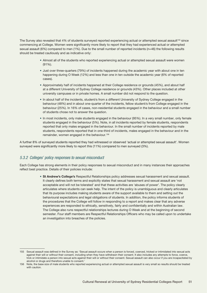The Survey also revealed that 4% of students surveyed reported experiencing actual or attempted sexual assault<sup>155</sup> since commencing at College. Women were significantly more likely to report that they had experienced actual or attempted sexual assault (6%) compared to men (1%). Due to the small number of reported incidents (n=46) the following results should be treated cautiously and as indicative only:

- Almost all of the students who reported experiencing actual or attempted sexual assault were women (91%).
- Just over three-quarters (79%) of incidents happened during the academic year with about one in ten happening during O Week (12%) and less than one in ten outside the academic year (6% of reported cases).
- Approximately half of incidents happened at their College residence or grounds (45%), and about half at a different University of Sydney College residence or grounds (43%). Other places included at other university campuses or in private homes. A small number did not respond to the question.
- In about half of the incidents, student/s from a different University of Sydney College engaged in the behaviour (48%) and in about one-quarter of the incidents, fellow student/s from College engaged in the behaviour (25%). In 16% of cases, non-residential students engaged in the behaviour and a small number of students chose not to answer the question.
- In most incidents, only male students engaged in the behaviour (95%). In a very small number, only female students engaged in the behaviour (5%). Note, in all incidents reported by female students, respondents reported that only males engaged in the behaviour. In the small number of incidents reported by male students, respondents reported that in one-third of incidents, males engaged in the behaviour and in the remainder, women engaged in the behaviour.156

A further 8% of surveyed students reported they had witnessed or observed 'actual or attempted sexual assault'. Women surveyed were significantly more likely to report this (11%) compared to men surveyed (3%).

## *5.3.2 Colleges' policy responses to sexual misconduct*

Each College has strong elements in their policy responses to sexual misconduct and in many instances their approaches reflect best practice. Details of their policies include:

> • **St Andrew's College's** Respectful Relationships policy addresses sexual harassment and sexual assault. It clearly defines both terms and explicitly states that sexual harassment and sexual assault are 'not acceptable and will not be tolerated' and that these activities are 'abuses of power'. The policy clearly articulates where students can seek help. The intent of the policy is unambiguous and clearly articulates that its purpose includes making students aware of the support available to them and setting out the behavioural expectations and legal obligations of students. In addition, the policy informs students of the procedures that the College will follow in responding to a report and makes clear that any adverse experiences are responded to ethically, sensitively, fairly and confidentially and within Australian law. The College also runs respectful relationships lectures during O Week and at the beginning of second semester. Four staff members are Respectful Relationships Officers who may be called upon to undertake an investigation into breaches of the policies.

<sup>155</sup> Sexual assault was defined in the Survey as: 'Sexual assault occurs when a person is forced, coerced, tricked or intimidated into sexual acts against their will or without their consent, including when they have withdrawn their consent. It also includes any attempts to force, coerce, trick or intimidate a person into sexual acts against their will or without their consent. Sexual assault can also occur if you are incapacitated by alcohol or drugs and therefore unable to consent.'

<sup>156</sup> Note, the base size of male students who reported experiencing actual or attempted sexual assault is very small so results should be treated with caution.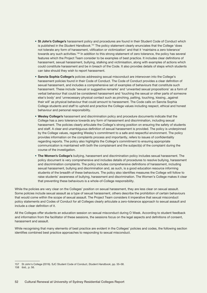- **St John's College's** harassment policy and procedures are found in their Student Code of Conduct which is published in the *Student Handbook*. 157 The policy statement clearly enunciates that the College 'does not tolerate any form of harassment, vilification or victimization' and that it 'maintains a zero tolerance' towards any such activities.158 In addition to this strong statement of zero tolerance, the policy has several features which the Project Team consider to be examples of best practice. It includes clear definitions of harassment, sexual harassment, bullying, stalking and victimisation, along with examples of actions which could constitute harassment and be in breach of the Code. It also provides details of steps which students can take should they wish to report harassment.
- **Sancta Sophia College's** policies addressing sexual misconduct are interwoven into the College's harassment policies found in their Code of Conduct. The Code of Conduct provides a clear definition of sexual harassment, and includes a comprehensive set of examples of behaviours that constitute such harassment. These include 'sexual or suggestive remarks' and 'unwanted sexual propositions' as a form of verbal behaviour that could be considered harassment and 'touching the sexual or other parts of someone else's body' and 'unnecessary physical contact such as pinching, patting, touching, kissing...against their will' as physical behaviour that could amount to harassment. The Code calls on Sancta Sophia College students and staff to uphold and practice the College values including respect, ethical and honest behaviour and personal responsibility.
- **Wesley College's** harassment and discrimination policy and procedure documents indicate that the College has a zero tolerance towards any form of harassment and discrimination, including sexual harassment. The policies clearly articulate the College's strong position on ensuring the safety of students and staff. A clear and unambiguous definition of sexual harassment is provided. The policy is underpinned by the College values, regarding Wesley's commitment to a safe and respectful environment. The policy provides information on the complaints process and importantly, refers to issues of confidentiality regarding reports. The policy also highlights the College's commitment to ensuring appropriate communication is maintained with both the complainant and the subject(s) of the complaint during the course of the investigation.
- **The Women's College's** bullying, harassment and discrimination policy includes sexual harassment. The policy document is very comprehensive and includes details of procedures to resolve bullying, harassment and discrimination complaints. The policy includes comprehensive definitions of harassment, including sexual harassment, bullying and discrimination and, as such, is a good education resource informing students of the breadth of these behaviours. The policy also identifies measures the College will follow to raise students' awareness of bullying, harassment and discrimination. The Women's College makes it clear that preventing these behaviours is a whole-of-College responsibility.

While the policies are very clear on the Colleges' position on sexual harassment, they are less clear on sexual assault. Some policies include sexual assault as a type of sexual harassment, others describe the prohibition of certain behaviours that would come within the scope of sexual assault. The Project Team considers it imperative that sexual misconduct policy statements and Codes of Conduct for all Colleges clearly articulate a zero-tolerance approach to sexual assault and include a clear definition of it.

All the Colleges offer students an education session on sexual misconduct during O Week. According to student feedback and information from the facilitator of these sessions, the sessions focus on the legal aspects and definitions of consent, harassment and assault.

While recognising that many elements of best practice are evident in the Colleges' policies and codes, the following section identifies combined best practice approaches to responding to sexual misconduct.

<sup>157</sup> St John's College (2016). SJC Student Code of Conduct, *Student Handbook*, pp. 55–58.

<sup>158</sup> ibid., p. 56.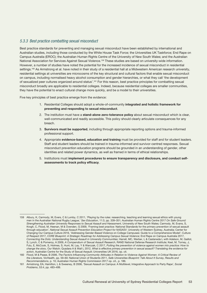### *5.3.3 Best practice combatting sexual misconduct*

Best practice standards for preventing and managing sexual misconduct have been established by international and Australian studies, including those conducted by the White House Task Force; the Universities UK Taskforce; End Rape on Campus Australia (EROC); the Australian Human Rights Centre of the University of New South Wales; and the Australian National Association for Services Against Sexual Violence.<sup>159</sup> These studies are based on university-wide information. However, a number of studies have noted the potential for the increased incidence of sexual misconduct in residential settings.<sup>160</sup> As Armstrong et al. have noted in their study of a residential hall at a Midwestern American research university, residential settings at universities are microcosms of the key structural and cultural factors that enable sexual misconduct on campus, including normalised heavy alcohol consumption and gender hierarchies, or what they call 'the development of sexualized peer cultures organized around status'.161 For this reason, best practice principles for combatting sexual misconduct broadly are applicable to residential colleges. Indeed, because residential colleges are smaller communities, they have the potential to enact cultural change more quickly, and be a model to their universities.

Five key principles of best practice emerge from the evidence:

- 1. Residential Colleges should adopt a whole-of-community integrated and holistic framework for preventing and responding to sexual misconduct.
- 2. The institution must have a stand-alone zero-tolerance policy about sexual misconduct which is clear, well-communicated and readily accessible. This policy should clearly articulate consequences for any breach.
- 3. Survivors must be supported, including through appropriate reporting options and trauma-informed professional support.
- 4. Appropriate evidence-based, education and training must be provided for staff and for student leaders. Staff and student leaders should be trained in trauma-informed and survivor-centred responses. Sexual misconduct prevention education programs should be grounded in an understanding of gender, other identities and related power dynamics, as well as framed in terms of ethical relationships.
- 5. Institutions must implement procedures to ensure transparency and disclosure, and conduct selfassessments to track policy efficacy.

<sup>159</sup> Albury, K, Carmody, M, Evers, C & Lumby, C 2011, 'Playing by the rules: researching, teaching and learning sexual ethics with young men in the Australian National Rugby League,' *Sex Education*, 11:3, pp. 339–351; Australian Human Rights Centre 2017 *On Safe Ground: Strengthening Australian University Responses to Sexual Assault and Harassment*, University of New South Wales; Carmody, M, Evans, S, Krogh, C, Flood, M, Heenan, M & Ovenden, G 2009, 'Framing best practice: National Standards for the primary prevention of sexual assault through education', *National Sexual Assault Prevention Education Project for NASASV*. University of Western Sydney, Australia; Center for Changing Our Campus Culture 2016, 'Addressing Gender-Based Violence on College Campuses: Guide to a Comprehensive Model'; Culture of Respect 2017, *CORE Blueprint: A Strategic Roadmap for Addressing Campus Sexual Violence*; End Rape on Campus Australia 2017, *Connecting the Dots: Understanding Sexual Assault in University Communities*; Harrell, MC, Werber, L & Castaneda L with Adelson, M, Gaillot, S, Lynch, C & Pomeroy, A 2009, *A Compendium of Sexual Assault Research*, RAND National Defense Research Institute; Keel, M, Torney, J, Fulu, E, McCook, S, Holmes, S, Hunt, M, Lay, Y & Warczak, C 2017, *Putting the prevention of violence against women into practice: How to change the story*, Our Watch; Quadara A & Wall L 2012, *What is effective primary prevention in sexual assault? Translating the evidence for action*, Australian Centre for the Study of Sexual Assault; Universities UK 2016, op. cit.

<sup>160</sup> Flood, M & Pease, B 2006, *The Factors Influencing Community Attitudes in Relation to Violence Against Women: A Critical Review of the Literature*, VicHealth, pp. 59–60; National Union of Students 2011, *Safe Universities Blueprint: Talk About It Survey, Results and Recommendations*, p. 10; Australian Human Rights Commission 2017 op. cit., p. 186.

<sup>161</sup> Armstrong, EA, Hamilton, L & Sweeney, B 2006, 'Sexual Assault on Campus: A Multilevel, Integrative Approach to Party Rape', *Social Problems*, 53:4, pp. 483–499.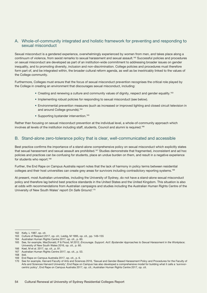## A. Whole-of-community integrated and holistic framework for preventing and responding to sexual misconduct

Sexual misconduct is a gendered experience, overwhelmingly experienced by women from men, and takes place along a continuum of violence, from sexist remarks to sexual harassment and sexual assault.162 Successful policies and procedures on sexual misconduct are developed as part of an institution-wide commitment to addressing broader issues on gender inequality, and to promoting diversity, inclusion and non-discrimination. College policies and procedures must therefore form part of, and be integrated within, the broader cultural reform agenda, as well as be inextricably linked to the values of the College community.

Furthermore, Colleges must ensure that the focus of sexual misconduct prevention recognises the critical role played by the College in creating an environment that discourages sexual misconduct, including:

- Creating and renewing a culture and community values of dignity, respect and gender equality.<sup>163</sup>
- Implementing robust policies for responding to sexual misconduct (see below).
- Environmental prevention measures (such as increased or improved lighting and closed circuit television in and around College grounds).<sup>164</sup>
- Supporting bystander intervention.<sup>165</sup>

Rather than focusing on sexual misconduct prevention at the individual level, a whole-of-community approach which involves all levels of the institution including staff, students, Council and alumni is required.<sup>166</sup>

#### B. Stand-alone zero-tolerance policy that is clear, well-communicated and accessible

Best practice confirms the importance of a stand-alone comprehensive policy on sexual misconduct which explicitly states that sexual harassment and sexual assault are prohibited.<sup>167</sup> Studies demonstrate that fragmented, inconsistent and ad hoc policies and practices can be confusing for students, place an undue burden on them, and result in a negative experience for students who report.<sup>168</sup>

Further, the End Rape on Campus Australia report notes that the lack of harmony in policy terms between residential colleges and their host universities can create grey areas for survivors including contradictory reporting systems.<sup>169</sup>

At present, most Australian universities, including the University of Sydney, do not have a stand-alone sexual misconduct policy and therefore lag behind best practice standards in the United States and the United Kingdom. This situation is also at odds with recommendations from Australian campaigns and studies including the Australian Human Rights Centre of the University of New South Wales' report *On Safe Ground*. 170

<sup>162</sup> Kelly, L 1987, op. cit.

<sup>163</sup> Culture of Respect 2017, op. cit.; Leidig, M 1995, op. cit., pp. 149–155

<sup>164</sup> Australian Human Rights Centre 2017, op. cit., p. 60.

<sup>165</sup> See, for example, MacDonald, P & Flood, M 2012, *Encourage. Support. Act!: Bystander Approaches to Sexual Harassment in the Workplace*; University of New South Wales 2016, op. cit., p. 60.

<sup>166</sup> Keel, M et al. 2017, op. cit., p. 81.

<sup>167</sup> Australian Human Rights Centre 2017, op. cit., p. 53.

<sup>168</sup> ibid.

<sup>169</sup> End Rape on Campus Australia 2017, op. cit., p. 6.

<sup>170</sup> See for example, Harvard Faculty of Arts and Sciences 2016, 'Sexual and Gender-Based Harassment Policy and Procedures for the Faculty of Arts and Sciences Harvard University'; End Rape on Campus has also developed a comprehensive model for building what it calls a 'survivorcentric policy', End Rape on Campus Australia 2017, op. cit.; Australian Human Rights Centre 2017, op. cit.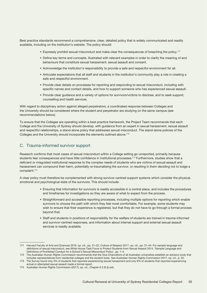Best practice standards recommend a comprehensive, clear, detailed policy that is widely communicated and readily available, including on the institution's website. The policy should:

- Expressly prohibit sexual misconduct and make clear the consequences of breaching the policy.171
- Define key terms and concepts, illustrated with relevant examples in order to clarify the meaning of and behaviours that constitute sexual harassment, sexual assault and consent.
- Acknowledge the institution's responsibility to provide a safe and respectful environment for all.
- Articulate expectations that all staff and students in the institution's community play a role in creating a safe and respectful environment.
- Provide clear details on processes for reporting and responding to sexual misconduct, including with specific names and contact details, and how to support someone who has experienced sexual assault.
- Provide clear guidance and a variety of options for survivors/victims to disclose, and to seek support, counselling and health services.

With regard to disciplinary action against alleged perpetrators, a coordinated response between Colleges and the University should be considered where the student and perpetrator are studying on the same campus (see recommendations below).

To ensure that the Colleges are operating within a best practice framework, the Project Team recommends that each College and the University of Sydney should develop, with guidance from an expert in sexual harassment, sexual assault and respectful relationships, a stand-alone policy that addresses sexual misconduct. The stand-alone policies of the Colleges and the University should incorporate the elements outlined above.<sup>172</sup>

## C. Trauma-informed survivor support

Research confirms that most cases of sexual misconduct within a College setting go unreported, primarily because students fear consequences and have little confidence in institutional processes.<sup>173</sup> Furthermore, studies show that a deficient or misguided institutional response to the complex needs of students who are victims of sexual assault and harassment can compound their harm, potentially re-traumatising the survivor, or resulting in them deciding not to lodge a complaint.174

A clear policy must therefore be complemented with strong survivor-centred support systems which consider the physical, emotional and psychological state of the survivors. This should include:

- Ensuring that information for survivors is readily accessible in a central place, and includes the procedures and timeframes for investigations so they are aware of what to expect from the process.
- Straightforward and accessible reporting processes, including multiple options for reporting which enable survivors to choose the path with which they feel most comfortable. For example, some students may wish to ensure that their experience is registered, but that they do not have to go through a formal process beyond that.
- Staff and students in positions of responsibility for the welfare of students are trained in trauma-informed and survivor-centred responses, and information about internal support and external sexual assault services is readily available.

<sup>171</sup> Harvard Faculty of Arts and Sciences 2016, op. cit., pp. 21–22; Culture of Respect 2017, op. cit., pp. 31–44. For sample language and definitions of sexual misconduct, see White House Task Force to Protect Students from Sexual Assault 2014, 'Sample Language and Definitions of Prohibited Conduct for a School's Sexual Misconduct Policy', pp. 1–4.

<sup>172</sup> The Australian Human Rights Commission recommends that the Vice-Chancellors of all Australian universities establish an advisory body that includes representatives from residential colleges and the student body. See Australian Human Rights Commission 2017, op. cit., p. 20. 173 The Survey found only 3% of students that reported experiencing sexual harassment and only 9% of students that reported experiencing

actual or attempted sexual assault made a formal report.

<sup>174</sup> Australian Human Rights Commission (2017), op. cit., Chapter 6.3 (f) (i)-(xii).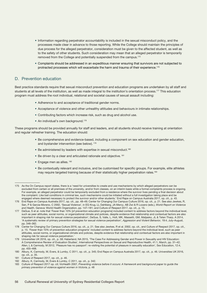- Information regarding perpetrator accountability is included in the sexual misconduct policy, and the processes made clear in advance to those reporting. While the College should maintain the principles of due process for the alleged perpetrator, consideration must be given to the affected student, as well as to the safety of other students. Such consideration may mean that an alleged perpetrator is temporarily removed from the College and potentially suspended from the campus.175
- Complaints should be addressed in an expeditious manner ensuring that survivors are not subjected to protracted processes which will exacerbate the harm and trauma of their experience.176

#### D. Prevention education

Best practice standards require that sexual misconduct prevention and education programs are undertaken by all staff and students at all levels of the institution, as well as made integral to the institution's orientation process.<sup>177</sup> This education program must address the root individual, relational and societal causes of sexual assault including:

- Adherence to and acceptance of traditional gender norms.
- Acceptance of violence and other unhealthy attitudes and behaviours in intimate relationships.
- Contributing factors which increase risk, such as drug and alcohol use.
- An individual's own background.<sup>178</sup>

These programs should be provided annually for staff and leaders, and all students should receive training at orientation and regular refresher training. The education should:

- Be comprehensive and evidence-based, including a component on sex education and gender education, and bystander intervention (see below). <sup>179</sup>
- Be administered by leaders with expertise in sexual misconduct.<sup>180</sup>
- Be driven by a clear and articulated rationale and objective.<sup>181</sup>
- Engage men as allies. <sup>182</sup>
- Be contextually relevant and inclusive, and be customised for specific groups. For example, elite athletes may require targeted training because of their statistically higher perpetration rates.<sup>183</sup>

182 Albury, K, Carmody, M, Evers & Lumby, C 2011, op. cit., p. 342.

<sup>175</sup> As the On Campus report states, there is a 'need for universities to create and use mechanisms by which alleged perpetrators can be excluded from certain or all premises of the university, and/or from classes, on an interim basis while a formal complaints process is ongoing. For example, an alleged perpetrator could be temporarily excluded from a residence where the survivor lives pending a final decision about the complaint. Like bail conditions in criminal law, such mechanisms could be initiated without a full investigation taking place and be engaged where deemed necessary to protect the survivor and/or other students.' End Rape on Campus Australia 2017, op. cit., p. 43.

<sup>176</sup> End Rape on Campus Australia 2017, op. cit., pp. 48–49; Center for Changing Our Campus Culture 2016, op. cit., p. 21. See also Jewkes, R, Sen, P & Garcia-Moreno, C 2002, 'Sexual Violence', in EG Krug, LL Dahlberg, JA Mercy, AB Zwi & R Lozano (eds.), *World Report on Violence and Health*, Geneva: World Health Organization, pp. 147–181; and Culture of Respect 2017, op. cit., p. 15.

<sup>177</sup> DeGue, S et al. note that 'Fewer than 10% [of prevention education programs] included content to address factors beyond the individual level, such as peer attitudes, social norms, or organizational climate and policies, despite evidence that relationship and contextual factors are also important in shaping risk for sexual violence perpetration', DeGue, S, Valle, L, Holt, MK, Massetti, GM, Matjasko, JL & Teten Tharp, A 2014, 'A systematic review of primary prevention strategies for sexual violence perpetration', *[Aggression and Violent Behavior,](http://www.sciencedirect.com/science/journal/13591789)* 19:4, July–August, pp. 346–362.

<sup>178</sup> Center for Changing Our Campus Culture 2016, op. cit., p. 21. See also Jewkes, R et al. 2002, op. cit., and Culture of Respect 2017, op. cit., p. 15. 'Fewer than 10% of prevention education programs' included content to address factors beyond the individual level, such as peer attitudes, social norms, or organizational climate and policies, despite evidence that relationship and contextual factors are also important in shaping risk for sexual violence perpetration.'

<sup>179</sup> Universities UK 2016, op. cit., p. 58; Haberland, NA 2015, 'The Case For Addressing Gender and Power in Sexuality and HIV Education: A Comprehensive Review of Evaluation Studies', International Perspectives on Sexual and Reproductive Health, 41:1, March, pp. 31–42; Allen, L & Carmody, M 2012, 'Pleasure has no passport': re-visiting the potential of pleasure in sexuality education', Sex Education, 12:4, pp. 455–468.

<sup>180</sup> Albury, K, Carmody, M, Evers, & Lumby, C 2011, op. cit., p. 345; End Rape on Campus Australia 2017, op. cit., p. 46. Universities UK 2016, op. cit., p. 35.

<sup>181</sup> Culture of Respect 2017, op. cit., p. 46.

<sup>183</sup> Culture of Respect 2017 op. cit; VicHealth 2007, *Preventing violence before it occurs: A framework and background paper to guide the primary prevention of violence against women in Victoria*, p. 48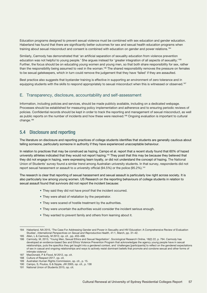Education programs designed to prevent sexual violence must be combined with sex education and gender education. Haberland has found that there are significantly better outcomes for sex and sexual health education programs when training about sexual misconduct and consent is combined with education on gender and power relations.<sup>184</sup>

Similarly, Carmody has demonstrated that 'an artificial separation of sexuality education from violence prevention education was not helpful to young people.' She argues instead for 'greater integration of all aspects of sexuality.'185 Further, the focus should be on educating young women and young men, so that both share responsibility for sex, rather than the responsibility being assumed to vest in the woman.186 The shared responsibility removes the pressure on females to be sexual gatekeepers, which in turn could remove the judgement that they have 'failed' if they are assaulted.

Best practice also suggests that bystander training is effective in supporting an environment of zero tolerance and in equipping students with the skills to respond appropriately to sexual misconduct when this is witnessed or observed.<sup>187</sup>

## E. Transparency, disclosure, accountability and self-assessment

Information, including policies and services, should be made publicly available, including on a dedicated webpage. Processes should be established for measuring policy implementation and adherence and to ensuring periodic reviews of policies. Confidential records should be kept in order to track the reporting and management of sexual misconduct, as well as public reports on the number of incidents and how these were resolved.<sup>188</sup> Ongoing evaluation is important to cultural change.<sup>189</sup>

# 5.4 Disclosure and reporting

The literature on disclosure and reporting practices of college students identifies that students are generally cautious about telling someone, particularly someone in authority if they have experienced unacceptable behaviour.

In relation to practices that may be construed as hazing, Campo et al. report that a recent study found that 60% of hazed university athletes indicated that they would not report hazing.<sup>190</sup> They posit that this may be because they believed that they did not engage in hazing, were expressing team loyalty, or did not understand the concept of hazing. The National Union of Students' survey found a similar trend among Australian university students. In that survey, respondents did not report sexual harassment or assault to a university official (94.5%) or the police (95.2%).<sup>191</sup>

The research is clear that reporting of sexual harassment and sexual assault is particularly low right across society. It is also particularly low among young women. US Research on the reporting behaviours of college students in relation to sexual assault found that survivors did not report the incident because:

- They said they did not have proof that the incident occurred.
- They were afraid of retaliation by the perpetrator.
- They were scared of hostile treatment by the authorities.
- They were uncertain the authorities would consider the incident serious enough.
- They wanted to prevent family and others from learning about it.

<sup>184</sup> Haberland, NA 2015, 'The Case For Addressing Gender and Power in Sexuality and HIV Education: A Comprehensive Review of Evaluation Studies', *International Perspectives on Sexual and Reproductive Health*, 41:1, March, pp. 31–42.

<sup>185</sup> Allen, L & Carmody, M 2012, op. cit , pp. 455–468.

<sup>186</sup> Carmody, M, 2013, 'Young Men, Sexual Ethics and Sexual Negotiation', *Sociological Research Online*, 18(2) 22, p. 794. Carmody has developed an evidence-based Sex and Ethics Violence Prevention Program that acknowledges the agency young people have in sexual relationships, puts the specifics they get taught into a gendered context, and 'challenges [participants] to reflect on the gendered expectations of sex in casual and ongoing relationships and ways to actively resist dominant beliefs that promote and condone sexual and other forms of intimate violence'.

<sup>187</sup> MacDonald, P & Flood, M 2012, op. cit.

<sup>188</sup> Culture of Respect 2017, op. cit.

<sup>189</sup> Australian Human Rights Commission, op. cit., p. 15.

<sup>190</sup> Campo, S, Poulos, G & Sipple, JW 2005, op. cit., p. 138

<sup>191</sup> National Union of Students 2015, op. cit.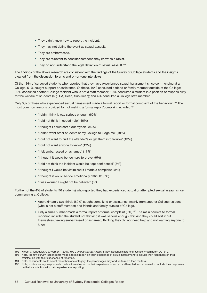- They didn't know how to report the incident.
- They may not define the event as sexual assault.
- They are embarrassed.
- They are reluctant to consider someone they know as a rapist.
- They do not understand the legal definition of sexual assault.<sup>192</sup>

The findings of the above research are consistent with the findings of the Survey of College students and the insights gleaned from the discussion forums and on-on-one interviews.

Of the 19% of surveyed students who reported that they have experienced sexual harassment since commencing at a College, 51% sought support or assistance. Of these, 19% consulted a friend or family member outside of the College; 39% consulted another College resident who is not a staff member; 10% consulted a student in a position of responsibility for the welfare of students (e.g. RA, Dean, Sub-Dean); and 4% consulted a College staff member.

Only 3% of those who experienced sexual harassment made a formal report or formal complaint of the behaviour.<sup>193</sup> The most common reasons provided for not making a formal report/complaint included:<sup>194</sup>

- 'I didn't think it was serious enough' (60%)
- 'I did not think I needed help' (46%)
- 'I thought I could sort it out myself' (34%)
- 'I didn't want other students at my College to judge me' (18%)
- 'I did not want to hurt the offender/s or get them into trouble' (13%)
- 'I did not want anyone to know' (12%)
- 'I felt embarrassed or ashamed' (11%)
- 'I thought it would be too hard to prove' (9%)
- 'I did not think the incident would be kept confidential' (8%)
- 'I thought I would be victimised if I made a complaint' (8%)
- 'I thought it would be too emotionally difficult' (6%)
- 'I was worried I might not be believed' (5%)

Further, of the 4% of students (46 students) who reported they had experienced actual or attempted sexual assault since commencing at College:

- Approximately two-thirds (69%) sought some kind or assistance, mainly from another College resident (who is not a staff member) and friends and family outside of College.
- Only a small number made a formal report or formal complaint (9%).<sup>195</sup> The main barriers to formal reporting included the student not thinking it was serious enough, thinking they could sort it out themselves, feeling embarrassed or ashamed, thinking they did not need help and not wanting anyone to know.

193 Note, too few survey respondents made a formal report on their experience of sexual harassment to include their responses on their satisfaction with their experience of reporting.

<sup>192</sup> Krebs, C, Lindquist, C & Warner, T 2007, *The Campus Sexual Assault Study*, National Institute of Justice, Washington DC. p. 9.

<sup>194</sup> Note, as students could select more than one category, the percentages may add up to more than the total.

<sup>195</sup> Note, too few survey respondents made a formal report on their experience of actual or attempted sexual assault to include their responses on their satisfaction with their experience of reporting.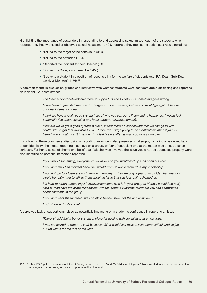Highlighting the importance of bystanders in responding to and addressing sexual misconduct, of the students who reported they had witnessed or observed sexual harassment, 49% reported they took some action as a result including:

- 'Talked to the target of the behaviour' (35%)
- 'Talked to the offender' (11%)
- 'Reported the incident to their College' (3%)
- 'Spoke to a College staff member' (4%)
- 'Spoke to a student in a position of responsibility for the welfare of students (e.g. RA, Dean, Sub-Dean, Corridor Monitor)' (11%)196

A common theme in discussion groups and interviews was whether students were confident about disclosing and reporting an incident. Students stated:

*The [peer support network are] there to support us and to help us if something goes wrong.* 

*I have been to [the staff member in charge of student welfare] before and would go again. She has our best interests at heart.* 

*I think we have a really good system here of who you can go to if something happened. I would feel personally fine about speaking to a [peer support network member].*

*I* feel like we've got a good system in place, in that there's a set network that we can go to with *adults. We've got that available to us… I think it's always going to be a difficult situation if you've been through that. I can't imagine. But I feel like we offer as many options as we can.* 

In contrast to these comments, disclosing or reporting an incident also presented challenges, including a perceived lack of confidentiality, the impact reporting may have on a group, or fear of ostracism or that the matter would not be taken seriously. Further, a sense of shame or a belief that if alcohol was involved the issue would not be addressed properly were also identified as potential barriers to reporting:

*If you report something, everyone would know and you would end up a bit of an outsider.*

*I wouldn't report an incident because I would worry it would jeopardise my scholarship.*

*I wouldn't go to a [peer support network member]... They are only a year or two older than me so it would be really hard to talk to them about an issue that you feel really ashamed of.*

It's hard to report something if it involves someone who is in your group of friends. It could be really hard to then have the same relationship with the group if everyone found out you had complained *about someone in the group.*

*I* wouldn't want the fact that *I* was drunk to be the issue, not the actual incident.

*It's just easier to stay quiet.*

A perceived lack of support was raised as potentially impacting on a student's confidence in reporting an issue:

*[There] should [be] a better system in place for dealing with sexual assault on campus.*

*I was too scared to report to staff because I felt it would just make my life more difficult and so just put up with it for the rest of the year.*

<sup>196</sup> Further, 2% 'spoke to someone outside of College about what to do' and 3% 'did something else'. Note, as students could select more than one category, the percentages may add up to more than the total.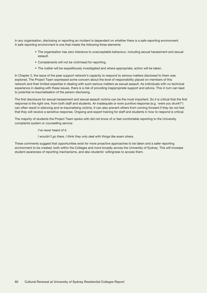In any organisation, disclosing or reporting an incident is dependent on whether there is a safe reporting environment. A safe reporting environment is one that meets the following three elements:

- The organisation has zero tolerance to unacceptable behaviour, including sexual harassment and sexual assault.
- Complainants will not be victimised for reporting.
- The matter will be expeditiously investigated and where appropriate, action will be taken.

In Chapter 2, the issue of the peer support network's capacity to respond to serious matters disclosed to them was explored. The Project Team expressed some concern about the level of responsibility placed on members of this network and their limited expertise in dealing with such serious matters as sexual assault. As individuals with no technical experience in dealing with these issues, there is a risk of providing inappropriate support and advice. This in turn can lead to potential re-traumatisation of the person disclosing.

The first disclosure for sexual harassment and sexual assault victims can be the most important. So it is critical that the first response is the right one, from both staff and students. An inadequate or even punitive response (e.g. 'were you drunk?') can often result in silencing and re-traumatising victims. It can also prevent others from coming forward if they do not feel that they will receive a sensitive response. Ongoing and expert training for staff and students in how to respond is critical.

The majority of students the Project Team spoke with did not know of or feel comfortable reporting to the University complaints system or counselling service:

#### *I've never heard of it.*

*I wouldn't go there. I think they only deal with things like exam stress.*

These comments suggest that opportunities exist for more proactive approaches to be taken and a safer reporting environment to be created, both within the Colleges and more broadly across the University of Sydney. This will increase student awareness of reporting mechanisms, and also students' willingness to access them.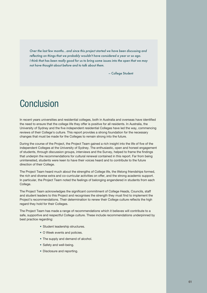*Over the last few months…and since this project started we have been discussing and reflecting on things that we probably wouldn't have considered a year or so ago. I think that has been really good for us to bring some issues into the open that we may not have thought about before and to talk about them.*

– College Student

# **Conclusion**

In recent years universities and residential colleges, both in Australia and overseas have identified the need to ensure that the college life they offer is positive for all residents. In Australia, the University of Sydney and the five independent residential Colleges have led the way, commencing reviews of their College's culture. This report provides a strong foundation for the necessary changes that must be made for the Colleges to remain strong into the future.

During the course of the Project, the Project Team gained a rich insight into the life of five of the independent Colleges at the University of Sydney. The enthusiastic, open and honest engagement of students, through discussion groups, interviews and the Survey, helped to frame the findings that underpin the recommendations for cultural renewal contained in this report. Far from being uninterested, students were keen to have their voices heard and to contribute to the future direction of their College.

The Project Team heard much about the strengths of College life, the lifelong friendships formed, the rich and diverse extra and co-curricular activities on offer, and the strong academic support. In particular, the Project Team noted the feelings of belonging engendered in students from each College.

The Project Team acknowledges the significant commitment of College Heads, Councils, staff and student leaders to this Project and recognises the strength they must find to implement the Project's recommendations. Their determination to renew their College culture reflects the high regard they hold for their Colleges.

The Project Team has made a range of recommendations which it believes will contribute to a safe, supportive and respectful College culture. These include recommendations underpinned by best practice regarding:

- Student leadership structures.
- O Week events and policies.
- The supply and demand of alcohol.
- Safety and well-being.
- Disclosure and reporting.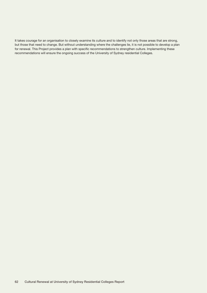It takes courage for an organisation to closely examine its culture and to identify not only those areas that are strong, but those that need to change. But without understanding where the challenges lie, it is not possible to develop a plan for renewal. This Project provides a plan with specific recommendations to strengthen culture. Implementing these recommendations will ensure the ongoing success of the University of Sydney residential Colleges.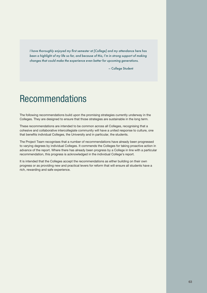*I have thoroughly enjoyed my first semester at [College] and my attendance here has been a highlight of my life so far, and because of this, I'm in strong support of making changes that could make the experience even better for upcoming generations.*

– College Student

# Recommendations

The following recommendations build upon the promising strategies currently underway in the Colleges. They are designed to ensure that those strategies are sustainable in the long term.

These recommendations are intended to be common across all Colleges, recognising that a cohesive and collaborative intercollegiate community will have a united response to culture, one that benefits individual Colleges, the University and in particular, the students.

The Project Team recognises that a number of recommendations have already been progressed to varying degrees by individual Colleges. It commends the Colleges for taking proactive action in advance of the report. Where there has already been progress by a College in line with a particular recommendation, this progress is acknowledged in the individual College's report.

It is intended that the Colleges accept the recommendations as either building on their own progress or as providing new and practical levers for reform that will ensure all students have a rich, rewarding and safe experience.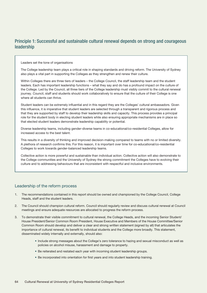# Principle 1: Successful and sustainable cultural renewal depends on strong and courageous leadership

Leaders set the tone of organisations

The College leadership team plays a critical role in shaping standards and driving reform. The University of Sydney also plays a vital part in supporting the Colleges as they strengthen and renew their culture.

Within Colleges there are three tiers of leaders – the College Council, the staff leadership team and the student leaders. Each has important leadership functions – what they say and do has a profound impact on the culture of the College. Led by the Council, all three tiers of the College leadership must visibly commit to the cultural renewal journey. Council, staff and students should work collaboratively to ensure that the culture of their College is one where all students can thrive.

Student leaders can be extremely influential and in this regard they are the Colleges' cultural ambassadors. Given this influence, it is imperative that student leaders are selected through a transparent and rigorous process and that they are supported by staff to develop their leadership skills and capacity. This process provides a principal role for the student body in electing student leaders while also ensuring appropriate mechanisms are in place so that elected student leaders demonstrate leadership capability or potential.

Diverse leadership teams, including gender-diverse teams in co-educational/co-residential Colleges, allow for increased access to the best talent.

This results in a diversity of thinking and improved decision-making compared to teams with no or limited diversity. A plethora of research confirms this. For this reason, it is important over time for co-educational/co-residential Colleges to work towards gender-balanced leadership teams.

Collective action is more powerful and sustainable than individual action. Collective action will also demonstrate to the College communities and the University of Sydney the strong commitment the Colleges have to evolving their culture and to addressing behaviours that are inconsistent with respectful and inclusive environments.

# Leadership of the reform process

- 1. The recommendations contained in this report should be owned and championed by the College Council, College Heads, staff and the student leaders.
- 2. The Council should champion cultural reform. Council should regularly review and discuss cultural renewal at Council meetings and ensure adequate resources are allocated to progress the reform process.
- 3. To demonstrate their visible commitment to cultural renewal, the College Heads, and the incoming Senior Student/ House President/Senior Common Room President, House Executive and Members of the House Committee/Senior Common Room should develop and deliver a clear and strong written statement (signed by all) that articulates the importance of cultural renewal, its benefit to individual students and the College more broadly. This statement, disseminated widely internally and externally, should also:
	- Include strong messages about the College's zero tolerance to hazing and sexual misconduct as well as policies on alcohol misuse, harassment and damage to property.
	- Be reiterated and restated each year with incoming student leadership groups.
	- Be incorporated into orientation for first years and into student leadership training.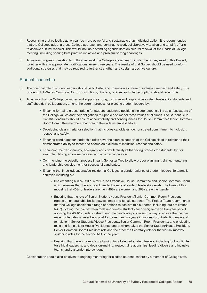- 4. Recognising that collective action can be more powerful and sustainable than individual action, it is recommended that the Colleges adopt a cross-College approach and continue to work collaboratively to align and amplify efforts to achieve cultural renewal. This would include a standing agenda item on cultural renewal at the Heads of College meeting, including sharing best practice initiatives and problem-solving challenges.
- 5. To assess progress in relation to cultural renewal, the Colleges should readminister the Survey used in this Project, together with any appropriate modifications, every three years. The results of that Survey should be used to inform additional strategies that may be required to further strengthen and sustain a positive culture.

## Student leadership

- 6. The principal role of student leaders should be to foster and champion a culture of inclusion, respect and safety. The Student Club/Senior Common Room constitutions, charters, policies and role descriptions should reflect this.
- 7. To ensure that the College promotes and supports strong, inclusive and responsible student leadership, students and staff should, in collaboration, amend the current process for electing student leaders by:
	- Ensuring formal role descriptions for student leadership positions include responsibility as ambassadors of the College values and their obligations to uphold and model these values at all times. The Student Club Constitution/Rules should ensure accountability and consequences for House Committee/Senior Common Room Committee members that breach their role as ambassadors.
	- Developing clear criteria for selection that includes candidates' demonstrated commitment to inclusion, respect and safety.
	- Ensuring candidates for leadership roles have the express support of the College Head in relation to their demonstrated ability to foster and champion a culture of inclusion, respect and safety.
	- Enhancing the transparency, anonymity and confidentiality of the voting process for students, by, for example, utilising an online process with an external provider.
	- Commencing the selection process in early Semester Two to allow proper planning, training, mentoring and leadership development for successful candidates.
	- Ensuring that in co-educational/co-residential Colleges, a gender balance of student leadership teams is achieved including by:
		- » Implementing a 40:40:20 rule for House Executive, House Committee and Senior Common Room, which ensures that there is good gender balance at student leadership levels. The basis of this model is that 40% of leaders are men, 40% are women and 20% are either gender.
		- » Ensuring that the role of Senior Student/House President/Senior Common Room President rotates on an equitable basis between male and female students. The Project Team recommends that the College considers a range of options to achieve this outcome, including (but not limited to): a) rotating the role between male and female students each year; b) over a five-year period applying the 40:40:20 rule; c) structuring the candidate pool in such a way to ensure that neither male nor female can ever be in post for more than two years in succession; d) electing male and female joint Senior Students/House Presidents/Senior Common Room Presidents; and e) electing male and female joint House Presidents, one of whom takes the Senior Student/House President/ Senior Common Room President role and the other the Secretary role for the first six months, switching roles for the second half of the year.
		- » Ensuring that there is compulsory training for all elected student leaders, including (but not limited to) ethical leadership and decision-making, respectful relationships, leading diverse and inclusive teams, and bystander interventions.

Consideration should also be given to ongoing mentoring for elected student leaders by a member of College staff.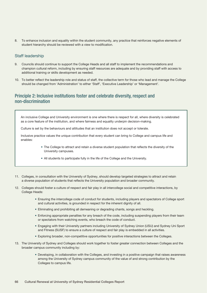8. To enhance inclusion and equality within the student community, any practice that reinforces negative elements of student hierarchy should be reviewed with a view to modification.

## Staff leadership

- 9. Councils should continue to support the College Heads and all staff to implement the recommendations and champion cultural reform, including by ensuring staff resources are adequate and by providing staff with access to additional training or skills development as needed.
- 10. To better reflect the leadership role and status of staff, the collective term for those who lead and manage the College should be changed from 'Administration' to either 'Staff', 'Executive Leadership' or 'Management'.

# Principle 2: Inclusive institutions foster and celebrate diversity, respect and non‑discrimination

An inclusive College and University environment is one where there is respect for all, where diversity is celebrated as a core feature of the institution, and where fairness and equality underpin decision-making.

Culture is set by the behaviours and attitudes that an institution does not accept or tolerate.

Inclusive practice values the unique contribution that every student can bring to College and campus life and enables:

- The College to attract and retain a diverse student population that reflects the diversity of the University campuses.
- All students to participate fully in the life of the College and the University.
- 11. Colleges, in consultation with the University of Sydney, should develop targeted strategies to attract and retain a diverse population of students that reflects the University population and broader community.
- 12. Colleges should foster a culture of respect and fair play in all intercollege social and competitive interactions, by College Heads:
	- Ensuring the intercollege code of conduct for students, including players and spectators of College sport and cultural activities, is grounded in respect for the inherent dignity of all.
	- Eliminating and prohibiting all demeaning or degrading chants, songs and heckling.
	- Enforcing appropriate penalties for any breach of the code, including suspending players from their team or spectators from watching events, who breach the code of conduct.
	- Engaging with their University partners including University of Sydney Union (USU) and Sydney Uni Sport and Fitness (SUSF) to ensure a culture of respect and fair play is embedded in all activities.
	- Exploring broader, non-competitive opportunities for positive interactions between the Colleges.
- 13. The University of Sydney and Colleges should work together to foster greater connection between Colleges and the broader campus community including by:
	- Developing, in collaboration with the Colleges, and investing in a positive campaign that raises awareness among the University of Sydney campus community of the value of and strong contribution by the Colleges to campus life.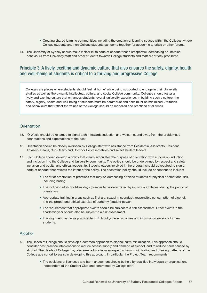- Creating shared learning communities, including the creation of learning spaces within the Colleges, where College students and non-College students can come together for academic tutorials or other forums.
- 14. The University of Sydney should make it clear in its code of conduct that disrespectful, demeaning or unethical behaviours from University staff and other students towards College students and staff are strictly prohibited.

# Principle 3: A lively, exciting and dynamic culture that also ensures the safety, dignity, health and well-being of students is critical to a thriving and progressive College

Colleges are places where students should feel 'at home' while being supported to engage in their University studies as well as the dynamic intellectual, cultural and social College community. Colleges should foster a lively and exciting culture that enhances students' overall university experience. In building such a culture, the safety, dignity, health and well-being of students must be paramount and risks must be minimised. Attitudes and behaviours that reflect the values of the College should be modelled and practised at all times.

#### **Orientation**

- 15. 'O Week' should be renamed to signal a shift towards induction and welcome, and away from the problematic connotations and expectations of the past.
- 16. Orientation should be closely overseen by College staff with assistance from Residential Assistants, Resident Advisers, Deans, Sub-Deans and Corridor Representatives and select student leaders.
- 17. Each College should develop a policy that clearly articulates the purpose of orientation with a focus on induction and inclusion into the College and University community. The policy should be underpinned by respect and safety, inclusion and equity, and ethical leadership. Student leaders involved in the program should be required to sign a code of conduct that reflects the intent of the policy. The orientation policy should include or continue to include:
	- The strict prohibition of practices that may be demeaning or place students at physical or emotional risk, including hazing.
	- The inclusion of alcohol-free days (number to be determined by individual Colleges) during the period of orientation.
	- Appropriate training in areas such as first aid, sexual misconduct, responsible consumption of alcohol, and the proper and ethical exercise of authority (student power).
	- The requirement that appropriate events should be subject to a risk assessment. Other events in the academic year should also be subject to a risk assessment.
	- The alignment, as far as practicable, with faculty-based activities and information sessions for new students.

#### Alcohol

- 18. The Heads of College should develop a common approach to alcohol harm minimisation. This approach should consider best practice interventions to reduce access/supply and demand of alcohol, and to reduce harm caused by alcohol. The Heads of College may also seek advice from an expert in harm minimisation and drinking patterns of the College age cohort to assist in developing this approach. In particular the Project Team recommends:
	- The positions of licensees and bar management should be held by qualified individuals or organisations independent of the Student Club and contracted by College staff.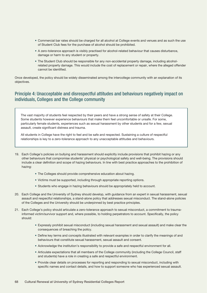- Commercial bar rates should be charged for all alcohol at College events and venues and as such the use of Student Club fees for the purchase of alcohol should be prohibited.
- A zero-tolerance approach is visibly practised for alcohol-related behaviour that causes disturbance, damage or harm to any student or property.
- The Student Club should be responsible for any non-accidental property damage, including alcoholrelated property damage. This would include the cost of replacement or repair, where the alleged offender cannot be identified.

Once developed, the policy should be widely disseminated among the intercollege community with an explanation of its objectives.

# Principle 4: Unacceptable and disrespectful attitudes and behaviours negatively impact on individuals, Colleges and the College community

The vast majority of students feel respected by their peers and have a strong sense of safety at their College. Some students however experience behaviours that make them feel uncomfortable or unsafe. For some, particularly female students, experiences such as sexual harassment by other students and for a few, sexual assault, create significant distress and trauma.

All students in College have the right to feel and be safe and respected. Sustaining a culture of respectful relationships is key to a zero-tolerance approach to any unacceptable attitudes and behaviours.

- 19. Each College's policies on bullying and harassment should explicitly include provisions that prohibit hazing or any other behaviours that compromise students' physical or psychological safety and well-being. The provisions should include a clear definition and scope of hazing behaviours. In line with best practice approaches to the prohibition of hazing:
	- The Colleges should provide comprehensive education about hazing.
	- Victims must be supported, including through appropriate reporting options.
	- Students who engage in hazing behaviours should be appropriately held to account.
- 20. Each College and the University of Sydney should develop, with guidance from an expert in sexual harassment, sexual assault and respectful relationships, a stand-alone policy that addresses sexual misconduct. The stand-alone policies of the Colleges and the University should be underpinned by best practice principles.
- 21. Each College's policy should articulate a zero-tolerance approach to sexual misconduct, a commitment to traumainformed victim/survivor support and, where possible, to holding perpetrators to account. Specifically, the policy should:
	- Expressly prohibit sexual misconduct (including sexual harassment and sexual assault) and make clear the consequences of breaching the policy.
	- Define key terms and concepts illustrated with relevant examples in order to clarify the meanings of and behaviours that constitute sexual harassment, sexual assault and consent.
	- Acknowledge the institution's responsibility to provide a safe and respectful environment for all.
	- Articulate expectations that all members of the College community (including the College Council, staff and students) have a role in creating a safe and respectful environment.
	- Provide clear details on processes for reporting and responding to sexual misconduct, including with specific names and contact details, and how to support someone who has experienced sexual assault.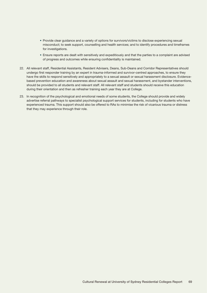- Provide clear guidance and a variety of options for survivors/victims to disclose experiencing sexual misconduct; to seek support, counselling and health services; and to identify procedures and timeframes for investigations.
- Ensure reports are dealt with sensitively and expeditiously and that the parties to a complaint are advised of progress and outcomes while ensuring confidentiality is maintained.
- 22. All relevant staff, Residential Assistants, Resident Advisers, Deans, Sub-Deans and Corridor Representatives should undergo first responder training by an expert in trauma-informed and survivor-centred approaches, to ensure they have the skills to respond sensitively and appropriately to a sexual assault or sexual harassment disclosure. Evidencebased prevention education and awareness about sexual assault and sexual harassment, and bystander interventions, should be provided to all students and relevant staff. All relevant staff and students should receive this education during their orientation and then as refresher training each year they are at College.
- 23. In recognition of the psychological and emotional needs of some students, the College should provide and widely advertise referral pathways to specialist psychological support services for students, including for students who have experienced trauma. This support should also be offered to RAs to minimise the risk of vicarious trauma or distress that they may experience through their role.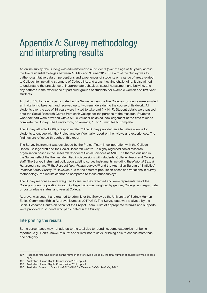# Appendix A: Survey methodology and interpreting results

An online survey (the Survey) was administered to all students (over the age of 18 years) across the five residential Colleges between 18 May and 9 June 2017. The aim of the Survey was to gather quantitative data on perceptions and experiences of students on a range of areas related to College life, including strengths of College life, and areas they find challenging. It also aimed to understand the prevalence of inappropriate behaviour, sexual harassment and bullying, and any patterns in the experience of particular groups of students, for example women and first-year students.

A total of 1001 students participated in the Survey across the five Colleges. Students were emailed an invitation to take part and received up to two reminders during the course of fieldwork. All students over the age of 18 years were invited to take part (n=1447). Student details were passed onto the Social Research Centre from each College for the purpose of the research. Students who took part were provided with a \$10 e-voucher as an acknowledgement of the time taken to complete the Survey. The Survey took, on average, 10 to 15 minutes to complete.

The Survey attracted a 69% response rate.<sup>197</sup> The Survey provided an alternative avenue for students to engage with the Project and confidentially report on their views and experiences. The findings are reflected throughout this report.

The Survey instrument was developed by the Project Team in collaboration with the College Heads, College staff and the Social Research Centre – a highly regarded social research organisation based in the Research School of Social Sciences at ANU. The themes outlined in the Survey reflect the themes identified in discussions with students, College Heads and College staff. The Survey instrument built upon existing survey instruments including the *National Sexual Harassment* survey,198 the *Respect Now Always* survey,199 and the Australian Bureau of Statistics' Personal Safety Survey.<sup>200</sup> However, due to the different population bases and variations in survey methodology, the results cannot be compared to these other surveys.

The Survey responses were weighted to ensure they reflected and were representative of the College student population in each College. Data was weighted by gender, College, undergraduate or postgraduate status, and year at College.

Approval was sought and granted to administer the Survey by the University of Sydney Human Ethics Committee (Ethics Approval Number: 2017/234). The Survey data was analysed by the Social Research Centre on behalf of the Project Team. A list of appropriate referrals and supports were provided to students who participated in the Survey.

## Interpreting the results

Some percentages may not add up to the total due to rounding, some categories not being reported (e.g. 'Don't know/Not sure' and 'Prefer not to say'), or being able to choose more than one category.

<sup>197</sup> Response rate was defined as the number of interviews divided by the total number of students invited to take part.

<sup>198</sup> Australian Human Rights Commission 2012, op. cit.

<sup>199</sup> Australian Human Rights Commission 2017, op. cit.

<sup>200</sup> Australian Bureau of Statistics (2012) *4906.0 – Personal Safety, Australia, 2012*.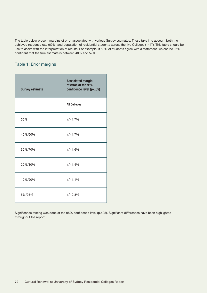The table below present margins of error associated with various Survey estimates. These take into account both the achieved response rate (69%) and population of residential students across the five Colleges (1447). This table should be use to assist with the interpretation of results. For example, if 50% of students agree with a statement, we can be 95% confident that the true estimate is between 48% and 52%.

# Table 1: Error margins

| <b>Survey estimate</b> | <b>Associated margin</b><br>of error, at the 95%<br>confidence level (p<.05) |
|------------------------|------------------------------------------------------------------------------|
|                        | <b>All Colleges</b>                                                          |
| 50%                    | $+/- 1.7%$                                                                   |
| 40%/60%                | $+/- 1.7%$                                                                   |
| 30%/70%                | $+/- 1.6%$                                                                   |
| 20%/80%                | $+/- 1.4%$                                                                   |
| 10%/90%                | $+/- 1.1%$                                                                   |
| 5%/95%                 | $+/- 0.8%$                                                                   |

Significance testing was done at the 95% confidence level (p<.05). Significant differences have been highlighted throughout the report.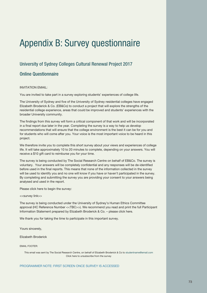# Appendix B: Survey questionnaire

# University of Sydney Colleges Cultural Renewal Project 2017

# Online Questionnaire

# INVITATION EMAIL:

You are invited to take part in a survey exploring students' experiences of college life.

The University of Sydney and five of the University of Sydney residential colleges have engaged Elizabeth Broderick & Co. (EB&Co) to conduct a project that will explore the strengths of the residential college experience, areas that could be improved and students' experiences with the broader University community.

The findings from this survey will form a critical component of that work and will be incorporated in a final report due later in the year. Completing the survey is a way to help us develop recommendations that will ensure that the college environment is the best it can be for you and for students who will come after you. Your voice is the most important voice to be heard in this project.

We therefore invite you to complete this short survey about your views and experiences of college life. It will take approximately 10 to 20 minutes to complete, depending on your answers. You will receive a \$10 gift card to reimburse you for your time.

The survey is being conducted by The Social Research Centre on behalf of EB&Co. The survey is voluntary. Your answers will be completely confidential and any responses will be de-identified before used in the final reports. This means that none of the information collected in the survey will be used to identify you and no one will know if you have or haven't participated in the survey. By completing and submitting the survey you are providing your consent to your answers being analysed and used in the report.

Please click here to begin the survey:

<<survey link>>

The survey is being conducted under the University of Sydney's Human Ethics Committee approval (HC Reference Number <<TBC>>). We recommend you read and print the full Participant Information Statement prepared by Elizabeth Broderick & Co. – please click here.

We thank you for taking the time to participate in this important survey.

Yours sincerely,

Elizabeth Broderick

#### EMAIL FOOTER:

This email was sent by The Social Research Centre, on behalf of Elizabeth Broderick & Co to studentname@email.com Click here to unsubscribe from the survey

#### PROGRAMMER NOTE: FIRST SCREEN ONCE SURVEY IS ACCESSED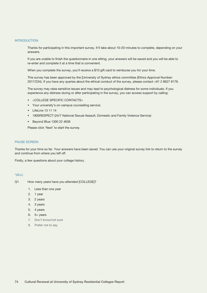#### **INTRODUCTION**

Thanks for participating in this important survey. It'll take about 10-20 minutes to complete, depending on your answers.

If you are unable to finish the questionnaire in one sitting, your answers will be saved and you will be able to re-enter and complete it at a time that is convenient.

When you complete the survey, you'll receive a \$10 gift card to reimburse you for your time.

This survey has been approved by the [University of Sydney ethics committee (Ethics Approval Number: 2017/234). If you have any queries about the ethical conduct of the survey, please contact +61 2 8627 8176.

The survey may raise sensitive issues and may lead to psychological distress for some individuals. If you experience any distress during or after participating in the survey, you can access support by calling:

- <COLLEGE SPECIFIC CONTACTS>
- Your university's on-campus counselling service;
- LifeLine 13 11 14
- 1800RESPECT (24/7 National Sexual Assault, Domestic and Family Violence Service)
- Beyond Blue 1300 22 4636

Please click 'Next' to start the survey.

#### PAUSE SCREEN

Thanks for your time so far. Your answers have been saved. You can use your original survey link to return to the survey and continue from where you left off.

Firstly, a few questions about your college history.

#### \*(ALL)

- Q1 How many years have you attended [COLLEGE]?
	- 1. Less than one year
	- 2. 1 year
	- 3. 2 years
	- 4. 3 years
	- 5. 4 years
	- 6. 5+ years
	- 7. Don't know/not sure
	- 8. Prefer not to say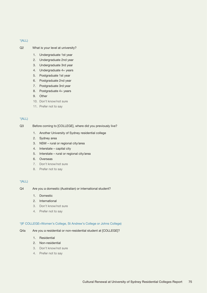- Q2 What is your level at university?
	- 1. Undergraduate 1st year
	- 2. Undergraduate 2nd year
	- 3. Undergraduate 3rd year
	- 4. Undergraduate 4+ years
	- 5. Postgraduate 1st year
	- 6. Postgraduate 2nd year
	- 7. Postgraduate 3rd year
	- 8. Postgraduate 4+ years
	- 9. Other
	- 10. Don't know/not sure
	- 11. Prefer not to say

# $*(ALL)$

- Q3 Before coming to [COLLEGE], where did you previously live?
	- 1. Another University of Sydney residential college
	- 2. Sydney area
	- 3. NSW rural or regional city/area
	- 4. Interstate capital city
	- 5. Interstate rural or regional city/area
	- 6. Overseas
	- 7. Don't know/not sure
	- 8. Prefer not to say

# $*(ALL)$

- Q4 Are you a domestic (Australian) or international student?
	- 1. Domestic
	- 2. International
	- 3. Don't know/not sure
	- 4. Prefer not to say

#### \*(IF COLLEGE=Women's College, St Andrew's College or Johns College)

- Q4a Are you a residential or non-residential student at [COLLEGE]?
	- 1. Residential
	- 2. Non-residential
	- 3. Don't know/not sure
	- 4. Prefer not to say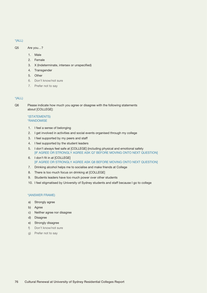- Q5 Are you…?
	- 1. Male
	- 2. Female
	- 3. X (Indeterminate, intersex or unspecified)
	- 4. Transgender
	- 5. Other
	- 6. Don't know/not sure
	- 7. Prefer not to say

#### \*(ALL)

Q6 Please indicate how much you agree or disagree with the following statements about [COLLEGE]:

# \*(STATEMENTS) \*RANDOMISE

- 1. I feel a sense of belonging
- 2. I get involved in activities and social events organised through my college
- 3. I feel supported by my peers and staff
- 4. I feel supported by the student leaders
- 5. I don't always feel safe at [COLLEGE] (including physical and emotional safety [IF AGREE OR STRONGLY AGREE ASK Q7 BEFORE MOVING ONTO NEXT QUESTION]
- 6. I don't fit in at [COLLEGE] [IF AGREE OR STRONGLY AGREE ASK Q8 BEFORE MOVING ONTO NEXT QUESTION]
- 7. Drinking alcohol helps me to socialise and make friends at College
- 8. There is too much focus on drinking at [COLLEGE]
- 9. Students leaders have too much power over other students
- 10. I feel stigmatised by University of Sydney students and staff because I go to college

#### \*(ANSWER FRAME)

- a) Strongly agree
- b) Agree
- c) Neither agree nor disagree
- d) Disagree
- e) Strongly disagree
- f) Don't know/not sure
- g) Prefer not to say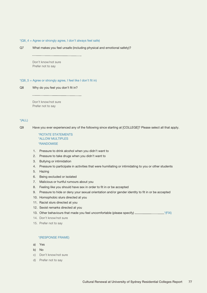#### $*(Q6_4 = Agree or strongly agree, I don't always feel safe)$

Q7 What makes you feel unsafe (including physical and emotional safety)?

Don't know/not sure Prefer not to say

#### $*(Q6_5 = Agree or strongly agree, I feel like I don't fit in)$

Q8 Why do you feel you don't fit in?

Don't know/not sure Prefer not to say

# \*(ALL)

Q9 Have you ever experienced any of the following since starting at [COLLEGE]? Please select all that apply.

\*ROTATE STATEMENTS \*ALLOW MULTIPLES \*RANDOMISE

- 1. Pressure to drink alcohol when you didn't want to
- 2. Pressure to take drugs when you didn't want to
- 3. Bullying or intimidation
- 4. Pressure to participate in activities that were humiliating or intimidating to you or other students
- 5. Hazing
- 6. Being excluded or isolated
- 7. Malicious or hurtful rumours about you
- 8. Feeling like you should have sex in order to fit in or be accepted
- 9. Pressure to hide or deny your sexual orientation and/or gender identity to fit in or be accepted
- 10. Homophobic slurs directed at you
- 11. Racist slurs directed at you
- 12. Sexist remarks directed at you
- 13. Other behaviours that made you feel uncomfortable (please specify)  $\frac{1}{\sqrt{f(X)}}$
- 14. Don't know/not sure
- 15. Prefer not to say

#### \*(RESPONSE FRAME)

- a) Yes
- b) No
- c) Don't know/not sure
- d) Prefer not to say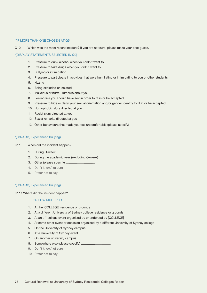#### \*(IF MORE THAN ONE CHOSEN AT Q9)

Q10 Which was the most recent incident? If you are not sure, please make your best guess.

#### \*(DISPLAY STATEMENTS SELECTED IN Q9)

- 1. Pressure to drink alcohol when you didn't want to
- 2. Pressure to take drugs when you didn't want to
- 3. Bullying or intimidation
- 4. Pressure to participate in activities that were humiliating or intimidating to you or other students
- 5. Hazing
- 6. Being excluded or isolated
- 7. Malicious or hurtful rumours about you
- 8. Feeling like you should have sex in order to fit in or be accepted
- 9. Pressure to hide or deny your sexual orientation and/or gender identity to fit in or be accepted
- 10. Homophobic slurs directed at you
- 11. Racist slurs directed at you
- 12. Sexist remarks directed at you
- 13. Other behaviours that made you feel uncomfortable (please specify)

#### \*(Q9=1-13, Experienced bullying)

- Q11 When did the incident happen?
	- 1. During O-week
	- 2. During the academic year (excluding O-week)
	- 3. Other (please specify)
	- 4. Don't know/not sure
	- 5. Prefer not to say

#### \*(Q9=1-13, Experienced bullying)

#### Q11a Where did the incident happen?

- 1. At the [COLLEGE] residence or grounds
- 2. At a different University of Sydney college residence or grounds
- 3. At an off-college event organised by or endorsed by [COLLEGE]
- 4. At some other event or occasion organised by a different University of Sydney college
- 5. On the University of Sydney campus
- 6. At a University of Sydney event
- 7. On another university campus
- 8. Somewhere else (please specify)
- 9. Don't know/not sure
- 10. Prefer not to say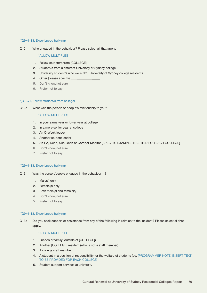## \*(Q9=1-13, Experienced bullying)

Q12 Who engaged in the behaviour? Please select all that apply.

#### \*ALLOW MULTIPLES

- 1. Fellow student/s from [COLLEGE]
- 2. Student/s from a different University of Sydney college
- 3. University student/s who were NOT University of Sydney college residents
- 4. Other (please specify)
- 5. Don't know/not sure
- 6. Prefer not to say

#### \*(Q12=1, Fellow student/s from college)

Q12a What was the person or people's relationship to you?

#### \*ALLOW MULTIPLES

- 1. In your same year or lower year at college
- 2. In a more senior year at college
- 3. An O-Week leader
- 4. Another student leader
- 5. An RA, Dean, Sub-Dean or Corridor Monitor [SPECIFIC EXAMPLE INSERTED FOR EACH COLLEGE]
- 6. Don't know/not sure
- 7. Prefer not to say

#### \*(Q9=1-13, Experienced bullying)

- Q13 Was the person/people engaged in the behaviour…?
	- 1. Male(s) only
	- 2. Female(s) only
	- 3. Both male(s) and female(s)
	- 4. Don't know/not sure
	- 5. Prefer not to say

#### \*(Q9=1-13, Experienced bullying)

Q13a Did you seek support or assistance from any of the following in relation to the incident? Please select all that apply.

- 1. Friends or family (outside of [COLLEGE])
- 2. Another [COLLEGE] resident (who is not a staff member)
- 3. A college staff member
- 4. A student in a position of responsibility for the welfare of students (eg. [PROGRAMMER NOTE: INSERT TEXT TO BE PROVIDED FOR EACH COLLEGE]
- 5. Student support services at university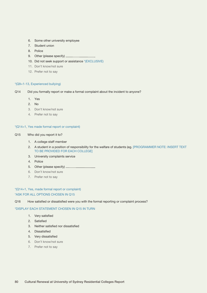- 6. Some other university employee
- 7. Student union
- 8. Police
- 9. Other (please specify) \_
- 10. Did not seek support or assistance \*(EXCLUSIVE)
- 11. Don't know/not sure
- 12. Prefer not to say

#### \*(Q9=1-13, Experienced bullying)

- Q14 Did you formally report or make a formal complaint about the incident to anyone?
	- 1. Yes
	- 2. No
	- 3. Don't know/not sure
	- 4. Prefer not to say

#### \*(Q14=1, Yes made formal report or complaint)

- Q15 Who did you report it to?
	- 1. A college staff member
	- 2. A student in a position of responsibility for the welfare of students (eg. [PROGRAMMER NOTE: INSERT TEXT TO BE PROVIDED FOR EACH COLLEGE]
	- 3. University complaints service
	- 4. Police
	- 5. Other (please specify)
	- 6. Don't know/not sure
	- 7. Prefer not to say

# \*(Q14=1, Yes, made formal report or complaint)

# \*ASK FOR ALL OPTIONS CHOSEN IN Q15

Q16 How satisfied or dissatisfied were you with the formal reporting or complaint process?

# \*DISPLAY EACH STATEMENT CHOSEN IN Q15 IN TURN

- 1. Very satisfied
- 2. Satisfied
- 3. Neither satisfied nor dissatisfied
- 4. Dissatisfied
- 5. Very dissatisfied
- 6. Don't know/not sure
- 7. Prefer not to say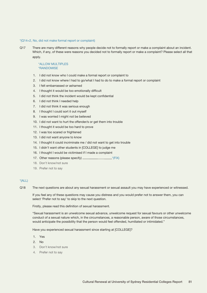#### \*(Q14=2, No, did not make formal report or complaint)

Q17 There are many different reasons why people decide not to formally report or make a complaint about an incident. Which, if any, of these were reasons you decided not to formally report or make a complaint? Please select all that apply.

## \*ALLOW MULTIPLES \*RANDOMISE

- 1. I did not know who I could make a formal report or complaint to
- 2. I did not know where I had to go/what I had to do to make a formal report or complaint
- 3. I felt embarrassed or ashamed
- 4. I thought it would be too emotionally difficult
- 5. I did not think the incident would be kept confidential
- 6. I did not think I needed help
- 7. I did not think it was serious enough
- 8. I thought I could sort it out myself
- 9. I was worried I might not be believed
- 10. I did not want to hurt the offender/s or get them into trouble
- 11. I thought it would be too hard to prove
- 12. I was too scared or frightened
- 13. I did not want anyone to know
- 14. I thought it could incriminate me / did not want to get into trouble
- 15. I didn't want other students in [COLLEGE] to judge me
- 16. I thought I would be victimised if I made a complaint
- 17. Other reasons (please specify) \*(FIX)
- 18. Don't know/not sure
- 19. Prefer not to say

# $*(ALL)$

Q18 The next questions are about any sexual harassment or sexual assault you may have experienced or witnessed.

If you feel any of these questions may cause you distress and you would prefer not to answer them, you can select 'Prefer not to say' to skip to the next question.

Firstly, please read this definition of sexual harassment.

"Sexual harassment is an unwelcome sexual advance, unwelcome request for sexual favours or other unwelcome conduct of a sexual nature which, in the circumstances, a reasonable person, aware of those circumstances, would anticipate the possibility that the person would feel offended, humiliated or intimidated."

Have you experienced sexual harassment since starting at [COLLEGE]?

- 1. Yes
- 2. No
- 3. Don't know/not sure
- 4. Prefer not to say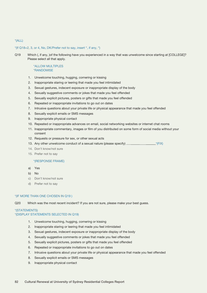#### \*(If Q18=2, 3, or 4, No, DK/Prefer not to say, insert ", if any, ")

Q19 Which (, if any, )of the following have you experienced in a way that was unwelcome since starting at [COLLEGE]? Please select all that apply.

## \*ALLOW MULTIPLES \*RANDOMISE

- 1. Unwelcome touching, hugging, cornering or kissing
- 2. Inappropriate staring or leering that made you feel intimidated
- 3. Sexual gestures, indecent exposure or inappropriate display of the body
- 4. Sexually suggestive comments or jokes that made you feel offended
- 5. Sexually explicit pictures, posters or gifts that made you feel offended
- 6. Repeated or inappropriate invitations to go out on dates
- 7. Intrusive questions about your private life or physical appearance that made you feel offended
- 8. Sexually explicit emails or SMS messages
- 9. Inappropriate physical contact
- 10. Repeated or inappropriate advances on email, social networking websites or internet chat rooms
- 11. Inappropriate commentary, images or film of you distributed on some form of social media without your consent
- 12. Requests or pressure for sex, or other sexual acts
- 13. Any other unwelcome conduct of a sexual nature (please specify)  $\frac{1}{\sqrt{F(X)}}$
- 14. Don't know/not sure
- 15. Prefer not to say

#### \*(RESPONSE FRAME)

- a) Yes
- b) No
- c) Don't know/not sure
- d) Prefer not to say

#### \*(IF MORE THAN ONE CHOSEN IN Q19 )

Q20 Which was the most recent incident? If you are not sure, please make your best guess.

# \*(STATEMENTS) \*(DISPLAY STATEMENTS SELECTED IN Q19)

- 1. Unwelcome touching, hugging, cornering or kissing
- 2. Inappropriate staring or leering that made you feel intimidated
- 3. Sexual gestures, indecent exposure or inappropriate display of the body
- 4. Sexually suggestive comments or jokes that made you feel offended
- 5. Sexually explicit pictures, posters or gifts that made you feel offended
- 6. Repeated or inappropriate invitations to go out on dates
- 7. Intrusive questions about your private life or physical appearance that made you feel offended
- 8. Sexually explicit emails or SMS messages
- 9. Inappropriate physical contact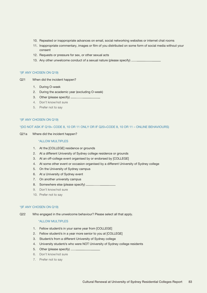- 10. Repeated or inappropriate advances on email, social networking websites or internet chat rooms
- 11. Inappropriate commentary, images or film of you distributed on some form of social media without your consent
- 12. Requests or pressure for sex, or other sexual acts
- 13. Any other unwelcome conduct of a sexual nature (please specify)  $\equiv$

#### \*(IF ANY CHOSEN ON Q19)

- Q21 When did the incident happen?
	- 1. During O-week
	- 2. During the academic year (excluding O-week)
	- 3. Other (please specify)
	- 4. Don't know/not sure
	- 5. Prefer not to say

#### \*(IF ANY CHOSEN ON Q19)

#### \*(DO NOT ASK IF Q19= CODE 8, 10 OR 11 ONLY OR IF Q20=CODE 8, 10 OR 11 – ONLINE BEHAVIOURS)

Q21a Where did the incident happen?

# \*ALLOW MULTIPLES

- 1. At the [COLLEGE] residence or grounds
- 2. At a different University of Sydney college residence or grounds
- 3. At an off-college event organised by or endorsed by [COLLEGE]
- 4. At some other event or occasion organised by a different University of Sydney college
- 5. On the University of Sydney campus
- 6. At a University of Sydney event
- 7. On another university campus
- 8. Somewhere else (please specify)
- 9. Don't know/not sure
- 10. Prefer not to say

#### \*(IF ANY CHOSEN ON Q19)

Q22 Who engaged in the unwelcome behaviour? Please select all that apply.

- 1. Fellow student/s in your same year from [COLLEGE]
- 2. Fellow student/s in a year more senior to you at [COLLEGE]
- 3. Student/s from a different University of Sydney college
- 4. University student/s who were NOT University of Sydney college residents
- 5. Other (please specify)
- 6. Don't know/not sure
- 7. Prefer not to say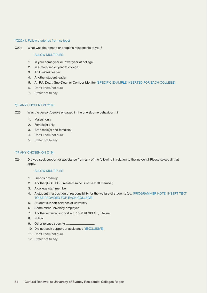#### \*(Q22=1, Fellow student/s from college)

Q22a What was the person or people's relationship to you?

#### \*ALLOW MULTIPLES

- 1. In your same year or lower year at college
- 2. In a more senior year at college
- 3. An O-Week leader
- 4. Another student leader
- 5. An RA, Dean, Sub-Dean or Corridor Monitor [SPECIFIC EXAMPLE INSERTED FOR EACH COLLEGE]
- 6. Don't know/not sure
- 7. Prefer not to say

# \*(IF ANY CHOSEN ON Q19)

Q23 Was the person/people engaged in the unwelcome behaviour…?

- 1. Male(s) only
- 2. Female(s) only
- 3. Both male(s) and female(s)
- 4. Don't know/not sure
- 5. Prefer not to say

# \*(IF ANY CHOSEN ON Q19)

Q24 Did you seek support or assistance from any of the following in relation to the incident? Please select all that apply.

- 1. Friends or family
- 2. Another [COLLEGE] resident (who is not a staff member)
- 3. A college staff member
- 4. A student in a position of responsibility for the welfare of students (eg. [PROGRAMMER NOTE: INSERT TEXT TO BE PROVIDED FOR EACH COLLEGE]
- 5. Student support services at university
- 6. Some other university employee
- 7. Another external support e.g. 1800 RESPECT, Lifeline
- 8. Police
- 9. Other (please specify) \_
- 10. Did not seek support or assistance \*(EXCLUSIVE)
- 11. Don't know/not sure
- 12. Prefer not to say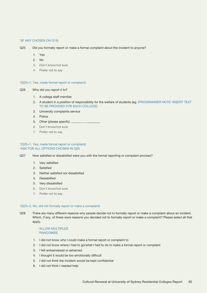#### \*(IF ANY CHOSEN ON Q19)

- 1. Yes
- 2  $N_0$
- 3. Don't know/not sure
- 4. Prefer not to say

#### \*(Q25=1, Yes, made formal report or complaint)

#### Q26 Who did you report it to?

- 1. A college staff member
- 2. A student in a position of responsibility for the welfare of students (eg. [PROGRAMMER NOTE: INSERT TEXT TO BE PROVIDED FOR EACH COLLEGE]
- 3. University complaints service
- 4. Police
- 5. Other (please specify)
- 6. Don't know/not sure
- 7. Prefer not to say

#### \*(Q25=1, Yes, made formal report or complaint) \*ASK FOR ALL OPTIONS CHOSEN IN Q26

Q27 How satisfied or dissatisfied were you with the formal reporting or complaint process?

- 1. Very satisfied
- 2. Satisfied
- 3. Neither satisfied nor dissatisfied
- 4. Dissatisfied
- 5. Very dissatisfied
- 6. Don't know/not sure
- 7. Prefer not to say

#### \*(Q25=2, No, did not formally report or make a complaint)

Q28 There are many different reasons why people decide not to formally report or make a complaint about an incident. Which, if any, of these were reasons you decided not to formally report or make a complaint? Please select all that apply.

#### \*ALLOW MULTIPLES \*RANDOMISE

- 1. I did not know who I could make a formal report or complaint to
- 2. I did not know where I had to go/what I had to do to make a formal report or complaint
- 3. I felt embarrassed or ashamed
- 4. I thought it would be too emotionally difficult
- 5. I did not think the incident would be kept confidential
- 6. I did not think I needed help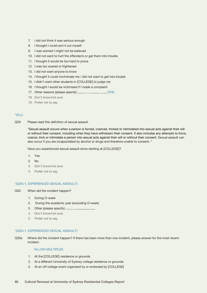- 7. I did not think it was serious enough
- 8. I thought I could sort it out myself
- 9. I was worried I might not be believed
- 10. I did not want to hurt the offender/s or get them into trouble
- 11. I thought it would be too hard to prove
- 12. I was too scared or frightened
- 13. I did not want anyone to know
- 14. I thought it could incriminate me / did not want to get into trouble
- 15. I didn't want other students in [COLLEGE] to judge me
- 16. I thought I would be victimised if I made a complaint
- 17. Other reasons (please specify) \*(FIX)
- 18. Don't know/not sure
- 19. Prefer not to say

Q29 Please read this definition of sexual assault.

"Sexual assault occurs when a person is forced, coerced, tricked or intimidated into sexual acts against their will or without their consent, including when they have withdrawn their consent. It also includes any attempts to force, coerce, trick or intimidate a person into sexual acts against their will or without their consent. Sexual assault can also occur if you are incapacitated by alcohol or drugs and therefore unable to consent. "

Have you experienced sexual assault since starting at [COLLEGE]?

- 1. Yes
- 2. No
- 3. Don't know/not sure
- 4. Prefer not to say

#### \*(Q29=1, EXPERIENCED SEXUAL ASSAULT)

- Q30 When did the incident happen?
	- 1. During O-week
	- 2. During the academic year (excluding O-week)
	- 3. Other (please specify)
	- 4. Don't know/not sure
	- 5. Prefer not to say

#### \*(Q29=1, EXPERIENCED SEXUAL ASSAULT)

Q30a Where did the incident happen? If there has been more than one incident, please answer for the most recent incident.

- 1. At the [COLLEGE] residence or grounds
- 2. At a different University of Sydney college residence or grounds
- 3. At an off-college event organised by or endorsed by [COLLEGE]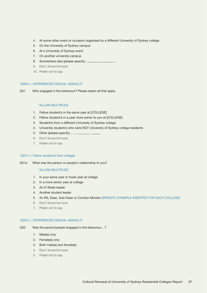- 4. At some other event or occasion organised by a different University of Sydney college
- 5. On the University of Sydney campus
- 6. At a University of Sydney event
- 7. On another university campus
- 8. Somewhere else (please specify)
- 9. Don't know/not sure
- 10. Prefer not to say

#### \*(Q29=1, EXPERIENCED SEXUAL ASSAULT)

Q31 Who engaged in the behaviour? Please select all that apply.

## \*ALLOW MULTIPLES

- 1. Fellow student/s in the same year at [COLLEGE]
- 2. Fellow student/s in a year more senior to you at [COLLEGE]
- 3. Student/s from a different University of Sydney college
- 4. University student/s who were NOT University of Sydney college residents
- 5. Other (please specify)
- 6. Don't know/not sure
- 7. Prefer not to say

# \*(Q31=1, Fellow student/s from college)

Q31a What was the person or people's relationship to you?

### \*ALLOW MULTIPLES

- 1. In your same year or lower year at college
- 2. In a more senior year at college
- 3. An O-Week leader
- 4. Another student leader
- 5. An RA, Dean, Sub-Dean or Corridor Monitor [SPECIFIC EXAMPLE INSERTED FOR EACH COLLEGE]
- 6. Don't know/not sure
- 7. Prefer not to say

#### \*(Q29=1, EXPERIENCED SEXUAL ASSAULT)

- Q32 Was the person/people engaged in the behaviour…?
	- 1. Male(s) only
	- 2. Female(s) only
	- 3. Both male(s) and female(s)
	- 4. Don't know/not sure
	- 5. Prefer not to say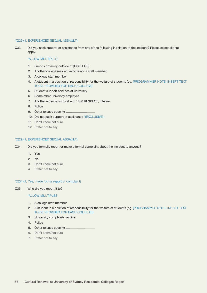#### \*(Q29=1, EXPERIENCED SEXUAL ASSAULT)

Q33 Did you seek support or assistance from any of the following in relation to the incident? Please select all that apply.

# \*ALLOW MULTIPLES

- 1. Friends or family outside of [COLLEGE]
- 2. Another college resident (who is not a staff member)
- 3. A college staff member
- 4. A student in a position of responsibility for the welfare of students (eg. [PROGRAMMER NOTE: INSERT TEXT TO BE PROVIDED FOR EACH COLLEGE]
- 5. Student support services at university
- 6. Some other university employee
- 7. Another external support e.g. 1800 RESPECT, Lifeline
- 8. Police
- 9. Other (please specify)
- 10. Did not seek support or assistance \*(EXCLUSIVE)
- 11. Don't know/not sure
- 12. Prefer not to say

#### \*(Q29=1, EXPERIENCED SEXUAL ASSAULT)

- Q34 Did you formally report or make a formal complaint about the incident to anyone?
	- 1. Yes
	- 2. No
	- 3. Don't know/not sure
	- 4. Prefer not to say

#### \*(Q34=1, Yes, made formal report or complaint)

Q35 Who did you report it to?

- 1. A college staff member
- 2. A student in a position of responsibility for the welfare of students (eg. [PROGRAMMER NOTE: INSERT TEXT TO BE PROVIDED FOR EACH COLLEGE]
- 3. University complaints service
- 4. Police
- 5. Other (please specify)
- 6. Don't know/not sure
- 7. Prefer not to say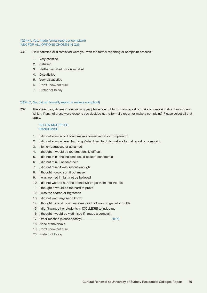#### \*(Q34=1, Yes, made formal report or complaint) \*ASK FOR ALL OPTIONS CHOSEN IN Q35

- Q36 How satisfied or dissatisfied were you with the formal reporting or complaint process?
	- 1. Very satisfied
	- 2. Satisfied
	- 3. Neither satisfied nor dissatisfied
	- 4. Dissatisfied
	- 5. Very dissatisfied
	- 6. Don't know/not sure
	- 7. Prefer not to say

#### \*(Q34=2, No, did not formally report or make a complaint)

Q37 There are many different reasons why people decide not to formally report or make a complaint about an incident. Which, if any, of these were reasons you decided not to formally report or make a complaint? Please select all that apply.

#### \*ALLOW MULTIPLES \*RANDOMISE

- 1. I did not know who I could make a formal report or complaint to
- 2. I did not know where I had to go/what I had to do to make a formal report or complaint
- 3. I felt embarrassed or ashamed
- 4. I thought it would be too emotionally difficult
- 5. I did not think the incident would be kept confidential
- 6. I did not think I needed help
- 7. I did not think it was serious enough
- 8. I thought I could sort it out myself
- 9. I was worried I might not be believed
- 10. I did not want to hurt the offender/s or get them into trouble
- 11. I thought it would be too hard to prove
- 12. I was too scared or frightened
- 13. I did not want anyone to know
- 14. I thought it could incriminate me / did not want to get into trouble
- 15. I didn't want other students in [COLLEGE] to judge me
- 16. I thought I would be victimised if I made a complaint
- 17. Other reasons (please specify) \*(FIX)
- 18. None of the above
- 19. Don't know/not sure
- 20. Prefer not to say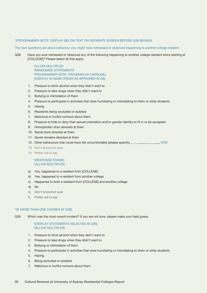#### \*(PROGRAMMER NOTE: DISPLAY BELOW TEXT ON SEPARATE SCREEN BEFORE Q38 BEGINS)

The next questions are about behaviour you might have witnessed or observed happening to another college resident.

Q38 Have you ever witnessed or observed any of the following happening to another college resident since starting at [COLLEGE]? Please select all that apply.

> \*ALLOW MULTIPLES \*RANDOMISE STATEMENTS \*PROGRAMMER NOTE: PROGRAM AS CAROUSEL \*(DISPLAY IN SAME ORDER AS APPEARED IN Q9)

- 1. Pressure to drink alcohol when they didn't want to
- 2. Pressure to take drugs when they didn't want to
- 3. Bullying or intimidation of them
- 4. Pressure to participate in activities that were humiliating or intimidating to them or other students
- 5. Hazing
- 6. Residents being excluded or isolated
- 7. Malicious or hurtful rumours about them
- 8. Pressure to hide or deny their sexual orientation and/or gender identity to fit in or be accepted
- 9. Homophobic slurs directed at them
- 10. Racist slurs directed at them
- 11. Sexist remarks directed at them
- 12. Other behaviours that could have felt uncomfortable (please specify)  $\frac{1}{\sqrt{F(X)}}$
- 13. Don't know/not sure
- 14. Prefer not to say

#### \*(RESPONSE FRAME) \*(ALLOW MULTIPLES)

- a) Yes, happened to a resident from [COLLEGE]
- b) Yes, happened to a resident from another college
- c) Happened to both a resident from [COLLEGE] and another college
- d) No
- e) Don't know/not sure
- f) Prefer not to say

#### \*(IF MORE THAN ONE CHOSEN AT Q38)

Q39 Which was the most recent incident? If you are not sure, please make your best guess.

# \*(DISPLAY STATEMENTS SELECTED IN Q38) \*(ALLOW MULTIPLES)

- 1. Pressure to drink alcohol when they didn't want to
- 2. Pressure to take drugs when they didn't want to
- 3. Bullying or intimidation of them
- 4. Pressure to participate in activities that were humiliating or intimidating to them or other students
- 5. Hazing
- 6. Being excluded or isolated
- 7. Malicious or hurtful rumours about them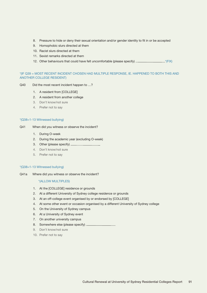- 8. Pressure to hide or deny their sexual orientation and/or gender identity to fit in or be accepted
- 9. Homophobic slurs directed at them
- 10. Racist slurs directed at them
- 11. Sexist remarks directed at them
- 12. Other behaviours that could have felt uncomfortable (please specify) \_\_\_\_\_\_\_\_\_\_\_\_\_\_\_\_\_\_\*(FIX)

# \*(IF Q39 = MOST RECENT INCIDENT CHOSEN HAD MULTIPLE RESPONSE, IE. HAPPENED TO BOTH THIS AND ANOTHER COLLEGE RESIDENT)

- Q40 Did the most recent incident happen to ...?
	- 1. A resident from [COLLEGE]
	- 2. A resident from another college
	- 3. Don't know/not sure
	- 4. Prefer not to say

#### \*(Q38=1-13 Witnessed bullying)

- Q41 When did you witness or observe the incident?
	- 1. During O-week
	- 2. During the academic year (excluding O-week)
	- 3. Other (please specify)
	- 4. Don't know/not sure
	- 5. Prefer not to say

#### \*(Q38=1-13 Witnessed bullying)

Q41a Where did you witness or observe the incident?

- 1. At the [COLLEGE] residence or grounds
- 2. At a different University of Sydney college residence or grounds
- 3. At an off-college event organised by or endorsed by [COLLEGE]
- 4. At some other event or occasion organised by a different University of Sydney college
- 5. On the University of Sydney campus
- 6. At a University of Sydney event
- 7. On another university campus
- 8. Somewhere else (please specify)
- 9. Don't know/not sure
- 10. Prefer not to say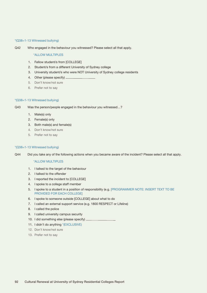#### \*(Q38=1-13 Witnessed bullying)

Q42 Who engaged in the behaviour you witnessed? Please select all that apply.

#### \*ALLOW MULTIPLES

- 1. Fellow student/s from [COLLEGE]
- 2. Student/s from a different University of Sydney college
- 3. University student/s who were NOT University of Sydney college residents
- 4. Other (please specify) \_
- 5. Don't know/not sure
- 6. Prefer not to say

#### \*(Q38=1-13 Witnessed bullying)

- Q43 Was the person/people engaged in the behaviour you witnessed…?
	- 1. Male(s) only
	- 2. Female(s) only
	- 3. Both male(s) and female(s)
	- 4. Don't know/not sure
	- 5. Prefer not to say

#### \*(Q38=1-13 Witnessed bullying)

Q44 Did you take any of the following actions when you became aware of the incident? Please select all that apply.

- 1. I talked to the target of the behaviour
- 2. I talked to the offender
- 3. I reported the incident to [COLLEGE]
- 4. I spoke to a college staff member
- 5. I spoke to a student in a position of responsibility (e.g. [PROGRAMMER NOTE: INSERT TEXT TO BE PROVIDED FOR EACH COLLEGE]
- 6. I spoke to someone outside [COLLEGE] about what to do
- 7. I called an external support service (e.g. 1800 RESPECT or Lifeline)
- 8. I called the police
- 9. I called university campus security
- 10. I did something else (please specify)
- 11. I didn't do anything \*(EXCLUSIVE)
- 12. Don't know/not sure
- 13. Prefer not to say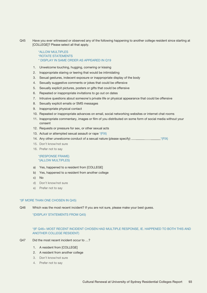Q45 Have you ever witnessed or observed any of the following happening to another college resident since starting at [COLLEGE]? Please select all that apply.

# \*ALLOW MULTIPLES \*ROTATE STATEMENTS \* DISPLAY IN SAME ORDER AS APPEARED IN Q19

- 1. Unwelcome touching, hugging, cornering or kissing
- 2. Inappropriate staring or leering that would be intimidating
- 3. Sexual gestures, indecent exposure or inappropriate display of the body
- 4. Sexually suggestive comments or jokes that could be offensive
- 5. Sexually explicit pictures, posters or gifts that could be offensive
- 6. Repeated or inappropriate invitations to go out on dates
- 7. Intrusive questions about someone's private life or physical appearance that could be offensive
- 8. Sexually explicit emails or SMS messages
- 9. Inappropriate physical contact
- 10. Repeated or inappropriate advances on email, social networking websites or internet chat rooms
- 11. Inappropriate commentary, images or film of you distributed on some form of social media without your consent
- 12. Requests or pressure for sex, or other sexual acts
- 13. Actual or attempted sexual assault or rape \*(FIX)
- 14. Any other unwelcome conduct of a sexual nature (please specify)  $\overline{\phantom{a}}$   $\overline{\phantom{a}}$  (FIX)
- 15. Don't know/not sure
- 16. Prefer not to say

# \*(RESPONSE FRAME) \*(ALLOW MULTIPLES)

- a) Yes, happened to a resident from [COLLEGE]
- b) Yes, happened to a resident from another college
- c) No
- d) Don't know/not sure
- e) Prefer not to say

#### \*(IF MORE THAN ONE CHOSEN IN Q45)

Q46 Which was the most recent incident? If you are not sure, please make your best guess.

# \*(DISPLAY STATEMENTS FROM Q45)

# \*(IF Q46= MOST RECENT INCIDENT CHOSEN HAD MULTIPLE RESPONSE, IE. HAPPENED TO BOTH THIS AND ANOTHER COLLEGE RESIDENT)

- Q47 Did the most recent incident occur to ...?
	- 1. A resident from [COLLEGE]
	- 2. A resident from another college
	- 3. Don't know/not sure
	- 4. Prefer not to say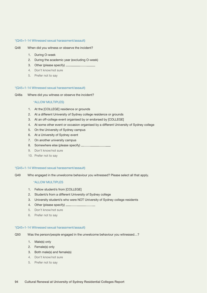#### \*(Q45=1-14 Witnessed sexual harassment/assault)

- Q48 When did you witness or observe the incident?
	- 1. During O-week
	- 2. During the academic year (excluding O-week)
	- 3. Other (please specify)
	- 4. Don't know/not sure
	- 5. Prefer not to say

#### \*(Q45=1-14 Witnessed sexual harassment/assault)

Q48a Where did you witness or observe the incident?

#### \*ALLOW MULTIPLES)

- 1. At the [COLLEGE] residence or grounds
- 2. At a different University of Sydney college residence or grounds
- 3. At an off-college event organised by or endorsed by [COLLEGE]
- 4. At some other event or occasion organised by a different University of Sydney college
- 5. On the University of Sydney campus
- 6. At a University of Sydney event
- 7. On another university campus
- 8. Somewhere else (please specify)
- 9. Don't know/not sure
- 10. Prefer not to say

#### \*(Q45=1-14 Witnessed sexual harassment/assault)

Q49 Who engaged in the unwelcome behaviour you witnessed? Please select all that apply.

#### \*ALLOW MULTIPLES

- 1. Fellow student/s from [COLLEGE]
- 2. Student/s from a different University of Sydney college
- 3. University student/s who were NOT University of Sydney college residents
- 4. Other (please specify)
- 5. Don't know/not sure
- 6. Prefer not to say

#### \*(Q45=1-14 Witnessed sexual harassment/assault)

- Q50 Was the person/people engaged in the unwelcome behaviour you witnessed…?
	- 1. Male(s) only
	- 2. Female(s) only
	- 3. Both male(s) and female(s)
	- 4. Don't know/not sure
	- 5. Prefer not to say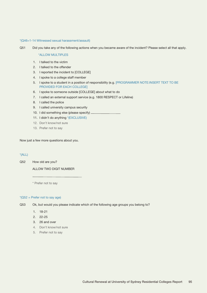#### \*(Q46=1-14 Witnessed sexual harassment/assault)

Q51 Did you take any of the following actions when you became aware of the incident? Please select all that apply.

#### \*ALLOW MULTIPLES

- 1. I talked to the victim
- 2. I talked to the offender
- 3. I reported the incident to [COLLEGE]
- 4. I spoke to a college staff member
- 5. I spoke to a student in a position of responsibility (e.g. [PROGRAMMER NOTE:INSERT TEXT TO BE PROVIDED FOR EACH COLLEGE]
- 6. I spoke to someone outside [COLLEGE] about what to do
- 7. I called an external support service (e.g. 1800 RESPECT or Lifeline)
- 8. I called the police
- 9. I called university campus security
- 10. I did something else (please specify)
- 11. I didn't do anything \*(EXCLUSIVE)
- 12. Don't know/not sure
- 13. Prefer not to say

Now just a few more questions about you.

# \*(ALL)

Q52 How old are you?

ALLOW TWO DIGIT NUMBER

\* Prefer not to say

# \*(Q52 = Prefer not to say age)

- Q53 Ok, but would you please indicate which of the following age groups you belong to?
	- 1. 18-21
	- 2. 22-25
	- 3. 26 and over
	- 4. Don't know/not sure
	- 5. Prefer not to say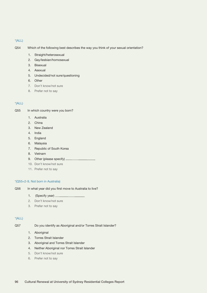- Q54 Which of the following best describes the way you think of your sexual orientation?
	- 1. Straight/heterosexual
	- 2. Gay/lesbian/homosexual
	- 3. Bisexual
	- 4. Asexual
	- 5. Undecided/not sure/questioning
	- 6. Other
	- 7. Don't know/not sure
	- 8. Prefer not to say

# \*(ALL)

- Q55 In which country were you born?
	- 1. Australia
	- 2. China
	- 3. New Zealand
	- 4. India
	- 5. England
	- 6. Malaysia
	- 7. Republic of South Korea
	- 8. Vietnam
	- 9. Other (please specify)
	- 10. Don't know/not sure
	- 11. Prefer not to say

#### \*(Q55=2-9, Not born in Australia)

- Q56 In what year did you first move to Australia to live?
	- 1. (Specify year)
	- 2. Don't know/not sure
	- 3. Prefer not to say

# \*(ALL)

Q57 Do you identify as Aboriginal and/or Torres Strait Islander?

- 1. Aboriginal
- 2. Torres Strait Islander
- 3. Aboriginal and Torres Strait Islander
- 4. Neither Aboriginal nor Torres Strait Islander
- 5. Don't know/not sure
- 6. Prefer not to say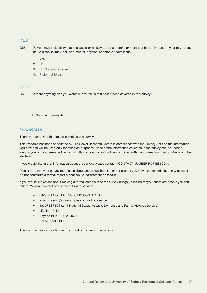Q58 Do you have a disability that has lasted or is likely to last 6 months or more that has an impact on your day-to-day life? A disability may include a mental, physical or chronic health issue.

1. Yes

- 2  $N_0$
- 3. Don't know/not sure
- 4. Prefer not to say

#### $*(ALL)$

Q59 Is there anything else you would like to tell us that hasn't been covered in this survey?

|  |  | $\Box$ No other comments |  |
|--|--|--------------------------|--|
|--|--|--------------------------|--|

#### FINAL SCREEN

Thank you for taking the time to complete this survey.

This research has been conducted by The Social Research Centre in compliance with the Privacy Act and the information you provided will be used only for research purposes. None of the information collected in the survey can be used to identify you. Your answers will remain strictly confidential and will be combined with the information from hundreds of other students.

If you would like further information about the survey, please contact <CONTACT NUMBER FOR EB&CO>.

Please note that your survey responses about any sexual harassment or assault you may have experienced or witnessed do not constitute a formal report of that sexual harassment or assault.

If you would like advice about making a formal complaint or the survey brings up issues for you, there are people you can talk to. You can contact one of the following services.

- <INSERT COLLEGE SPECIFIC CONTACTS>
- Your university's on-campus counselling service
- 1800RESPECT (24/7 National Sexual Assault, Domestic and Family Violence Service)
- LifeLine 13 11 14
- Beyond Blue 1300 22 4636
- Police 9550 8199

Thank you again for your time and support of this important survey.